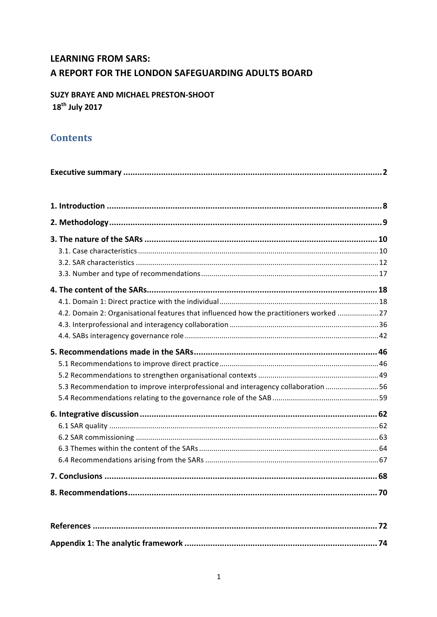# **LEARNING FROM SARS:** A REPORT FOR THE LONDON SAFEGUARDING ADULTS BOARD

# SUZY BRAYE AND MICHAEL PRESTON-SHOOT 18<sup>th</sup> July 2017

# **Contents**

| 4.2. Domain 2: Organisational features that influenced how the practitioners worked 27 |  |
|----------------------------------------------------------------------------------------|--|
|                                                                                        |  |
|                                                                                        |  |
|                                                                                        |  |
|                                                                                        |  |
|                                                                                        |  |
| 5.3 Recommendation to improve interprofessional and interagency collaboration 56       |  |
|                                                                                        |  |
|                                                                                        |  |
|                                                                                        |  |
|                                                                                        |  |
|                                                                                        |  |
|                                                                                        |  |
|                                                                                        |  |
|                                                                                        |  |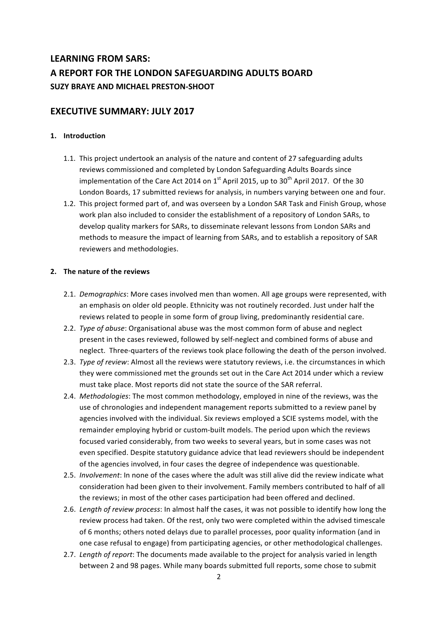# LEARNING FROM SARS: A REPORT FOR THE LONDON SAFEGUARDING ADULTS BOARD **SUZY BRAYE AND MICHAEL PRESTON-SHOOT**

# **EXECUTIVE SUMMARY: JULY 2017**

## **1. Introduction**

- 1.1. This project undertook an analysis of the nature and content of 27 safeguarding adults reviews commissioned and completed by London Safeguarding Adults Boards since implementation of the Care Act 2014 on  $1<sup>st</sup>$  April 2015, up to  $30<sup>th</sup>$  April 2017. Of the 30 London Boards, 17 submitted reviews for analysis, in numbers varying between one and four.
- 1.2. This project formed part of, and was overseen by a London SAR Task and Finish Group, whose work plan also included to consider the establishment of a repository of London SARs, to develop quality markers for SARs, to disseminate relevant lessons from London SARs and methods to measure the impact of learning from SARs, and to establish a repository of SAR reviewers and methodologies.

## **2.** The nature of the reviews

- 2.1. *Demographics*: More cases involved men than women. All age groups were represented, with an emphasis on older old people. Ethnicity was not routinely recorded. Just under half the reviews related to people in some form of group living, predominantly residential care.
- 2.2. *Type of abuse*: Organisational abuse was the most common form of abuse and neglect present in the cases reviewed, followed by self-neglect and combined forms of abuse and neglect. Three-quarters of the reviews took place following the death of the person involved.
- 2.3. *Type of review*: Almost all the reviews were statutory reviews, i.e. the circumstances in which they were commissioned met the grounds set out in the Care Act 2014 under which a review must take place. Most reports did not state the source of the SAR referral.
- 2.4. *Methodologies*: The most common methodology, employed in nine of the reviews, was the use of chronologies and independent management reports submitted to a review panel by agencies involved with the individual. Six reviews employed a SCIE systems model, with the remainder employing hybrid or custom-built models. The period upon which the reviews focused varied considerably, from two weeks to several years, but in some cases was not even specified. Despite statutory guidance advice that lead reviewers should be independent of the agencies involved, in four cases the degree of independence was questionable.
- 2.5. *Involvement*: In none of the cases where the adult was still alive did the review indicate what consideration had been given to their involvement. Family members contributed to half of all the reviews; in most of the other cases participation had been offered and declined.
- 2.6. *Length of review process*: In almost half the cases, it was not possible to identify how long the review process had taken. Of the rest, only two were completed within the advised timescale of 6 months; others noted delays due to parallel processes, poor quality information (and in one case refusal to engage) from participating agencies, or other methodological challenges.
- 2.7. *Length of report*: The documents made available to the project for analysis varied in length between 2 and 98 pages. While many boards submitted full reports, some chose to submit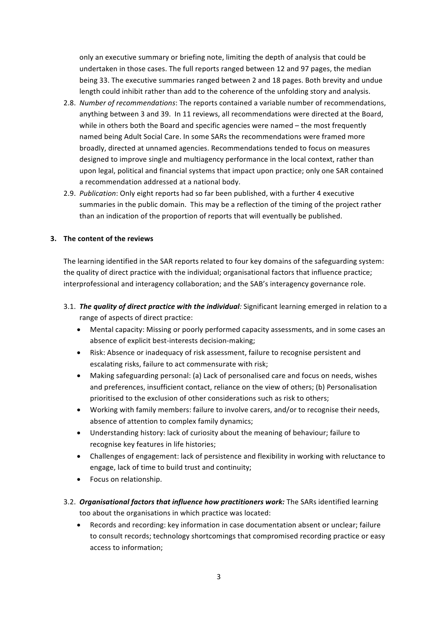only an executive summary or briefing note, limiting the depth of analysis that could be undertaken in those cases. The full reports ranged between 12 and 97 pages, the median being 33. The executive summaries ranged between 2 and 18 pages. Both brevity and undue length could inhibit rather than add to the coherence of the unfolding story and analysis.

- 2.8. *Number of recommendations*: The reports contained a variable number of recommendations, anything between 3 and 39. In 11 reviews, all recommendations were directed at the Board, while in others both the Board and specific agencies were named  $-$  the most frequently named being Adult Social Care. In some SARs the recommendations were framed more broadly, directed at unnamed agencies. Recommendations tended to focus on measures designed to improve single and multiagency performance in the local context, rather than upon legal, political and financial systems that impact upon practice; only one SAR contained a recommendation addressed at a national body.
- 2.9. *Publication*: Only eight reports had so far been published, with a further 4 executive summaries in the public domain. This may be a reflection of the timing of the project rather than an indication of the proportion of reports that will eventually be published.

## **3.** The content of the reviews

The learning identified in the SAR reports related to four key domains of the safeguarding system: the quality of direct practice with the individual; organisational factors that influence practice; interprofessional and interagency collaboration; and the SAB's interagency governance role.

- 3.1. **The quality of direct practice with the individual**: Significant learning emerged in relation to a range of aspects of direct practice:
	- Mental capacity: Missing or poorly performed capacity assessments, and in some cases an absence of explicit best-interests decision-making;
	- Risk: Absence or inadequacy of risk assessment, failure to recognise persistent and escalating risks, failure to act commensurate with risk;
	- Making safeguarding personal: (a) Lack of personalised care and focus on needs, wishes and preferences, insufficient contact, reliance on the view of others; (b) Personalisation prioritised to the exclusion of other considerations such as risk to others;
	- Working with family members: failure to involve carers, and/or to recognise their needs, absence of attention to complex family dynamics;
	- Understanding history: lack of curiosity about the meaning of behaviour; failure to recognise key features in life histories;
	- Challenges of engagement: lack of persistence and flexibility in working with reluctance to engage, lack of time to build trust and continuity;
	- Focus on relationship.
- 3.2. *Organisational factors that influence how practitioners work:* The SARs identified learning too about the organisations in which practice was located:
	- Records and recording: key information in case documentation absent or unclear; failure to consult records; technology shortcomings that compromised recording practice or easy access to information;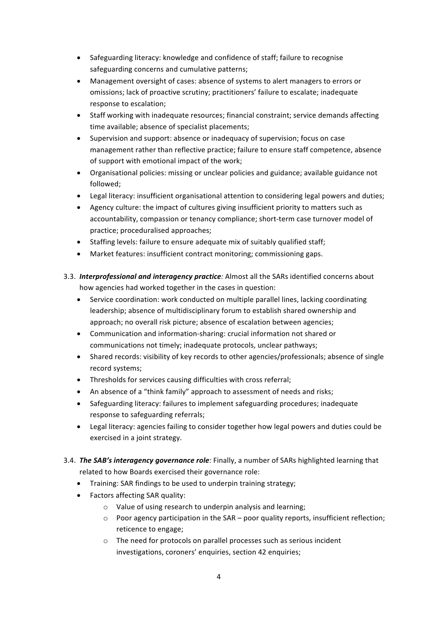- Safeguarding literacy: knowledge and confidence of staff; failure to recognise safeguarding concerns and cumulative patterns;
- Management oversight of cases: absence of systems to alert managers to errors or omissions; lack of proactive scrutiny; practitioners' failure to escalate; inadequate response to escalation;
- Staff working with inadequate resources; financial constraint; service demands affecting time available: absence of specialist placements:
- Supervision and support: absence or inadequacy of supervision; focus on case management rather than reflective practice: failure to ensure staff competence, absence of support with emotional impact of the work;
- Organisational policies: missing or unclear policies and guidance: available guidance not followed;
- Legal literacy: insufficient organisational attention to considering legal powers and duties;
- Agency culture: the impact of cultures giving insufficient priority to matters such as accountability, compassion or tenancy compliance; short-term case turnover model of practice; proceduralised approaches;
- Staffing levels: failure to ensure adequate mix of suitably qualified staff;
- Market features: insufficient contract monitoring; commissioning gaps.
- 3.3. *Interprofessional and interagency practice*: Almost all the SARs identified concerns about how agencies had worked together in the cases in question:
	- Service coordination: work conducted on multiple parallel lines, lacking coordinating leadership; absence of multidisciplinary forum to establish shared ownership and approach; no overall risk picture; absence of escalation between agencies;
	- Communication and information-sharing: crucial information not shared or communications not timely; inadequate protocols, unclear pathways;
	- Shared records: visibility of key records to other agencies/professionals; absence of single record systems;
	- Thresholds for services causing difficulties with cross referral;
	- An absence of a "think family" approach to assessment of needs and risks;
	- Safeguarding literacy: failures to implement safeguarding procedures; inadequate response to safeguarding referrals;
	- Legal literacy: agencies failing to consider together how legal powers and duties could be exercised in a joint strategy.
- 3.4. *The SAB's interagency governance role:* Finally, a number of SARs highlighted learning that related to how Boards exercised their governance role:
	- Training: SAR findings to be used to underpin training strategy;
	- Factors affecting SAR quality:
		- $\circ$  Value of using research to underpin analysis and learning;
		- $\circ$  Poor agency participation in the SAR poor quality reports, insufficient reflection; reticence to engage;
		- $\circ$  The need for protocols on parallel processes such as serious incident investigations, coroners' enquiries, section 42 enquiries;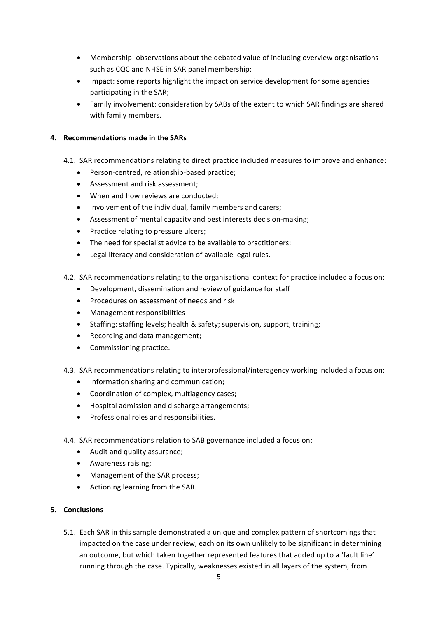- Membership: observations about the debated value of including overview organisations such as CQC and NHSE in SAR panel membership;
- Impact: some reports highlight the impact on service development for some agencies participating in the SAR;
- Family involvement: consideration by SABs of the extent to which SAR findings are shared with family members.

## **4. Recommendations made in the SARs**

- 4.1. SAR recommendations relating to direct practice included measures to improve and enhance:
	- Person-centred, relationship-based practice;
	- Assessment and risk assessment:
	- When and how reviews are conducted;
	- Involvement of the individual, family members and carers:
	- Assessment of mental capacity and best interests decision-making;
	- Practice relating to pressure ulcers:
	- The need for specialist advice to be available to practitioners;
	- Legal literacy and consideration of available legal rules.
- 4.2. SAR recommendations relating to the organisational context for practice included a focus on:
	- Development, dissemination and review of guidance for staff
	- Procedures on assessment of needs and risk
	- Management responsibilities
	- Staffing: staffing levels; health & safety; supervision, support, training;
	- Recording and data management;
	- Commissioning practice.
- 4.3. SAR recommendations relating to interprofessional/interagency working included a focus on:
	- Information sharing and communication;
	- Coordination of complex, multiagency cases;
	- Hospital admission and discharge arrangements;
	- Professional roles and responsibilities.
- 4.4. SAR recommendations relation to SAB governance included a focus on:
	- Audit and quality assurance;
	- Awareness raising;
	- Management of the SAR process;
	- Actioning learning from the SAR.

## **5. Conclusions**

5.1. Each SAR in this sample demonstrated a unique and complex pattern of shortcomings that impacted on the case under review, each on its own unlikely to be significant in determining an outcome, but which taken together represented features that added up to a 'fault line' running through the case. Typically, weaknesses existed in all layers of the system, from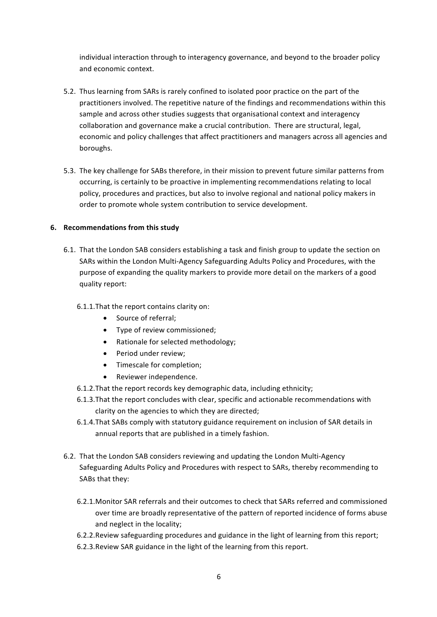individual interaction through to interagency governance, and beyond to the broader policy and economic context.

- 5.2. Thus learning from SARs is rarely confined to isolated poor practice on the part of the practitioners involved. The repetitive nature of the findings and recommendations within this sample and across other studies suggests that organisational context and interagency collaboration and governance make a crucial contribution. There are structural, legal, economic and policy challenges that affect practitioners and managers across all agencies and boroughs.
- 5.3. The key challenge for SABs therefore, in their mission to prevent future similar patterns from occurring, is certainly to be proactive in implementing recommendations relating to local policy, procedures and practices, but also to involve regional and national policy makers in order to promote whole system contribution to service development.

## **6.** Recommendations from this study

6.1. That the London SAB considers establishing a task and finish group to update the section on SARs within the London Multi-Agency Safeguarding Adults Policy and Procedures, with the purpose of expanding the quality markers to provide more detail on the markers of a good quality report:

## 6.1.1. That the report contains clarity on:

- Source of referral;
- Type of review commissioned;
- Rationale for selected methodology;
- Period under review;
- Timescale for completion;
- Reviewer independence.
- 6.1.2. That the report records key demographic data, including ethnicity;
- 6.1.3. That the report concludes with clear, specific and actionable recommendations with clarity on the agencies to which they are directed;
- 6.1.4. That SABs comply with statutory guidance requirement on inclusion of SAR details in annual reports that are published in a timely fashion.
- 6.2. That the London SAB considers reviewing and updating the London Multi-Agency Safeguarding Adults Policy and Procedures with respect to SARs, thereby recommending to SABs that they:
	- 6.2.1. Monitor SAR referrals and their outcomes to check that SARs referred and commissioned over time are broadly representative of the pattern of reported incidence of forms abuse and neglect in the locality;
	- 6.2.2. Review safeguarding procedures and guidance in the light of learning from this report;
	- 6.2.3. Review SAR guidance in the light of the learning from this report.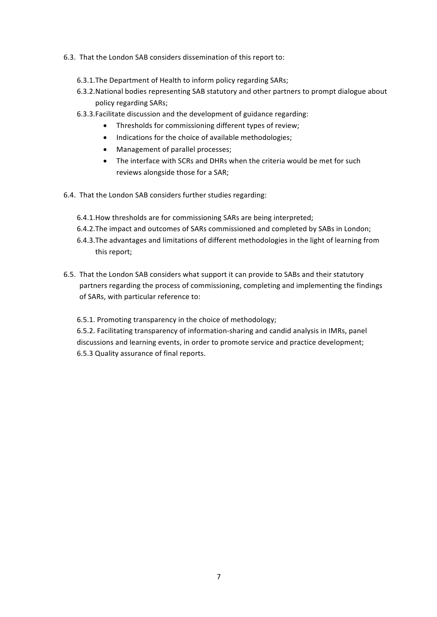- 6.3. That the London SAB considers dissemination of this report to:
	- 6.3.1. The Department of Health to inform policy regarding SARs;
	- 6.3.2. National bodies representing SAB statutory and other partners to prompt dialogue about policy regarding SARs;
	- 6.3.3. Facilitate discussion and the development of guidance regarding:
		- Thresholds for commissioning different types of review;
		- Indications for the choice of available methodologies;
		- Management of parallel processes:
		- The interface with SCRs and DHRs when the criteria would be met for such reviews alongside those for a SAR;
- 6.4. That the London SAB considers further studies regarding:
	- 6.4.1. How thresholds are for commissioning SARs are being interpreted;
	- 6.4.2. The impact and outcomes of SARs commissioned and completed by SABs in London;
	- 6.4.3. The advantages and limitations of different methodologies in the light of learning from this report;
- 6.5. That the London SAB considers what support it can provide to SABs and their statutory partners regarding the process of commissioning, completing and implementing the findings of SARs, with particular reference to:

6.5.1. Promoting transparency in the choice of methodology;

6.5.2. Facilitating transparency of information-sharing and candid analysis in IMRs, panel discussions and learning events, in order to promote service and practice development; 6.5.3 Quality assurance of final reports.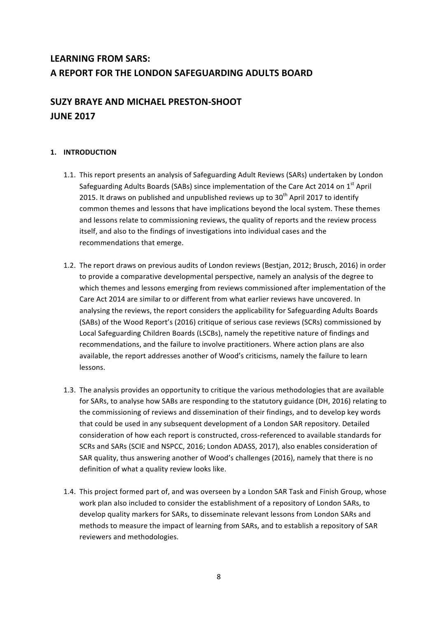# **LEARNING FROM SARS:** A REPORT FOR THE LONDON SAFEGUARDING ADULTS BOARD

# **SUZY BRAYE AND MICHAEL PRESTON-SHOOT JUNE 2017**

# **1. INTRODUCTION**

- 1.1. This report presents an analysis of Safeguarding Adult Reviews (SARs) undertaken by London Safeguarding Adults Boards (SABs) since implementation of the Care Act 2014 on 1<sup>st</sup> April 2015. It draws on published and unpublished reviews up to  $30<sup>th</sup>$  April 2017 to identify common themes and lessons that have implications beyond the local system. These themes and lessons relate to commissioning reviews, the quality of reports and the review process itself, and also to the findings of investigations into individual cases and the recommendations that emerge.
- 1.2. The report draws on previous audits of London reviews (Bestjan, 2012; Brusch, 2016) in order to provide a comparative developmental perspective, namely an analysis of the degree to which themes and lessons emerging from reviews commissioned after implementation of the Care Act 2014 are similar to or different from what earlier reviews have uncovered. In analysing the reviews, the report considers the applicability for Safeguarding Adults Boards (SABs) of the Wood Report's (2016) critique of serious case reviews (SCRs) commissioned by Local Safeguarding Children Boards (LSCBs), namely the repetitive nature of findings and recommendations, and the failure to involve practitioners. Where action plans are also available, the report addresses another of Wood's criticisms, namely the failure to learn lessons.
- 1.3. The analysis provides an opportunity to critique the various methodologies that are available for SARs, to analyse how SABs are responding to the statutory guidance (DH, 2016) relating to the commissioning of reviews and dissemination of their findings, and to develop key words that could be used in any subsequent development of a London SAR repository. Detailed consideration of how each report is constructed, cross-referenced to available standards for SCRs and SARs (SCIE and NSPCC, 2016; London ADASS, 2017), also enables consideration of SAR quality, thus answering another of Wood's challenges (2016), namely that there is no definition of what a quality review looks like.
- 1.4. This project formed part of, and was overseen by a London SAR Task and Finish Group, whose work plan also included to consider the establishment of a repository of London SARs, to develop quality markers for SARs, to disseminate relevant lessons from London SARs and methods to measure the impact of learning from SARs, and to establish a repository of SAR reviewers and methodologies.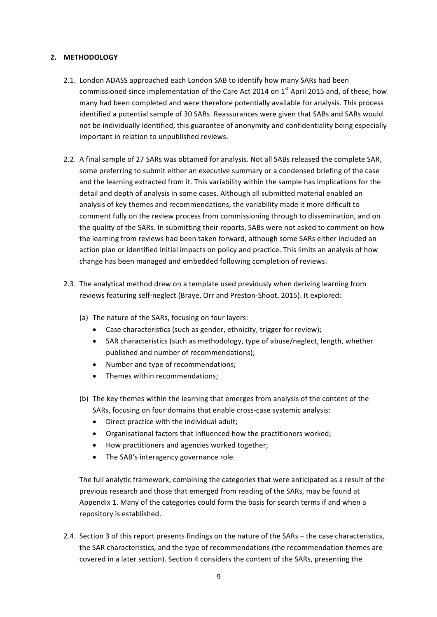## **2. METHODOLOGY**

- 2.1. London ADASS approached each London SAB to identify how many SARs had been commissioned since implementation of the Care Act 2014 on 1st April 2015 and, of these, how many had been completed and were therefore potentially available for analysis. This process identified a potential sample of 30 SARs. Reassurances were given that SABs and SARs would not be individually identified, this guarantee of anonymity and confidentiality being especially important in relation to unpublished reviews.
- 2.2. A final sample of 27 SARs was obtained for analysis. Not all SABs released the complete SAR, some preferring to submit either an executive summary or a condensed briefing of the case and the learning extracted from it. This variability within the sample has implications for the detail and depth of analysis in some cases. Although all submitted material enabled an analysis of key themes and recommendations, the variability made it more difficult to comment fully on the review process from commissioning through to dissemination, and on the quality of the SARs. In submitting their reports, SABs were not asked to comment on how the learning from reviews had been taken forward, although some SARs either included an action plan or identified initial impacts on policy and practice. This limits an analysis of how change has been managed and embedded following completion of reviews.
- 2.3. The analytical method drew on a template used previously when deriving learning from reviews featuring self-neglect (Braye, Orr and Preston-Shoot, 2015). It explored:
	- (a) The nature of the SARs, focusing on four layers:
		- Case characteristics (such as gender, ethnicity, trigger for review);
		- SAR characteristics (such as methodology, type of abuse/neglect, length, whether published and number of recommendations);
		- Number and type of recommendations;
		- Themes within recommendations:
	- (b) The key themes within the learning that emerges from analysis of the content of the SARs, focusing on four domains that enable cross-case systemic analysis:
		- $\bullet$  Direct practice with the individual adult:
		- Organisational factors that influenced how the practitioners worked;
		- How practitioners and agencies worked together;
		- The SAB's interagency governance role.

The full analytic framework, combining the categories that were anticipated as a result of the previous research and those that emerged from reading of the SARs, may be found at Appendix 1. Many of the categories could form the basis for search terms if and when a repository is established.

2.4. Section 3 of this report presents findings on the nature of the SARs – the case characteristics, the SAR characteristics, and the type of recommendations (the recommendation themes are covered in a later section). Section 4 considers the content of the SARs, presenting the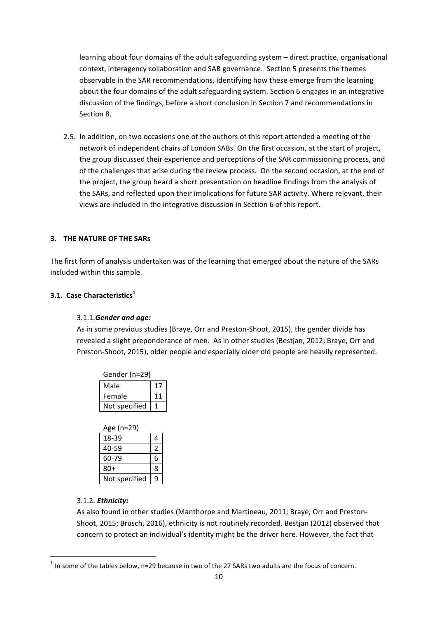learning about four domains of the adult safeguarding system – direct practice, organisational context, interagency collaboration and SAB governance. Section 5 presents the themes observable in the SAR recommendations, identifying how these emerge from the learning about the four domains of the adult safeguarding system. Section 6 engages in an integrative discussion of the findings, before a short conclusion in Section 7 and recommendations in Section 8.

2.5. In addition, on two occasions one of the authors of this report attended a meeting of the network of independent chairs of London SABs. On the first occasion, at the start of project, the group discussed their experience and perceptions of the SAR commissioning process, and of the challenges that arise during the review process. On the second occasion, at the end of the project, the group heard a short presentation on headline findings from the analysis of the SARs, and reflected upon their implications for future SAR activity. Where relevant, their views are included in the integrative discussion in Section 6 of this report.

## **3. THE NATURE OF THE SARS**

The first form of analysis undertaken was of the learning that emerged about the nature of the SARs included within this sample.

## **3.1. Case Characteristics<sup>1</sup>**

## 3.1.1.*Gender and age:*

As in some previous studies (Braye, Orr and Preston-Shoot, 2015), the gender divide has revealed a slight preponderance of men. As in other studies (Bestjan, 2012; Braye, Orr and Preston-Shoot, 2015), older people and especially older old people are heavily represented.

| Gender (n=29) |    |
|---------------|----|
| Male          |    |
| Female        | 11 |
| Not specified |    |

| Age (n=29)    |               |
|---------------|---------------|
| 18-39         | 4             |
| 40-59         | $\mathcal{P}$ |
| 60-79         | 6             |
| $80+$         | 8             |
| Not specified | q             |

## 3.1.2. *Ethnicity:*

<u> Andrew Maria (1989)</u>

As also found in other studies (Manthorpe and Martineau, 2011; Braye, Orr and Preston-Shoot, 2015; Brusch, 2016), ethnicity is not routinely recorded. Bestjan (2012) observed that concern to protect an individual's identity might be the driver here. However, the fact that

 $1$  In some of the tables below, n=29 because in two of the 27 SARs two adults are the focus of concern.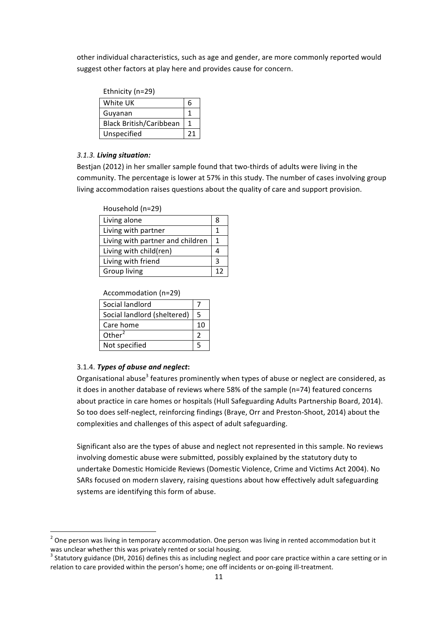other individual characteristics, such as age and gender, are more commonly reported would suggest other factors at play here and provides cause for concern.

| Ethnicity (n=29)               |   |
|--------------------------------|---|
| White UK                       | 6 |
| Guyanan                        |   |
| <b>Black British/Caribbean</b> |   |
| Unspecified                    |   |

## *3.1.3. Living situation:*

Bestjan (2012) in her smaller sample found that two-thirds of adults were living in the community. The percentage is lower at 57% in this study. The number of cases involving group living accommodation raises questions about the quality of care and support provision.

| Household (n=29)                 |    |
|----------------------------------|----|
| Living alone                     | 8  |
| Living with partner              | 1  |
| Living with partner and children | 1  |
| Living with child(ren)           |    |
| Living with friend               | ੨  |
| Group living                     | 17 |

## Accommodation (n=29)

| Social landlord             |   |
|-----------------------------|---|
| Social landlord (sheltered) | 5 |
| Care home                   |   |
| Other $2$                   |   |
| Not specified               |   |

## 3.1.4. Types of abuse and neglect:

<u> Andrew Maria (1989)</u>

Organisational abuse<sup>3</sup> features prominently when types of abuse or neglect are considered, as it does in another database of reviews where  $58%$  of the sample (n=74) featured concerns about practice in care homes or hospitals (Hull Safeguarding Adults Partnership Board, 2014). So too does self-neglect, reinforcing findings (Braye, Orr and Preston-Shoot, 2014) about the complexities and challenges of this aspect of adult safeguarding.

Significant also are the types of abuse and neglect not represented in this sample. No reviews involving domestic abuse were submitted, possibly explained by the statutory duty to undertake Domestic Homicide Reviews (Domestic Violence, Crime and Victims Act 2004). No SARs focused on modern slavery, raising questions about how effectively adult safeguarding systems are identifying this form of abuse.

 $2$  One person was living in temporary accommodation. One person was living in rented accommodation but it was unclear whether this was privately rented or social housing.

 $3$  Statutory guidance (DH, 2016) defines this as including neglect and poor care practice within a care setting or in relation to care provided within the person's home; one off incidents or on-going ill-treatment.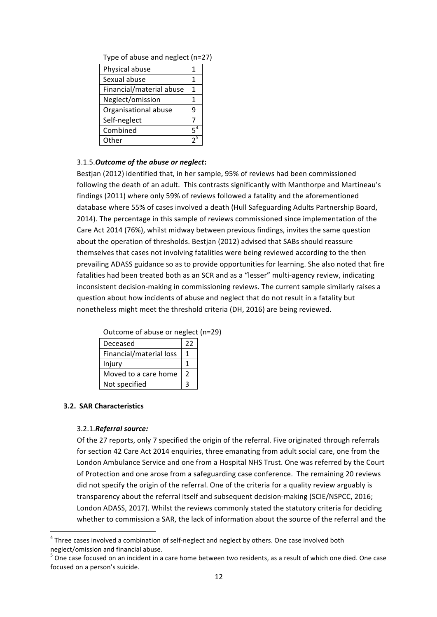|  |  | Type of abuse and neglect (n=27) |  |
|--|--|----------------------------------|--|
|  |  |                                  |  |

| Physical abuse           | 1     |
|--------------------------|-------|
| Sexual abuse             |       |
| Financial/material abuse | 1     |
| Neglect/omission         | 1     |
| Organisational abuse     | ٩     |
| Self-neglect             |       |
| Combined                 | $5^4$ |
| Other                    |       |

#### 3.1.5. Outcome of the abuse or neglect:

Bestjan (2012) identified that, in her sample, 95% of reviews had been commissioned following the death of an adult. This contrasts significantly with Manthorpe and Martineau's findings (2011) where only 59% of reviews followed a fatality and the aforementioned database where 55% of cases involved a death (Hull Safeguarding Adults Partnership Board, 2014). The percentage in this sample of reviews commissioned since implementation of the Care Act 2014 (76%), whilst midway between previous findings, invites the same question about the operation of thresholds. Bestjan (2012) advised that SABs should reassure themselves that cases not involving fatalities were being reviewed according to the then prevailing ADASS guidance so as to provide opportunities for learning. She also noted that fire fatalities had been treated both as an SCR and as a "lesser" multi-agency review, indicating inconsistent decision-making in commissioning reviews. The current sample similarly raises a question about how incidents of abuse and neglect that do not result in a fatality but nonetheless might meet the threshold criteria (DH, 2016) are being reviewed.

| Deceased                | 22 |
|-------------------------|----|
| Financial/material loss |    |
| Injury                  |    |
| Moved to a care home    | 2  |
| Not specified           |    |

Outcome of abuse or neglect (n=29)

## **3.2. SAR Characteristics**

<u> Andrew Maria (1989)</u>

#### 3.2.1.*Referral source:*

Of the 27 reports, only 7 specified the origin of the referral. Five originated through referrals for section 42 Care Act 2014 enquiries, three emanating from adult social care, one from the London Ambulance Service and one from a Hospital NHS Trust. One was referred by the Court of Protection and one arose from a safeguarding case conference. The remaining 20 reviews did not specify the origin of the referral. One of the criteria for a quality review arguably is transparency about the referral itself and subsequent decision-making (SCIE/NSPCC, 2016; London ADASS, 2017). Whilst the reviews commonly stated the statutory criteria for deciding whether to commission a SAR, the lack of information about the source of the referral and the

 $4$  Three cases involved a combination of self-neglect and neglect by others. One case involved both neglect/omission and financial abuse.<br>
<sup>5</sup> One case focused on an incident in a care home between two residents, as a result of which one died. One case

focused on a person's suicide.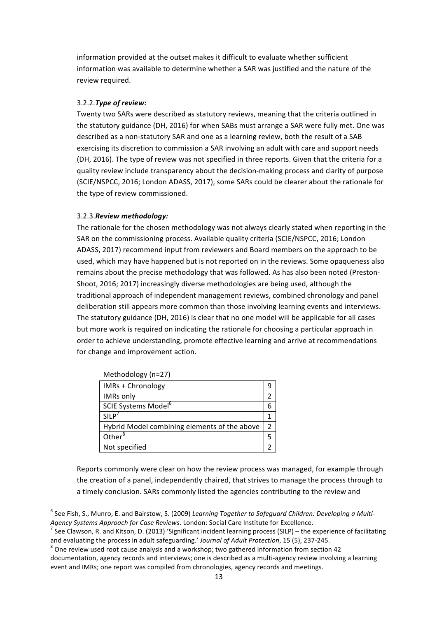information provided at the outset makes it difficult to evaluate whether sufficient information was available to determine whether a SAR was justified and the nature of the review required.

## 3.2.2. Type of review:

Twenty two SARs were described as statutory reviews, meaning that the criteria outlined in the statutory guidance (DH, 2016) for when SABs must arrange a SAR were fully met. One was described as a non-statutory SAR and one as a learning review, both the result of a SAB exercising its discretion to commission a SAR involving an adult with care and support needs (DH, 2016). The type of review was not specified in three reports. Given that the criteria for a quality review include transparency about the decision-making process and clarity of purpose (SCIE/NSPCC, 2016; London ADASS, 2017), some SARs could be clearer about the rationale for the type of review commissioned.

## 3.2.3.*Review methodology:*

The rationale for the chosen methodology was not always clearly stated when reporting in the SAR on the commissioning process. Available quality criteria (SCIE/NSPCC, 2016; London ADASS, 2017) recommend input from reviewers and Board members on the approach to be used, which may have happened but is not reported on in the reviews. Some opaqueness also remains about the precise methodology that was followed. As has also been noted (Preston-Shoot, 2016; 2017) increasingly diverse methodologies are being used, although the traditional approach of independent management reviews, combined chronology and panel deliberation still appears more common than those involving learning events and interviews. The statutory guidance (DH, 2016) is clear that no one model will be applicable for all cases but more work is required on indicating the rationale for choosing a particular approach in order to achieve understanding, promote effective learning and arrive at recommendations for change and improvement action.

| $\cdots$                                     |   |
|----------------------------------------------|---|
| IMRs + Chronology                            |   |
| <b>IMRs only</b>                             |   |
| SCIE Systems Model <sup>6</sup>              | 6 |
| SILP <sup>7</sup>                            |   |
| Hybrid Model combining elements of the above | 2 |
| Other $8$                                    |   |
| Not specified                                |   |

Methodology (n=27)

<u> Andrew Maria (1989)</u>

Reports commonly were clear on how the review process was managed, for example through the creation of a panel, independently chaired, that strives to manage the process through to a timely conclusion. SARs commonly listed the agencies contributing to the review and

<sup>&</sup>lt;sup>6</sup> See Fish, S., Munro, E. and Bairstow, S. (2009) Learning Together to Safeguard Children: Developing a Multi-

*Agency Systems Approach for Case Reviews*. London: Social Care Institute for Excellence.<br><sup>7</sup> See Clawson, R. and Kitson, D. (2013) 'Significant incident learning process (SILP) – the experience of facilitating and evaluating the process in adult safeguarding.' *Journal of Adult Protection*, 15 (5), 237-245. <sup>8</sup> One review used root cause analysis and a workshop; two gathered information from section 42

documentation, agency records and interviews; one is described as a multi-agency review involving a learning event and IMRs; one report was compiled from chronologies, agency records and meetings.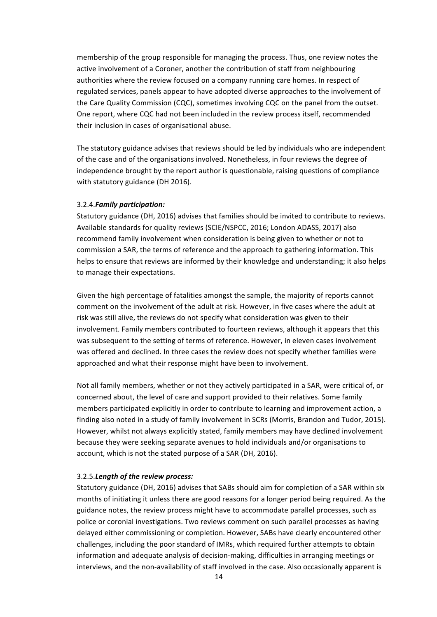membership of the group responsible for managing the process. Thus, one review notes the active involvement of a Coroner, another the contribution of staff from neighbouring authorities where the review focused on a company running care homes. In respect of regulated services, panels appear to have adopted diverse approaches to the involvement of the Care Quality Commission (CQC), sometimes involving CQC on the panel from the outset. One report, where CQC had not been included in the review process itself, recommended their inclusion in cases of organisational abuse.

The statutory guidance advises that reviews should be led by individuals who are independent of the case and of the organisations involved. Nonetheless, in four reviews the degree of independence brought by the report author is questionable, raising questions of compliance with statutory guidance (DH 2016).

#### 3.2.4.*Family participation:*

Statutory guidance (DH, 2016) advises that families should be invited to contribute to reviews. Available standards for quality reviews (SCIE/NSPCC, 2016; London ADASS, 2017) also recommend family involvement when consideration is being given to whether or not to commission a SAR, the terms of reference and the approach to gathering information. This helps to ensure that reviews are informed by their knowledge and understanding; it also helps to manage their expectations.

Given the high percentage of fatalities amongst the sample, the majority of reports cannot comment on the involvement of the adult at risk. However, in five cases where the adult at risk was still alive, the reviews do not specify what consideration was given to their involvement. Family members contributed to fourteen reviews, although it appears that this was subsequent to the setting of terms of reference. However, in eleven cases involvement was offered and declined. In three cases the review does not specify whether families were approached and what their response might have been to involvement.

Not all family members, whether or not they actively participated in a SAR, were critical of, or concerned about, the level of care and support provided to their relatives. Some family members participated explicitly in order to contribute to learning and improvement action, a finding also noted in a study of family involvement in SCRs (Morris, Brandon and Tudor, 2015). However, whilst not always explicitly stated, family members may have declined involvement because they were seeking separate avenues to hold individuals and/or organisations to account, which is not the stated purpose of a SAR (DH, 2016).

#### 3.2.5. Length of the review process:

Statutory guidance (DH, 2016) advises that SABs should aim for completion of a SAR within six months of initiating it unless there are good reasons for a longer period being required. As the guidance notes, the review process might have to accommodate parallel processes, such as police or coronial investigations. Two reviews comment on such parallel processes as having delayed either commissioning or completion. However, SABs have clearly encountered other challenges, including the poor standard of IMRs, which required further attempts to obtain information and adequate analysis of decision-making, difficulties in arranging meetings or interviews, and the non-availability of staff involved in the case. Also occasionally apparent is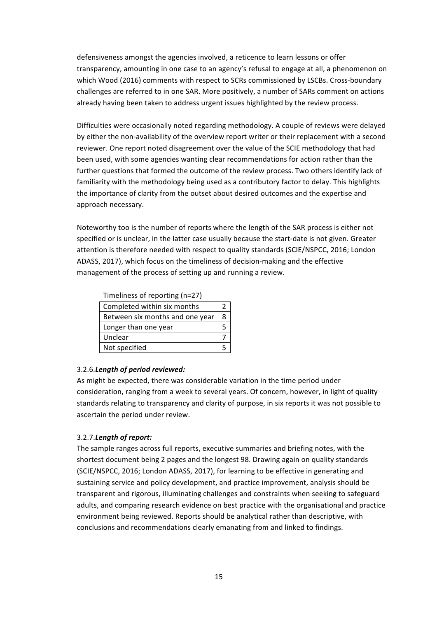defensiveness amongst the agencies involved, a reticence to learn lessons or offer transparency, amounting in one case to an agency's refusal to engage at all, a phenomenon on which Wood (2016) comments with respect to SCRs commissioned by LSCBs. Cross-boundary challenges are referred to in one SAR. More positively, a number of SARs comment on actions already having been taken to address urgent issues highlighted by the review process.

Difficulties were occasionally noted regarding methodology. A couple of reviews were delayed by either the non-availability of the overview report writer or their replacement with a second reviewer. One report noted disagreement over the value of the SCIE methodology that had been used, with some agencies wanting clear recommendations for action rather than the further questions that formed the outcome of the review process. Two others identify lack of familiarity with the methodology being used as a contributory factor to delay. This highlights the importance of clarity from the outset about desired outcomes and the expertise and approach necessary.

Noteworthy too is the number of reports where the length of the SAR process is either not specified or is unclear, in the latter case usually because the start-date is not given. Greater attention is therefore needed with respect to quality standards (SCIE/NSPCC, 2016; London ADASS, 2017), which focus on the timeliness of decision-making and the effective management of the process of setting up and running a review.

| Timeliness of reporting (n=27) |  |
|--------------------------------|--|
|                                |  |

| Completed within six months     |   |
|---------------------------------|---|
| Between six months and one year | Ջ |
| Longer than one year            |   |
| Unclear                         |   |
| Not specified                   |   |

## 3.2.6. Length of period reviewed:

As might be expected, there was considerable variation in the time period under consideration, ranging from a week to several years. Of concern, however, in light of quality standards relating to transparency and clarity of purpose, in six reports it was not possible to ascertain the period under review.

## 3.2.7. **Length of report:**

The sample ranges across full reports, executive summaries and briefing notes, with the shortest document being 2 pages and the longest 98. Drawing again on quality standards (SCIE/NSPCC, 2016; London ADASS, 2017), for learning to be effective in generating and sustaining service and policy development, and practice improvement, analysis should be transparent and rigorous, illuminating challenges and constraints when seeking to safeguard adults, and comparing research evidence on best practice with the organisational and practice environment being reviewed. Reports should be analytical rather than descriptive, with conclusions and recommendations clearly emanating from and linked to findings.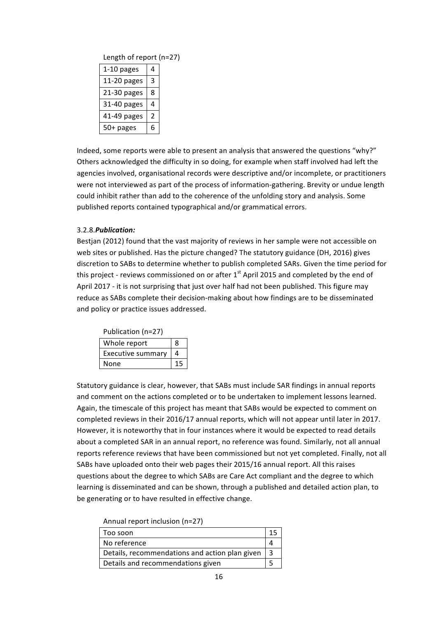| Length of report (n=27) |   |  |
|-------------------------|---|--|
| 1-10 pages              |   |  |
| 11-20 pages             | 3 |  |
| 21-30 pages             | 8 |  |
| 31-40 pages             |   |  |
| 41-49 pages             | 2 |  |
| 50+ pages               |   |  |

Indeed, some reports were able to present an analysis that answered the questions "why?" Others acknowledged the difficulty in so doing, for example when staff involved had left the agencies involved, organisational records were descriptive and/or incomplete, or practitioners were not interviewed as part of the process of information-gathering. Brevity or undue length could inhibit rather than add to the coherence of the unfolding story and analysis. Some published reports contained typographical and/or grammatical errors.

## 3.2.8.*Publication:*

Bestjan (2012) found that the vast majority of reviews in her sample were not accessible on web sites or published. Has the picture changed? The statutory guidance (DH, 2016) gives discretion to SABs to determine whether to publish completed SARs. Given the time period for this project - reviews commissioned on or after  $1<sup>st</sup>$  April 2015 and completed by the end of April 2017 - it is not surprising that just over half had not been published. This figure may reduce as SABs complete their decision-making about how findings are to be disseminated and policy or practice issues addressed.

| Whole report      |  |
|-------------------|--|
| Executive summary |  |
| None              |  |

Statutory guidance is clear, however, that SABs must include SAR findings in annual reports and comment on the actions completed or to be undertaken to implement lessons learned. Again, the timescale of this project has meant that SABs would be expected to comment on completed reviews in their 2016/17 annual reports, which will not appear until later in 2017. However, it is noteworthy that in four instances where it would be expected to read details about a completed SAR in an annual report, no reference was found. Similarly, not all annual reports reference reviews that have been commissioned but not yet completed. Finally, not all SABs have uploaded onto their web pages their 2015/16 annual report. All this raises questions about the degree to which SABs are Care Act compliant and the degree to which learning is disseminated and can be shown, through a published and detailed action plan, to be generating or to have resulted in effective change.

| Annual report inclusion (n=27) |  |  |
|--------------------------------|--|--|
|--------------------------------|--|--|

| Too soon                                       |   |
|------------------------------------------------|---|
| No reference                                   |   |
| Details, recommendations and action plan given | ર |
| Details and recommendations given              |   |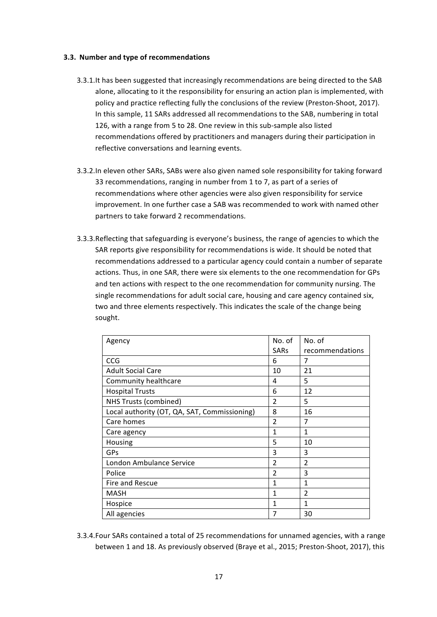## **3.3. Number and type of recommendations**

- 3.3.1. It has been suggested that increasingly recommendations are being directed to the SAB alone, allocating to it the responsibility for ensuring an action plan is implemented, with policy and practice reflecting fully the conclusions of the review (Preston-Shoot, 2017). In this sample, 11 SARs addressed all recommendations to the SAB, numbering in total 126, with a range from 5 to 28. One review in this sub-sample also listed recommendations offered by practitioners and managers during their participation in reflective conversations and learning events.
- 3.3.2.In eleven other SARs, SABs were also given named sole responsibility for taking forward 33 recommendations, ranging in number from 1 to 7, as part of a series of recommendations where other agencies were also given responsibility for service improvement. In one further case a SAB was recommended to work with named other partners to take forward 2 recommendations.
- 3.3.3.Reflecting that safeguarding is everyone's business, the range of agencies to which the SAR reports give responsibility for recommendations is wide. It should be noted that recommendations addressed to a particular agency could contain a number of separate actions. Thus, in one SAR, there were six elements to the one recommendation for GPs and ten actions with respect to the one recommendation for community nursing. The single recommendations for adult social care, housing and care agency contained six, two and three elements respectively. This indicates the scale of the change being sought.

| Agency                                       | No. of         | No. of          |
|----------------------------------------------|----------------|-----------------|
|                                              | <b>SARs</b>    | recommendations |
| CCG                                          | 6              | 7               |
| <b>Adult Social Care</b>                     | 10             | 21              |
| Community healthcare                         | 4              | 5               |
| <b>Hospital Trusts</b>                       | 6              | 12              |
| <b>NHS Trusts (combined)</b>                 | $\overline{2}$ | 5               |
| Local authority (OT, QA, SAT, Commissioning) | 8              | 16              |
| Care homes                                   | $\overline{2}$ | 7               |
| Care agency                                  | 1              | 1               |
| Housing                                      | 5              | 10              |
| GPs                                          | 3              | 3               |
| London Ambulance Service                     | $\overline{2}$ | $\mathfrak{p}$  |
| Police                                       | $\overline{2}$ | 3               |
| Fire and Rescue                              | 1              | 1               |
| <b>MASH</b>                                  | 1              | $\overline{2}$  |
| Hospice                                      | 1              | 1               |
| All agencies                                 | 7              | 30              |

3.3.4. Four SARs contained a total of 25 recommendations for unnamed agencies, with a range between 1 and 18. As previously observed (Braye et al., 2015; Preston-Shoot, 2017), this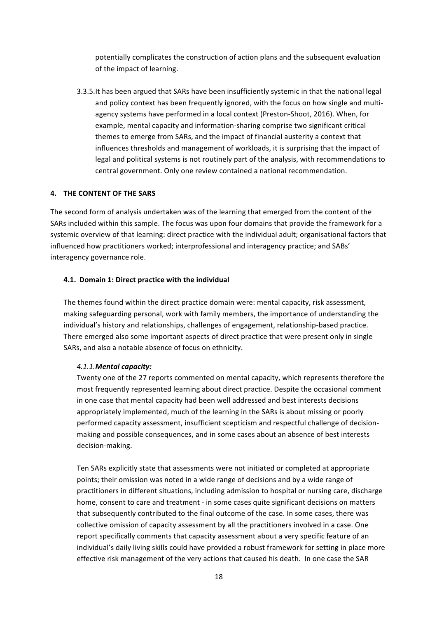potentially complicates the construction of action plans and the subsequent evaluation of the impact of learning.

3.3.5.It has been argued that SARs have been insufficiently systemic in that the national legal and policy context has been frequently ignored, with the focus on how single and multiagency systems have performed in a local context (Preston-Shoot, 2016). When, for example, mental capacity and information-sharing comprise two significant critical themes to emerge from SARs, and the impact of financial austerity a context that influences thresholds and management of workloads, it is surprising that the impact of legal and political systems is not routinely part of the analysis, with recommendations to central government. Only one review contained a national recommendation.

## **4. THE CONTENT OF THE SARS**

The second form of analysis undertaken was of the learning that emerged from the content of the SARs included within this sample. The focus was upon four domains that provide the framework for a systemic overview of that learning: direct practice with the individual adult; organisational factors that influenced how practitioners worked; interprofessional and interagency practice; and SABs' interagency governance role.

#### **4.1. Domain 1: Direct practice with the individual**

The themes found within the direct practice domain were: mental capacity, risk assessment, making safeguarding personal, work with family members, the importance of understanding the individual's history and relationships, challenges of engagement, relationship-based practice. There emerged also some important aspects of direct practice that were present only in single SARs, and also a notable absence of focus on ethnicity.

#### *4.1.1.Mental capacity:*

Twenty one of the 27 reports commented on mental capacity, which represents therefore the most frequently represented learning about direct practice. Despite the occasional comment in one case that mental capacity had been well addressed and best interests decisions appropriately implemented, much of the learning in the SARs is about missing or poorly performed capacity assessment, insufficient scepticism and respectful challenge of decisionmaking and possible consequences, and in some cases about an absence of best interests decision-making. 

Ten SARs explicitly state that assessments were not initiated or completed at appropriate points; their omission was noted in a wide range of decisions and by a wide range of practitioners in different situations, including admission to hospital or nursing care, discharge home, consent to care and treatment - in some cases quite significant decisions on matters that subsequently contributed to the final outcome of the case. In some cases, there was collective omission of capacity assessment by all the practitioners involved in a case. One report specifically comments that capacity assessment about a very specific feature of an individual's daily living skills could have provided a robust framework for setting in place more effective risk management of the very actions that caused his death. In one case the SAR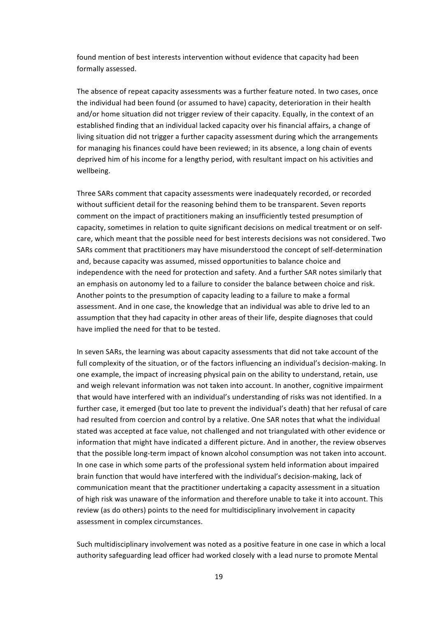found mention of best interests intervention without evidence that capacity had been formally assessed.

The absence of repeat capacity assessments was a further feature noted. In two cases, once the individual had been found (or assumed to have) capacity, deterioration in their health and/or home situation did not trigger review of their capacity. Equally, in the context of an established finding that an individual lacked capacity over his financial affairs, a change of living situation did not trigger a further capacity assessment during which the arrangements for managing his finances could have been reviewed; in its absence, a long chain of events deprived him of his income for a lengthy period, with resultant impact on his activities and wellbeing.

Three SARs comment that capacity assessments were inadequately recorded, or recorded without sufficient detail for the reasoning behind them to be transparent. Seven reports comment on the impact of practitioners making an insufficiently tested presumption of capacity, sometimes in relation to quite significant decisions on medical treatment or on selfcare, which meant that the possible need for best interests decisions was not considered. Two SARs comment that practitioners may have misunderstood the concept of self-determination and, because capacity was assumed, missed opportunities to balance choice and independence with the need for protection and safety. And a further SAR notes similarly that an emphasis on autonomy led to a failure to consider the balance between choice and risk. Another points to the presumption of capacity leading to a failure to make a formal assessment. And in one case, the knowledge that an individual was able to drive led to an assumption that they had capacity in other areas of their life, despite diagnoses that could have implied the need for that to be tested.

In seven SARs, the learning was about capacity assessments that did not take account of the full complexity of the situation, or of the factors influencing an individual's decision-making. In one example, the impact of increasing physical pain on the ability to understand, retain, use and weigh relevant information was not taken into account. In another, cognitive impairment that would have interfered with an individual's understanding of risks was not identified. In a further case, it emerged (but too late to prevent the individual's death) that her refusal of care had resulted from coercion and control by a relative. One SAR notes that what the individual stated was accepted at face value, not challenged and not triangulated with other evidence or information that might have indicated a different picture. And in another, the review observes that the possible long-term impact of known alcohol consumption was not taken into account. In one case in which some parts of the professional system held information about impaired brain function that would have interfered with the individual's decision-making, lack of communication meant that the practitioner undertaking a capacity assessment in a situation of high risk was unaware of the information and therefore unable to take it into account. This review (as do others) points to the need for multidisciplinary involvement in capacity assessment in complex circumstances.

Such multidisciplinary involvement was noted as a positive feature in one case in which a local authority safeguarding lead officer had worked closely with a lead nurse to promote Mental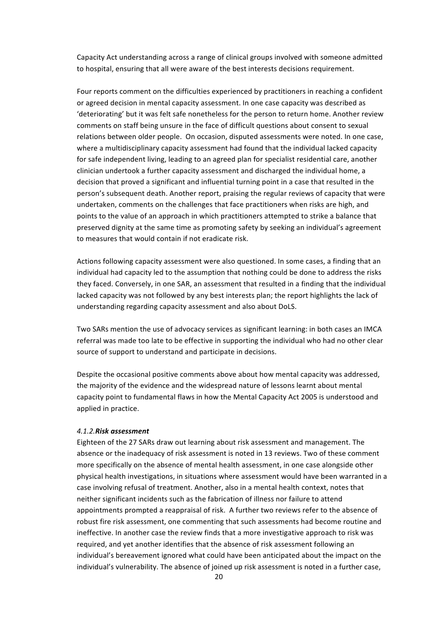Capacity Act understanding across a range of clinical groups involved with someone admitted to hospital, ensuring that all were aware of the best interests decisions requirement.

Four reports comment on the difficulties experienced by practitioners in reaching a confident or agreed decision in mental capacity assessment. In one case capacity was described as 'deteriorating' but it was felt safe nonetheless for the person to return home. Another review comments on staff being unsure in the face of difficult questions about consent to sexual relations between older people. On occasion, disputed assessments were noted. In one case, where a multidisciplinary capacity assessment had found that the individual lacked capacity for safe independent living, leading to an agreed plan for specialist residential care, another clinician undertook a further capacity assessment and discharged the individual home, a decision that proved a significant and influential turning point in a case that resulted in the person's subsequent death. Another report, praising the regular reviews of capacity that were undertaken, comments on the challenges that face practitioners when risks are high, and points to the value of an approach in which practitioners attempted to strike a balance that preserved dignity at the same time as promoting safety by seeking an individual's agreement to measures that would contain if not eradicate risk.

Actions following capacity assessment were also questioned. In some cases, a finding that an individual had capacity led to the assumption that nothing could be done to address the risks they faced. Conversely, in one SAR, an assessment that resulted in a finding that the individual lacked capacity was not followed by any best interests plan; the report highlights the lack of understanding regarding capacity assessment and also about DoLS.

Two SARs mention the use of advocacy services as significant learning: in both cases an IMCA referral was made too late to be effective in supporting the individual who had no other clear source of support to understand and participate in decisions.

Despite the occasional positive comments above about how mental capacity was addressed, the majority of the evidence and the widespread nature of lessons learnt about mental capacity point to fundamental flaws in how the Mental Capacity Act 2005 is understood and applied in practice.

#### *4.1.2.Risk assessment*

Eighteen of the 27 SARs draw out learning about risk assessment and management. The absence or the inadequacy of risk assessment is noted in 13 reviews. Two of these comment more specifically on the absence of mental health assessment, in one case alongside other physical health investigations, in situations where assessment would have been warranted in a case involving refusal of treatment. Another, also in a mental health context, notes that neither significant incidents such as the fabrication of illness nor failure to attend appointments prompted a reappraisal of risk. A further two reviews refer to the absence of robust fire risk assessment, one commenting that such assessments had become routine and ineffective. In another case the review finds that a more investigative approach to risk was required, and yet another identifies that the absence of risk assessment following an individual's bereavement ignored what could have been anticipated about the impact on the individual's vulnerability. The absence of joined up risk assessment is noted in a further case,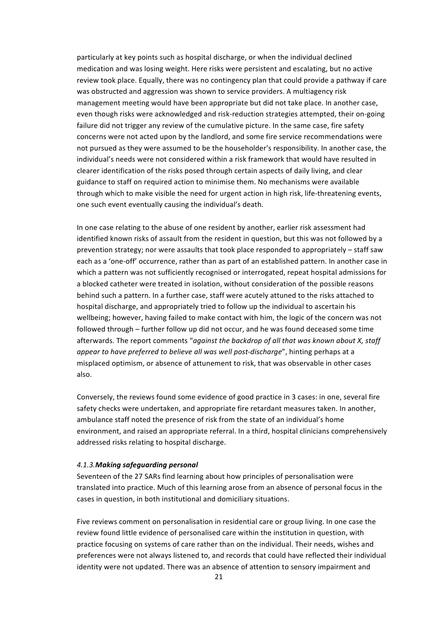particularly at key points such as hospital discharge, or when the individual declined medication and was losing weight. Here risks were persistent and escalating, but no active review took place. Equally, there was no contingency plan that could provide a pathway if care was obstructed and aggression was shown to service providers. A multiagency risk management meeting would have been appropriate but did not take place. In another case, even though risks were acknowledged and risk-reduction strategies attempted, their on-going failure did not trigger any review of the cumulative picture. In the same case, fire safety concerns were not acted upon by the landlord, and some fire service recommendations were not pursued as they were assumed to be the householder's responsibility. In another case, the individual's needs were not considered within a risk framework that would have resulted in clearer identification of the risks posed through certain aspects of daily living, and clear guidance to staff on required action to minimise them. No mechanisms were available through which to make visible the need for urgent action in high risk, life-threatening events, one such event eventually causing the individual's death.

In one case relating to the abuse of one resident by another, earlier risk assessment had identified known risks of assault from the resident in question, but this was not followed by a prevention strategy; nor were assaults that took place responded to appropriately – staff saw each as a 'one-off' occurrence, rather than as part of an established pattern. In another case in which a pattern was not sufficiently recognised or interrogated, repeat hospital admissions for a blocked catheter were treated in isolation, without consideration of the possible reasons behind such a pattern. In a further case, staff were acutely attuned to the risks attached to hospital discharge, and appropriately tried to follow up the individual to ascertain his wellbeing; however, having failed to make contact with him, the logic of the concern was not followed through – further follow up did not occur, and he was found deceased some time afterwards. The report comments "against the backdrop of all that was known about X, staff *appear* to have preferred to believe all was well post-discharge", hinting perhaps at a misplaced optimism, or absence of attunement to risk, that was observable in other cases also.

Conversely, the reviews found some evidence of good practice in 3 cases: in one, several fire safety checks were undertaken, and appropriate fire retardant measures taken. In another, ambulance staff noted the presence of risk from the state of an individual's home environment, and raised an appropriate referral. In a third, hospital clinicians comprehensively addressed risks relating to hospital discharge.

#### *4.1.3.Making safeguarding personal*

Seventeen of the 27 SARs find learning about how principles of personalisation were translated into practice. Much of this learning arose from an absence of personal focus in the cases in question, in both institutional and domiciliary situations.

Five reviews comment on personalisation in residential care or group living. In one case the review found little evidence of personalised care within the institution in question, with practice focusing on systems of care rather than on the individual. Their needs, wishes and preferences were not always listened to, and records that could have reflected their individual identity were not updated. There was an absence of attention to sensory impairment and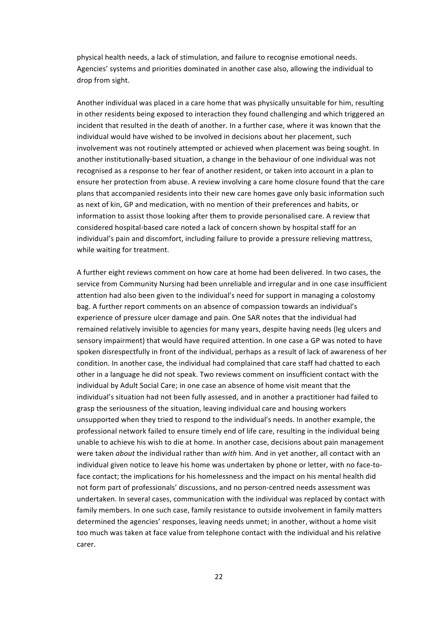physical health needs, a lack of stimulation, and failure to recognise emotional needs. Agencies' systems and priorities dominated in another case also, allowing the individual to drop from sight.

Another individual was placed in a care home that was physically unsuitable for him, resulting in other residents being exposed to interaction they found challenging and which triggered an incident that resulted in the death of another. In a further case, where it was known that the individual would have wished to be involved in decisions about her placement, such involvement was not routinely attempted or achieved when placement was being sought. In another institutionally-based situation, a change in the behaviour of one individual was not recognised as a response to her fear of another resident, or taken into account in a plan to ensure her protection from abuse. A review involving a care home closure found that the care plans that accompanied residents into their new care homes gave only basic information such as next of kin, GP and medication, with no mention of their preferences and habits, or information to assist those looking after them to provide personalised care. A review that considered hospital-based care noted a lack of concern shown by hospital staff for an individual's pain and discomfort, including failure to provide a pressure relieving mattress, while waiting for treatment.

A further eight reviews comment on how care at home had been delivered. In two cases, the service from Community Nursing had been unreliable and irregular and in one case insufficient attention had also been given to the individual's need for support in managing a colostomy bag. A further report comments on an absence of compassion towards an individual's experience of pressure ulcer damage and pain. One SAR notes that the individual had remained relatively invisible to agencies for many years, despite having needs (leg ulcers and sensory impairment) that would have required attention. In one case a GP was noted to have spoken disrespectfully in front of the individual, perhaps as a result of lack of awareness of her condition. In another case, the individual had complained that care staff had chatted to each other in a language he did not speak. Two reviews comment on insufficient contact with the individual by Adult Social Care; in one case an absence of home visit meant that the individual's situation had not been fully assessed, and in another a practitioner had failed to grasp the seriousness of the situation, leaving individual care and housing workers unsupported when they tried to respond to the individual's needs. In another example, the professional network failed to ensure timely end of life care, resulting in the individual being unable to achieve his wish to die at home. In another case, decisions about pain management were taken *about* the individual rather than *with* him. And in yet another, all contact with an individual given notice to leave his home was undertaken by phone or letter, with no face-toface contact; the implications for his homelessness and the impact on his mental health did not form part of professionals' discussions, and no person-centred needs assessment was undertaken. In several cases, communication with the individual was replaced by contact with family members. In one such case, family resistance to outside involvement in family matters determined the agencies' responses, leaving needs unmet; in another, without a home visit too much was taken at face value from telephone contact with the individual and his relative carer.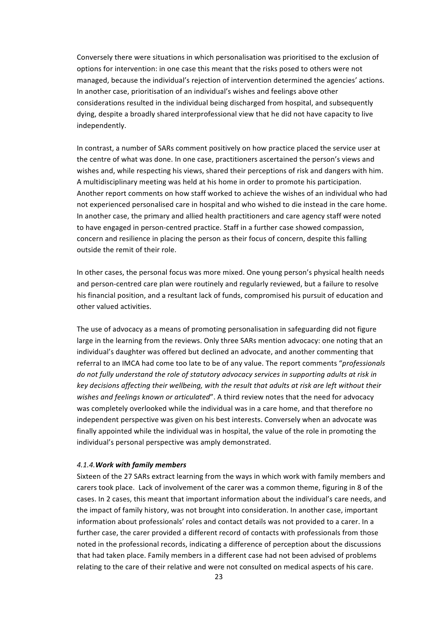Conversely there were situations in which personalisation was prioritised to the exclusion of options for intervention: in one case this meant that the risks posed to others were not managed, because the individual's rejection of intervention determined the agencies' actions. In another case, prioritisation of an individual's wishes and feelings above other considerations resulted in the individual being discharged from hospital, and subsequently dying, despite a broadly shared interprofessional view that he did not have capacity to live independently.

In contrast, a number of SARs comment positively on how practice placed the service user at the centre of what was done. In one case, practitioners ascertained the person's views and wishes and, while respecting his views, shared their perceptions of risk and dangers with him. A multidisciplinary meeting was held at his home in order to promote his participation. Another report comments on how staff worked to achieve the wishes of an individual who had not experienced personalised care in hospital and who wished to die instead in the care home. In another case, the primary and allied health practitioners and care agency staff were noted to have engaged in person-centred practice. Staff in a further case showed compassion, concern and resilience in placing the person as their focus of concern, despite this falling outside the remit of their role.

In other cases, the personal focus was more mixed. One young person's physical health needs and person-centred care plan were routinely and regularly reviewed, but a failure to resolve his financial position, and a resultant lack of funds, compromised his pursuit of education and other valued activities.

The use of advocacy as a means of promoting personalisation in safeguarding did not figure large in the learning from the reviews. Only three SARs mention advocacy: one noting that an individual's daughter was offered but declined an advocate, and another commenting that referral to an IMCA had come too late to be of any value. The report comments "*professionals* do not fully understand the role of statutory advocacy services in supporting adults at risk in key decisions affecting their wellbeing, with the result that adults at risk are left without their wishes and feelings known or articulated". A third review notes that the need for advocacy was completely overlooked while the individual was in a care home, and that therefore no independent perspective was given on his best interests. Conversely when an advocate was finally appointed while the individual was in hospital, the value of the role in promoting the individual's personal perspective was amply demonstrated.

## *4.1.4.Work with family members*

Sixteen of the 27 SARs extract learning from the ways in which work with family members and carers took place. Lack of involvement of the carer was a common theme, figuring in 8 of the cases. In 2 cases, this meant that important information about the individual's care needs, and the impact of family history, was not brought into consideration. In another case, important information about professionals' roles and contact details was not provided to a carer. In a further case, the carer provided a different record of contacts with professionals from those noted in the professional records, indicating a difference of perception about the discussions that had taken place. Family members in a different case had not been advised of problems relating to the care of their relative and were not consulted on medical aspects of his care.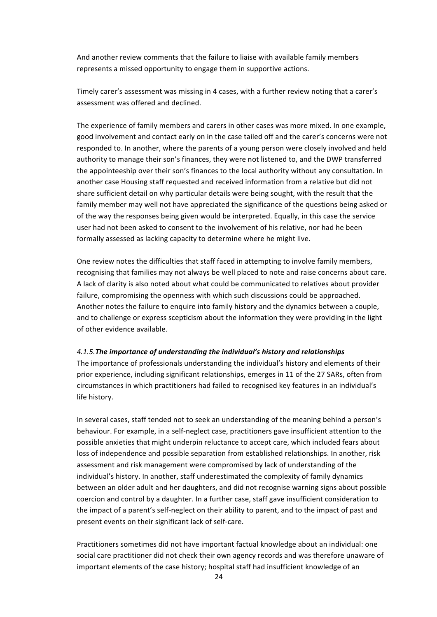And another review comments that the failure to liaise with available family members represents a missed opportunity to engage them in supportive actions.

Timely carer's assessment was missing in 4 cases, with a further review noting that a carer's assessment was offered and declined.

The experience of family members and carers in other cases was more mixed. In one example, good involvement and contact early on in the case tailed off and the carer's concerns were not responded to. In another, where the parents of a young person were closely involved and held authority to manage their son's finances, they were not listened to, and the DWP transferred the appointeeship over their son's finances to the local authority without any consultation. In another case Housing staff requested and received information from a relative but did not share sufficient detail on why particular details were being sought, with the result that the family member may well not have appreciated the significance of the questions being asked or of the way the responses being given would be interpreted. Equally, in this case the service user had not been asked to consent to the involvement of his relative, nor had he been formally assessed as lacking capacity to determine where he might live.

One review notes the difficulties that staff faced in attempting to involve family members, recognising that families may not always be well placed to note and raise concerns about care. A lack of clarity is also noted about what could be communicated to relatives about provider failure, compromising the openness with which such discussions could be approached. Another notes the failure to enquire into family history and the dynamics between a couple, and to challenge or express scepticism about the information they were providing in the light of other evidence available.

#### *4.1.5.The importance of understanding the individual's history and relationships*

The importance of professionals understanding the individual's history and elements of their prior experience, including significant relationships, emerges in 11 of the 27 SARs, often from circumstances in which practitioners had failed to recognised key features in an individual's life history.

In several cases, staff tended not to seek an understanding of the meaning behind a person's behaviour. For example, in a self-neglect case, practitioners gave insufficient attention to the possible anxieties that might underpin reluctance to accept care, which included fears about loss of independence and possible separation from established relationships. In another, risk assessment and risk management were compromised by lack of understanding of the individual's history. In another, staff underestimated the complexity of family dynamics between an older adult and her daughters, and did not recognise warning signs about possible coercion and control by a daughter. In a further case, staff gave insufficient consideration to the impact of a parent's self-neglect on their ability to parent, and to the impact of past and present events on their significant lack of self-care.

Practitioners sometimes did not have important factual knowledge about an individual: one social care practitioner did not check their own agency records and was therefore unaware of important elements of the case history; hospital staff had insufficient knowledge of an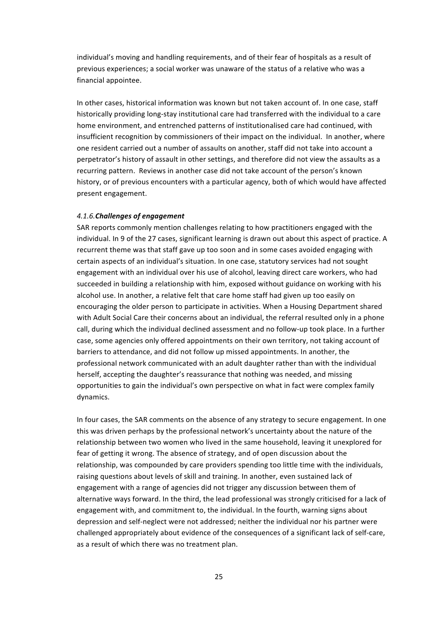individual's moving and handling requirements, and of their fear of hospitals as a result of previous experiences; a social worker was unaware of the status of a relative who was a financial appointee.

In other cases, historical information was known but not taken account of. In one case, staff historically providing long-stay institutional care had transferred with the individual to a care home environment, and entrenched patterns of institutionalised care had continued, with insufficient recognition by commissioners of their impact on the individual. In another, where one resident carried out a number of assaults on another, staff did not take into account a perpetrator's history of assault in other settings, and therefore did not view the assaults as a recurring pattern. Reviews in another case did not take account of the person's known history, or of previous encounters with a particular agency, both of which would have affected present engagement.

## **4.1.6.** Challenges of engagement

SAR reports commonly mention challenges relating to how practitioners engaged with the individual. In 9 of the 27 cases, significant learning is drawn out about this aspect of practice. A recurrent theme was that staff gave up too soon and in some cases avoided engaging with certain aspects of an individual's situation. In one case, statutory services had not sought engagement with an individual over his use of alcohol, leaving direct care workers, who had succeeded in building a relationship with him, exposed without guidance on working with his alcohol use. In another, a relative felt that care home staff had given up too easily on encouraging the older person to participate in activities. When a Housing Department shared with Adult Social Care their concerns about an individual, the referral resulted only in a phone call, during which the individual declined assessment and no follow-up took place. In a further case, some agencies only offered appointments on their own territory, not taking account of barriers to attendance, and did not follow up missed appointments. In another, the professional network communicated with an adult daughter rather than with the individual herself, accepting the daughter's reassurance that nothing was needed, and missing opportunities to gain the individual's own perspective on what in fact were complex family dynamics.

In four cases, the SAR comments on the absence of any strategy to secure engagement. In one this was driven perhaps by the professional network's uncertainty about the nature of the relationship between two women who lived in the same household, leaving it unexplored for fear of getting it wrong. The absence of strategy, and of open discussion about the relationship, was compounded by care providers spending too little time with the individuals, raising questions about levels of skill and training. In another, even sustained lack of engagement with a range of agencies did not trigger any discussion between them of alternative ways forward. In the third, the lead professional was strongly criticised for a lack of engagement with, and commitment to, the individual. In the fourth, warning signs about depression and self-neglect were not addressed; neither the individual nor his partner were challenged appropriately about evidence of the consequences of a significant lack of self-care, as a result of which there was no treatment plan.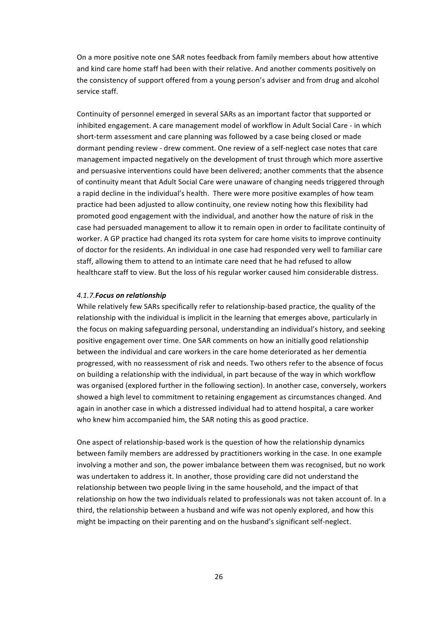On a more positive note one SAR notes feedback from family members about how attentive and kind care home staff had been with their relative. And another comments positively on the consistency of support offered from a young person's adviser and from drug and alcohol service staff.

Continuity of personnel emerged in several SARs as an important factor that supported or inhibited engagement. A care management model of workflow in Adult Social Care - in which short-term assessment and care planning was followed by a case being closed or made dormant pending review - drew comment. One review of a self-neglect case notes that care management impacted negatively on the development of trust through which more assertive and persuasive interventions could have been delivered; another comments that the absence of continuity meant that Adult Social Care were unaware of changing needs triggered through a rapid decline in the individual's health. There were more positive examples of how team practice had been adjusted to allow continuity, one review noting how this flexibility had promoted good engagement with the individual, and another how the nature of risk in the case had persuaded management to allow it to remain open in order to facilitate continuity of worker. A GP practice had changed its rota system for care home visits to improve continuity of doctor for the residents. An individual in one case had responded very well to familiar care staff, allowing them to attend to an intimate care need that he had refused to allow healthcare staff to view. But the loss of his regular worker caused him considerable distress.

## *4.1.7.Focus on relationship*

While relatively few SARs specifically refer to relationship-based practice, the quality of the relationship with the individual is implicit in the learning that emerges above, particularly in the focus on making safeguarding personal, understanding an individual's history, and seeking positive engagement over time. One SAR comments on how an initially good relationship between the individual and care workers in the care home deteriorated as her dementia progressed, with no reassessment of risk and needs. Two others refer to the absence of focus on building a relationship with the individual, in part because of the way in which workflow was organised (explored further in the following section). In another case, conversely, workers showed a high level to commitment to retaining engagement as circumstances changed. And again in another case in which a distressed individual had to attend hospital, a care worker who knew him accompanied him, the SAR noting this as good practice.

One aspect of relationship-based work is the question of how the relationship dynamics between family members are addressed by practitioners working in the case. In one example involving a mother and son, the power imbalance between them was recognised, but no work was undertaken to address it. In another, those providing care did not understand the relationship between two people living in the same household, and the impact of that relationship on how the two individuals related to professionals was not taken account of. In a third, the relationship between a husband and wife was not openly explored, and how this might be impacting on their parenting and on the husband's significant self-neglect.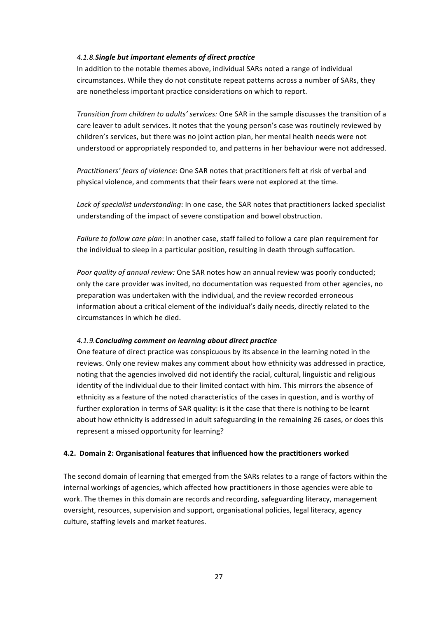## *4.1.8.Single but important elements of direct practice*

In addition to the notable themes above, individual SARs noted a range of individual circumstances. While they do not constitute repeat patterns across a number of SARs, they are nonetheless important practice considerations on which to report.

*Transition from children to adults' services:* One SAR in the sample discusses the transition of a care leaver to adult services. It notes that the young person's case was routinely reviewed by children's services, but there was no joint action plan, her mental health needs were not understood or appropriately responded to, and patterns in her behaviour were not addressed.

*Practitioners' fears of violence*: One SAR notes that practitioners felt at risk of verbal and physical violence, and comments that their fears were not explored at the time.

Lack of specialist understanding: In one case, the SAR notes that practitioners lacked specialist understanding of the impact of severe constipation and bowel obstruction.

*Failure to follow care plan*: In another case, staff failed to follow a care plan requirement for the individual to sleep in a particular position, resulting in death through suffocation.

*Poor quality of annual review:* One SAR notes how an annual review was poorly conducted; only the care provider was invited, no documentation was requested from other agencies, no preparation was undertaken with the individual, and the review recorded erroneous information about a critical element of the individual's daily needs, directly related to the circumstances in which he died.

## *4.1.9.Concluding comment on learning about direct practice*

One feature of direct practice was conspicuous by its absence in the learning noted in the reviews. Only one review makes any comment about how ethnicity was addressed in practice, noting that the agencies involved did not identify the racial, cultural, linguistic and religious identity of the individual due to their limited contact with him. This mirrors the absence of ethnicity as a feature of the noted characteristics of the cases in question, and is worthy of further exploration in terms of SAR quality: is it the case that there is nothing to be learnt about how ethnicity is addressed in adult safeguarding in the remaining 26 cases, or does this represent a missed opportunity for learning?

## **4.2. Domain 2: Organisational features that influenced how the practitioners worked**

The second domain of learning that emerged from the SARs relates to a range of factors within the internal workings of agencies, which affected how practitioners in those agencies were able to work. The themes in this domain are records and recording, safeguarding literacy, management oversight, resources, supervision and support, organisational policies, legal literacy, agency culture, staffing levels and market features.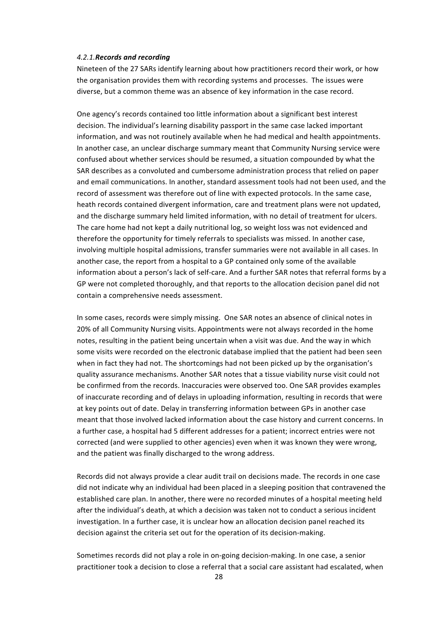#### *4.2.1.Records and recording*

Nineteen of the 27 SARs identify learning about how practitioners record their work, or how the organisation provides them with recording systems and processes. The issues were diverse, but a common theme was an absence of key information in the case record.

One agency's records contained too little information about a significant best interest decision. The individual's learning disability passport in the same case lacked important information, and was not routinely available when he had medical and health appointments. In another case, an unclear discharge summary meant that Community Nursing service were confused about whether services should be resumed, a situation compounded by what the SAR describes as a convoluted and cumbersome administration process that relied on paper and email communications. In another, standard assessment tools had not been used, and the record of assessment was therefore out of line with expected protocols. In the same case, heath records contained divergent information, care and treatment plans were not updated, and the discharge summary held limited information, with no detail of treatment for ulcers. The care home had not kept a daily nutritional log, so weight loss was not evidenced and therefore the opportunity for timely referrals to specialists was missed. In another case, involving multiple hospital admissions, transfer summaries were not available in all cases. In another case, the report from a hospital to a GP contained only some of the available information about a person's lack of self-care. And a further SAR notes that referral forms by a GP were not completed thoroughly, and that reports to the allocation decision panel did not contain a comprehensive needs assessment.

In some cases, records were simply missing. One SAR notes an absence of clinical notes in 20% of all Community Nursing visits. Appointments were not always recorded in the home notes, resulting in the patient being uncertain when a visit was due. And the way in which some visits were recorded on the electronic database implied that the patient had been seen when in fact they had not. The shortcomings had not been picked up by the organisation's quality assurance mechanisms. Another SAR notes that a tissue viability nurse visit could not be confirmed from the records. Inaccuracies were observed too. One SAR provides examples of inaccurate recording and of delays in uploading information, resulting in records that were at key points out of date. Delay in transferring information between GPs in another case meant that those involved lacked information about the case history and current concerns. In a further case, a hospital had 5 different addresses for a patient; incorrect entries were not corrected (and were supplied to other agencies) even when it was known they were wrong, and the patient was finally discharged to the wrong address.

Records did not always provide a clear audit trail on decisions made. The records in one case did not indicate why an individual had been placed in a sleeping position that contravened the established care plan. In another, there were no recorded minutes of a hospital meeting held after the individual's death, at which a decision was taken not to conduct a serious incident investigation. In a further case, it is unclear how an allocation decision panel reached its decision against the criteria set out for the operation of its decision-making.

Sometimes records did not play a role in on-going decision-making. In one case, a senior practitioner took a decision to close a referral that a social care assistant had escalated, when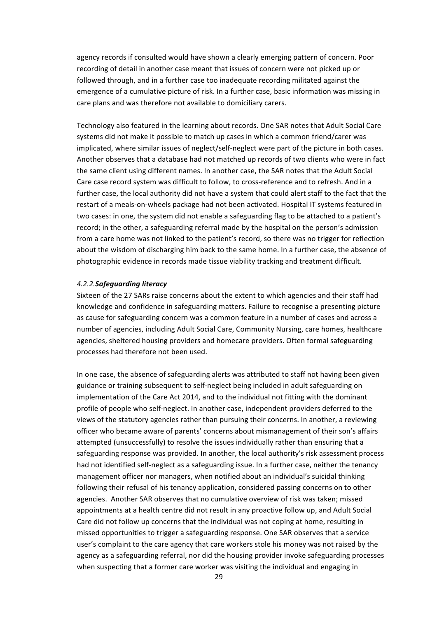agency records if consulted would have shown a clearly emerging pattern of concern. Poor recording of detail in another case meant that issues of concern were not picked up or followed through, and in a further case too inadequate recording militated against the emergence of a cumulative picture of risk. In a further case, basic information was missing in care plans and was therefore not available to domiciliary carers.

Technology also featured in the learning about records. One SAR notes that Adult Social Care systems did not make it possible to match up cases in which a common friend/carer was implicated, where similar issues of neglect/self-neglect were part of the picture in both cases. Another observes that a database had not matched up records of two clients who were in fact the same client using different names. In another case, the SAR notes that the Adult Social Care case record system was difficult to follow, to cross-reference and to refresh. And in a further case, the local authority did not have a system that could alert staff to the fact that the restart of a meals-on-wheels package had not been activated. Hospital IT systems featured in two cases: in one, the system did not enable a safeguarding flag to be attached to a patient's record; in the other, a safeguarding referral made by the hospital on the person's admission from a care home was not linked to the patient's record, so there was no trigger for reflection about the wisdom of discharging him back to the same home. In a further case, the absence of photographic evidence in records made tissue viability tracking and treatment difficult.

#### *4.2.2.Safeguarding literacy*

Sixteen of the 27 SARs raise concerns about the extent to which agencies and their staff had knowledge and confidence in safeguarding matters. Failure to recognise a presenting picture as cause for safeguarding concern was a common feature in a number of cases and across a number of agencies, including Adult Social Care, Community Nursing, care homes, healthcare agencies, sheltered housing providers and homecare providers. Often formal safeguarding processes had therefore not been used.

In one case, the absence of safeguarding alerts was attributed to staff not having been given guidance or training subsequent to self-neglect being included in adult safeguarding on implementation of the Care Act 2014, and to the individual not fitting with the dominant profile of people who self-neglect. In another case, independent providers deferred to the views of the statutory agencies rather than pursuing their concerns. In another, a reviewing officer who became aware of parents' concerns about mismanagement of their son's affairs attempted (unsuccessfully) to resolve the issues individually rather than ensuring that a safeguarding response was provided. In another, the local authority's risk assessment process had not identified self-neglect as a safeguarding issue. In a further case, neither the tenancy management officer nor managers, when notified about an individual's suicidal thinking following their refusal of his tenancy application, considered passing concerns on to other agencies. Another SAR observes that no cumulative overview of risk was taken; missed appointments at a health centre did not result in any proactive follow up, and Adult Social Care did not follow up concerns that the individual was not coping at home, resulting in missed opportunities to trigger a safeguarding response. One SAR observes that a service user's complaint to the care agency that care workers stole his money was not raised by the agency as a safeguarding referral, nor did the housing provider invoke safeguarding processes when suspecting that a former care worker was visiting the individual and engaging in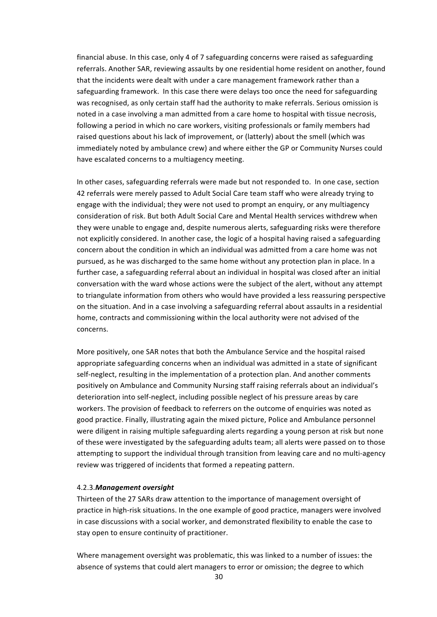financial abuse. In this case, only 4 of 7 safeguarding concerns were raised as safeguarding referrals. Another SAR, reviewing assaults by one residential home resident on another, found that the incidents were dealt with under a care management framework rather than a safeguarding framework. In this case there were delays too once the need for safeguarding was recognised, as only certain staff had the authority to make referrals. Serious omission is noted in a case involving a man admitted from a care home to hospital with tissue necrosis, following a period in which no care workers, visiting professionals or family members had raised questions about his lack of improvement, or (latterly) about the smell (which was immediately noted by ambulance crew) and where either the GP or Community Nurses could have escalated concerns to a multiagency meeting.

In other cases, safeguarding referrals were made but not responded to. In one case, section 42 referrals were merely passed to Adult Social Care team staff who were already trying to engage with the individual; they were not used to prompt an enquiry, or any multiagency consideration of risk. But both Adult Social Care and Mental Health services withdrew when they were unable to engage and, despite numerous alerts, safeguarding risks were therefore not explicitly considered. In another case, the logic of a hospital having raised a safeguarding concern about the condition in which an individual was admitted from a care home was not pursued, as he was discharged to the same home without any protection plan in place. In a further case, a safeguarding referral about an individual in hospital was closed after an initial conversation with the ward whose actions were the subject of the alert, without any attempt to triangulate information from others who would have provided a less reassuring perspective on the situation. And in a case involving a safeguarding referral about assaults in a residential home, contracts and commissioning within the local authority were not advised of the concerns. 

More positively, one SAR notes that both the Ambulance Service and the hospital raised appropriate safeguarding concerns when an individual was admitted in a state of significant self-neglect, resulting in the implementation of a protection plan. And another comments positively on Ambulance and Community Nursing staff raising referrals about an individual's deterioration into self-neglect, including possible neglect of his pressure areas by care workers. The provision of feedback to referrers on the outcome of enquiries was noted as good practice. Finally, illustrating again the mixed picture, Police and Ambulance personnel were diligent in raising multiple safeguarding alerts regarding a young person at risk but none of these were investigated by the safeguarding adults team; all alerts were passed on to those attempting to support the individual through transition from leaving care and no multi-agency review was triggered of incidents that formed a repeating pattern.

#### 4.2.3.*Management oversight*

Thirteen of the 27 SARs draw attention to the importance of management oversight of practice in high-risk situations. In the one example of good practice, managers were involved in case discussions with a social worker, and demonstrated flexibility to enable the case to stay open to ensure continuity of practitioner.

Where management oversight was problematic, this was linked to a number of issues: the absence of systems that could alert managers to error or omission; the degree to which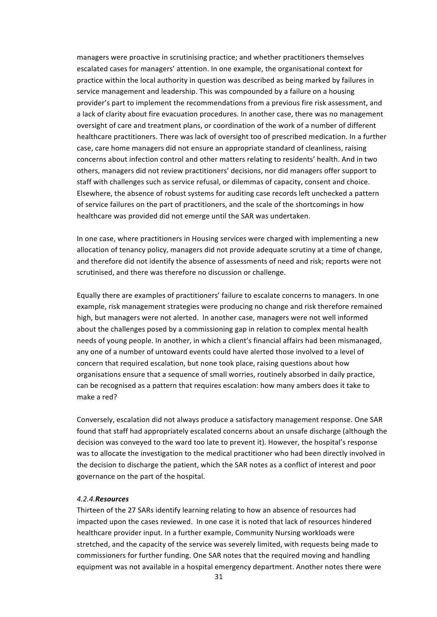managers were proactive in scrutinising practice; and whether practitioners themselves escalated cases for managers' attention. In one example, the organisational context for practice within the local authority in question was described as being marked by failures in service management and leadership. This was compounded by a failure on a housing provider's part to implement the recommendations from a previous fire risk assessment, and a lack of clarity about fire evacuation procedures. In another case, there was no management oversight of care and treatment plans, or coordination of the work of a number of different healthcare practitioners. There was lack of oversight too of prescribed medication. In a further case, care home managers did not ensure an appropriate standard of cleanliness, raising concerns about infection control and other matters relating to residents' health. And in two others, managers did not review practitioners' decisions, nor did managers offer support to staff with challenges such as service refusal, or dilemmas of capacity, consent and choice. Elsewhere, the absence of robust systems for auditing case records left unchecked a pattern of service failures on the part of practitioners, and the scale of the shortcomings in how healthcare was provided did not emerge until the SAR was undertaken.

In one case, where practitioners in Housing services were charged with implementing a new allocation of tenancy policy, managers did not provide adequate scrutiny at a time of change, and therefore did not identify the absence of assessments of need and risk; reports were not scrutinised, and there was therefore no discussion or challenge.

Equally there are examples of practitioners' failure to escalate concerns to managers. In one example, risk management strategies were producing no change and risk therefore remained high, but managers were not alerted. In another case, managers were not well informed about the challenges posed by a commissioning gap in relation to complex mental health needs of young people. In another, in which a client's financial affairs had been mismanaged, any one of a number of untoward events could have alerted those involved to a level of concern that required escalation, but none took place, raising questions about how organisations ensure that a sequence of small worries, routinely absorbed in daily practice, can be recognised as a pattern that requires escalation: how many ambers does it take to make a red?

Conversely, escalation did not always produce a satisfactory management response. One SAR found that staff had appropriately escalated concerns about an unsafe discharge (although the decision was conveyed to the ward too late to prevent it). However, the hospital's response was to allocate the investigation to the medical practitioner who had been directly involved in the decision to discharge the patient, which the SAR notes as a conflict of interest and poor governance on the part of the hospital.

#### *4.2.4.Resources*

Thirteen of the 27 SARs identify learning relating to how an absence of resources had impacted upon the cases reviewed. In one case it is noted that lack of resources hindered healthcare provider input. In a further example, Community Nursing workloads were stretched, and the capacity of the service was severely limited, with requests being made to commissioners for further funding. One SAR notes that the required moving and handling equipment was not available in a hospital emergency department. Another notes there were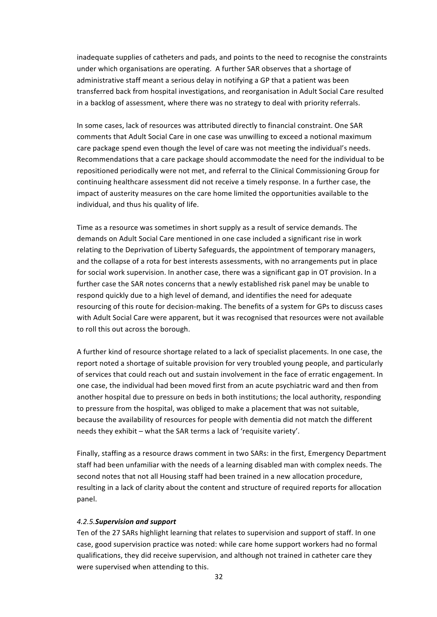inadequate supplies of catheters and pads, and points to the need to recognise the constraints under which organisations are operating. A further SAR observes that a shortage of administrative staff meant a serious delay in notifying a GP that a patient was been transferred back from hospital investigations, and reorganisation in Adult Social Care resulted in a backlog of assessment, where there was no strategy to deal with priority referrals.

In some cases, lack of resources was attributed directly to financial constraint. One SAR comments that Adult Social Care in one case was unwilling to exceed a notional maximum care package spend even though the level of care was not meeting the individual's needs. Recommendations that a care package should accommodate the need for the individual to be repositioned periodically were not met, and referral to the Clinical Commissioning Group for continuing healthcare assessment did not receive a timely response. In a further case, the impact of austerity measures on the care home limited the opportunities available to the individual, and thus his quality of life.

Time as a resource was sometimes in short supply as a result of service demands. The demands on Adult Social Care mentioned in one case included a significant rise in work relating to the Deprivation of Liberty Safeguards, the appointment of temporary managers, and the collapse of a rota for best interests assessments, with no arrangements put in place for social work supervision. In another case, there was a significant gap in OT provision. In a further case the SAR notes concerns that a newly established risk panel may be unable to respond quickly due to a high level of demand, and identifies the need for adequate resourcing of this route for decision-making. The benefits of a system for GPs to discuss cases with Adult Social Care were apparent, but it was recognised that resources were not available to roll this out across the borough.

A further kind of resource shortage related to a lack of specialist placements. In one case, the report noted a shortage of suitable provision for very troubled young people, and particularly of services that could reach out and sustain involvement in the face of erratic engagement. In one case, the individual had been moved first from an acute psychiatric ward and then from another hospital due to pressure on beds in both institutions; the local authority, responding to pressure from the hospital, was obliged to make a placement that was not suitable, because the availability of resources for people with dementia did not match the different needs they exhibit – what the SAR terms a lack of 'requisite variety'.

Finally, staffing as a resource draws comment in two SARs: in the first, Emergency Department staff had been unfamiliar with the needs of a learning disabled man with complex needs. The second notes that not all Housing staff had been trained in a new allocation procedure, resulting in a lack of clarity about the content and structure of required reports for allocation panel.

## *4.2.5.Supervision and support*

Ten of the 27 SARs highlight learning that relates to supervision and support of staff. In one case, good supervision practice was noted: while care home support workers had no formal qualifications, they did receive supervision, and although not trained in catheter care they were supervised when attending to this.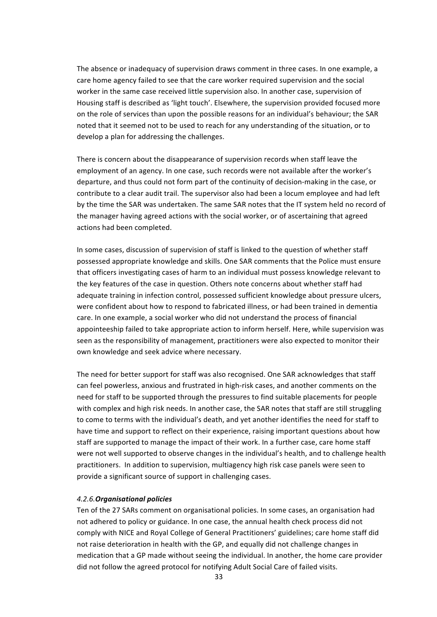The absence or inadequacy of supervision draws comment in three cases. In one example, a care home agency failed to see that the care worker required supervision and the social worker in the same case received little supervision also. In another case, supervision of Housing staff is described as 'light touch'. Elsewhere, the supervision provided focused more on the role of services than upon the possible reasons for an individual's behaviour; the SAR noted that it seemed not to be used to reach for any understanding of the situation, or to develop a plan for addressing the challenges.

There is concern about the disappearance of supervision records when staff leave the employment of an agency. In one case, such records were not available after the worker's departure, and thus could not form part of the continuity of decision-making in the case, or contribute to a clear audit trail. The supervisor also had been a locum employee and had left by the time the SAR was undertaken. The same SAR notes that the IT system held no record of the manager having agreed actions with the social worker, or of ascertaining that agreed actions had been completed.

In some cases, discussion of supervision of staff is linked to the question of whether staff possessed appropriate knowledge and skills. One SAR comments that the Police must ensure that officers investigating cases of harm to an individual must possess knowledge relevant to the key features of the case in question. Others note concerns about whether staff had adequate training in infection control, possessed sufficient knowledge about pressure ulcers, were confident about how to respond to fabricated illness, or had been trained in dementia care. In one example, a social worker who did not understand the process of financial appointeeship failed to take appropriate action to inform herself. Here, while supervision was seen as the responsibility of management, practitioners were also expected to monitor their own knowledge and seek advice where necessary.

The need for better support for staff was also recognised. One SAR acknowledges that staff can feel powerless, anxious and frustrated in high-risk cases, and another comments on the need for staff to be supported through the pressures to find suitable placements for people with complex and high risk needs. In another case, the SAR notes that staff are still struggling to come to terms with the individual's death, and yet another identifies the need for staff to have time and support to reflect on their experience, raising important questions about how staff are supported to manage the impact of their work. In a further case, care home staff were not well supported to observe changes in the individual's health, and to challenge health practitioners. In addition to supervision, multiagency high risk case panels were seen to provide a significant source of support in challenging cases.

#### *4.2.6.Organisational policies*

Ten of the 27 SARs comment on organisational policies. In some cases, an organisation had not adhered to policy or guidance. In one case, the annual health check process did not comply with NICE and Royal College of General Practitioners' guidelines; care home staff did not raise deterioration in health with the GP, and equally did not challenge changes in medication that a GP made without seeing the individual. In another, the home care provider did not follow the agreed protocol for notifying Adult Social Care of failed visits.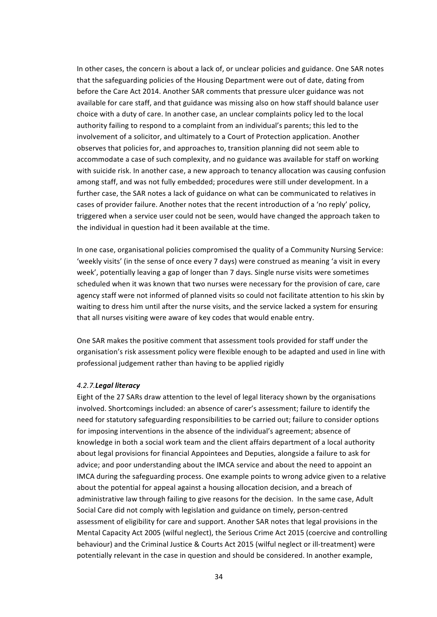In other cases, the concern is about a lack of, or unclear policies and guidance. One SAR notes that the safeguarding policies of the Housing Department were out of date, dating from before the Care Act 2014. Another SAR comments that pressure ulcer guidance was not available for care staff, and that guidance was missing also on how staff should balance user choice with a duty of care. In another case, an unclear complaints policy led to the local authority failing to respond to a complaint from an individual's parents; this led to the involvement of a solicitor, and ultimately to a Court of Protection application. Another observes that policies for, and approaches to, transition planning did not seem able to accommodate a case of such complexity, and no guidance was available for staff on working with suicide risk. In another case, a new approach to tenancy allocation was causing confusion among staff, and was not fully embedded; procedures were still under development. In a further case, the SAR notes a lack of guidance on what can be communicated to relatives in cases of provider failure. Another notes that the recent introduction of a 'no reply' policy, triggered when a service user could not be seen, would have changed the approach taken to the individual in question had it been available at the time.

In one case, organisational policies compromised the quality of a Community Nursing Service: 'weekly visits' (in the sense of once every 7 days) were construed as meaning 'a visit in every week', potentially leaving a gap of longer than 7 days. Single nurse visits were sometimes scheduled when it was known that two nurses were necessary for the provision of care, care agency staff were not informed of planned visits so could not facilitate attention to his skin by waiting to dress him until after the nurse visits, and the service lacked a system for ensuring that all nurses visiting were aware of key codes that would enable entry.

One SAR makes the positive comment that assessment tools provided for staff under the organisation's risk assessment policy were flexible enough to be adapted and used in line with professional judgement rather than having to be applied rigidly

#### *4.2.7.Legal literacy*

Eight of the 27 SARs draw attention to the level of legal literacy shown by the organisations involved. Shortcomings included: an absence of carer's assessment; failure to identify the need for statutory safeguarding responsibilities to be carried out; failure to consider options for imposing interventions in the absence of the individual's agreement: absence of knowledge in both a social work team and the client affairs department of a local authority about legal provisions for financial Appointees and Deputies, alongside a failure to ask for advice; and poor understanding about the IMCA service and about the need to appoint an IMCA during the safeguarding process. One example points to wrong advice given to a relative about the potential for appeal against a housing allocation decision, and a breach of administrative law through failing to give reasons for the decision. In the same case, Adult Social Care did not comply with legislation and guidance on timely, person-centred assessment of eligibility for care and support. Another SAR notes that legal provisions in the Mental Capacity Act 2005 (wilful neglect), the Serious Crime Act 2015 (coercive and controlling behaviour) and the Criminal Justice & Courts Act 2015 (wilful neglect or ill-treatment) were potentially relevant in the case in question and should be considered. In another example,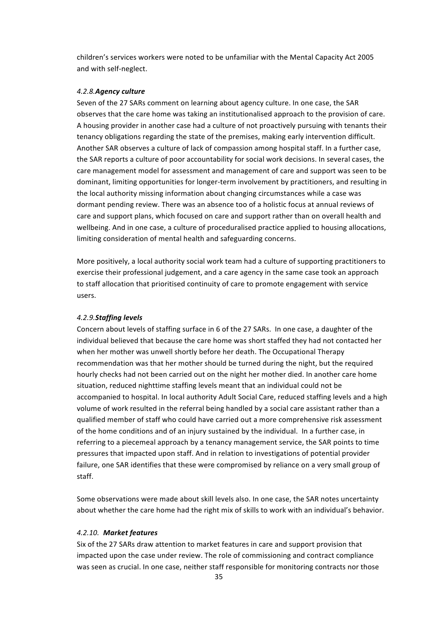children's services workers were noted to be unfamiliar with the Mental Capacity Act 2005 and with self-neglect.

#### *4.2.8.Agency culture*

Seven of the 27 SARs comment on learning about agency culture. In one case, the SAR observes that the care home was taking an institutionalised approach to the provision of care. A housing provider in another case had a culture of not proactively pursuing with tenants their tenancy obligations regarding the state of the premises, making early intervention difficult. Another SAR observes a culture of lack of compassion among hospital staff. In a further case, the SAR reports a culture of poor accountability for social work decisions. In several cases, the care management model for assessment and management of care and support was seen to be dominant, limiting opportunities for longer-term involvement by practitioners, and resulting in the local authority missing information about changing circumstances while a case was dormant pending review. There was an absence too of a holistic focus at annual reviews of care and support plans, which focused on care and support rather than on overall health and wellbeing. And in one case, a culture of proceduralised practice applied to housing allocations, limiting consideration of mental health and safeguarding concerns.

More positively, a local authority social work team had a culture of supporting practitioners to exercise their professional judgement, and a care agency in the same case took an approach to staff allocation that prioritised continuity of care to promote engagement with service users. 

### *4.2.9.Staffing levels*

Concern about levels of staffing surface in 6 of the 27 SARs. In one case, a daughter of the individual believed that because the care home was short staffed they had not contacted her when her mother was unwell shortly before her death. The Occupational Therapy recommendation was that her mother should be turned during the night, but the required hourly checks had not been carried out on the night her mother died. In another care home situation, reduced nighttime staffing levels meant that an individual could not be accompanied to hospital. In local authority Adult Social Care, reduced staffing levels and a high volume of work resulted in the referral being handled by a social care assistant rather than a qualified member of staff who could have carried out a more comprehensive risk assessment of the home conditions and of an injury sustained by the individual. In a further case, in referring to a piecemeal approach by a tenancy management service, the SAR points to time pressures that impacted upon staff. And in relation to investigations of potential provider failure, one SAR identifies that these were compromised by reliance on a very small group of staff.

Some observations were made about skill levels also. In one case, the SAR notes uncertainty about whether the care home had the right mix of skills to work with an individual's behavior.

#### *4.2.10. Market features*

Six of the 27 SARs draw attention to market features in care and support provision that impacted upon the case under review. The role of commissioning and contract compliance was seen as crucial. In one case, neither staff responsible for monitoring contracts nor those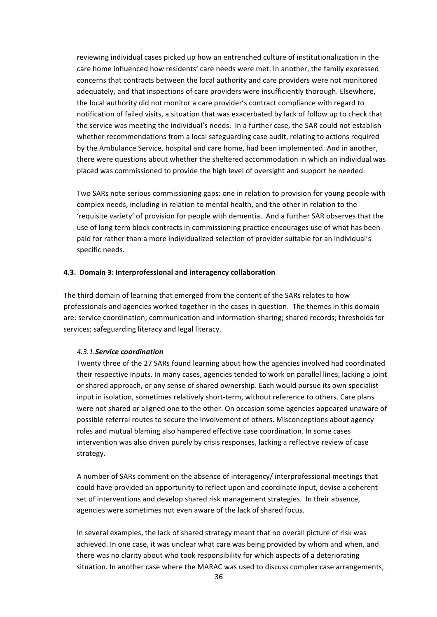reviewing individual cases picked up how an entrenched culture of institutionalization in the care home influenced how residents' care needs were met. In another, the family expressed concerns that contracts between the local authority and care providers were not monitored adequately, and that inspections of care providers were insufficiently thorough. Elsewhere, the local authority did not monitor a care provider's contract compliance with regard to notification of failed visits, a situation that was exacerbated by lack of follow up to check that the service was meeting the individual's needs. In a further case, the SAR could not establish whether recommendations from a local safeguarding case audit, relating to actions required by the Ambulance Service, hospital and care home, had been implemented. And in another, there were questions about whether the sheltered accommodation in which an individual was placed was commissioned to provide the high level of oversight and support he needed.

Two SARs note serious commissioning gaps: one in relation to provision for young people with complex needs, including in relation to mental health, and the other in relation to the 'requisite variety' of provision for people with dementia. And a further SAR observes that the use of long term block contracts in commissioning practice encourages use of what has been paid for rather than a more individualized selection of provider suitable for an individual's specific needs.

## **4.3. Domain 3: Interprofessional and interagency collaboration**

The third domain of learning that emerged from the content of the SARs relates to how professionals and agencies worked together in the cases in question. The themes in this domain are: service coordination; communication and information-sharing; shared records; thresholds for services; safeguarding literacy and legal literacy.

#### *4.3.1.Service coordination*

Twenty three of the 27 SARs found learning about how the agencies involved had coordinated their respective inputs. In many cases, agencies tended to work on parallel lines, lacking a joint or shared approach, or any sense of shared ownership. Each would pursue its own specialist input in isolation, sometimes relatively short-term, without reference to others. Care plans were not shared or aligned one to the other. On occasion some agencies appeared unaware of possible referral routes to secure the involvement of others. Misconceptions about agency roles and mutual blaming also hampered effective case coordination. In some cases intervention was also driven purely by crisis responses, lacking a reflective review of case strategy. 

A number of SARs comment on the absence of interagency/ interprofessional meetings that could have provided an opportunity to reflect upon and coordinate input, devise a coherent set of interventions and develop shared risk management strategies. In their absence, agencies were sometimes not even aware of the lack of shared focus.

In several examples, the lack of shared strategy meant that no overall picture of risk was achieved. In one case, it was unclear what care was being provided by whom and when, and there was no clarity about who took responsibility for which aspects of a deteriorating situation. In another case where the MARAC was used to discuss complex case arrangements,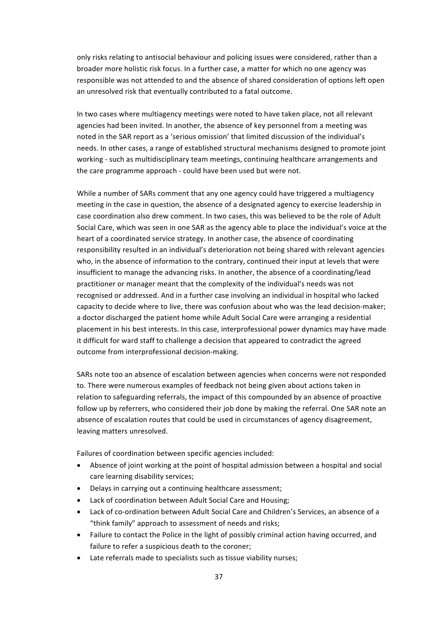only risks relating to antisocial behaviour and policing issues were considered, rather than a broader more holistic risk focus. In a further case, a matter for which no one agency was responsible was not attended to and the absence of shared consideration of options left open an unresolved risk that eventually contributed to a fatal outcome.

In two cases where multiagency meetings were noted to have taken place, not all relevant agencies had been invited. In another, the absence of key personnel from a meeting was noted in the SAR report as a 'serious omission' that limited discussion of the individual's needs. In other cases, a range of established structural mechanisms designed to promote joint working - such as multidisciplinary team meetings, continuing healthcare arrangements and the care programme approach - could have been used but were not.

While a number of SARs comment that any one agency could have triggered a multiagency meeting in the case in question, the absence of a designated agency to exercise leadership in case coordination also drew comment. In two cases, this was believed to be the role of Adult Social Care, which was seen in one SAR as the agency able to place the individual's voice at the heart of a coordinated service strategy. In another case, the absence of coordinating responsibility resulted in an individual's deterioration not being shared with relevant agencies who, in the absence of information to the contrary, continued their input at levels that were insufficient to manage the advancing risks. In another, the absence of a coordinating/lead practitioner or manager meant that the complexity of the individual's needs was not recognised or addressed. And in a further case involving an individual in hospital who lacked capacity to decide where to live, there was confusion about who was the lead decision-maker; a doctor discharged the patient home while Adult Social Care were arranging a residential placement in his best interests. In this case, interprofessional power dynamics may have made it difficult for ward staff to challenge a decision that appeared to contradict the agreed outcome from interprofessional decision-making.

SARs note too an absence of escalation between agencies when concerns were not responded to. There were numerous examples of feedback not being given about actions taken in relation to safeguarding referrals, the impact of this compounded by an absence of proactive follow up by referrers, who considered their job done by making the referral. One SAR note an absence of escalation routes that could be used in circumstances of agency disagreement, leaving matters unresolved.

Failures of coordination between specific agencies included:

- Absence of joint working at the point of hospital admission between a hospital and social care learning disability services;
- Delays in carrying out a continuing healthcare assessment;
- Lack of coordination between Adult Social Care and Housing;
- Lack of co-ordination between Adult Social Care and Children's Services, an absence of a "think family" approach to assessment of needs and risks;
- Failure to contact the Police in the light of possibly criminal action having occurred, and failure to refer a suspicious death to the coroner;
- Late referrals made to specialists such as tissue viability nurses: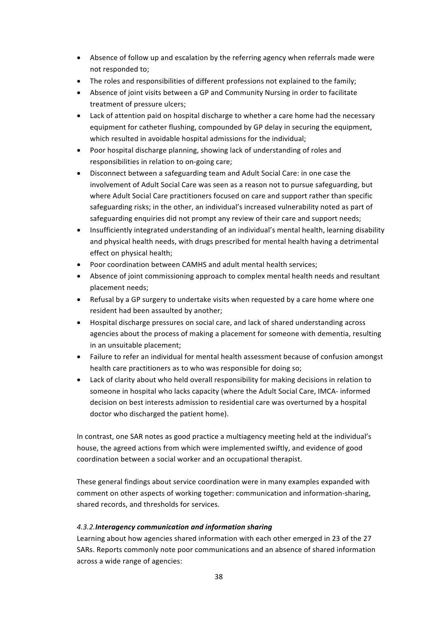- Absence of follow up and escalation by the referring agency when referrals made were not responded to;
- The roles and responsibilities of different professions not explained to the family;
- Absence of joint visits between a GP and Community Nursing in order to facilitate treatment of pressure ulcers;
- Lack of attention paid on hospital discharge to whether a care home had the necessary equipment for catheter flushing, compounded by GP delay in securing the equipment, which resulted in avoidable hospital admissions for the individual;
- Poor hospital discharge planning, showing lack of understanding of roles and responsibilities in relation to on-going care;
- Disconnect between a safeguarding team and Adult Social Care: in one case the involvement of Adult Social Care was seen as a reason not to pursue safeguarding, but where Adult Social Care practitioners focused on care and support rather than specific safeguarding risks; in the other, an individual's increased vulnerability noted as part of safeguarding enquiries did not prompt any review of their care and support needs;
- Insufficiently integrated understanding of an individual's mental health, learning disability and physical health needs, with drugs prescribed for mental health having a detrimental effect on physical health;
- Poor coordination between CAMHS and adult mental health services:
- Absence of joint commissioning approach to complex mental health needs and resultant placement needs:
- Refusal by a GP surgery to undertake visits when requested by a care home where one resident had been assaulted by another:
- Hospital discharge pressures on social care, and lack of shared understanding across agencies about the process of making a placement for someone with dementia, resulting in an unsuitable placement;
- Failure to refer an individual for mental health assessment because of confusion amongst health care practitioners as to who was responsible for doing so;
- Lack of clarity about who held overall responsibility for making decisions in relation to someone in hospital who lacks capacity (where the Adult Social Care, IMCA- informed decision on best interests admission to residential care was overturned by a hospital doctor who discharged the patient home).

In contrast, one SAR notes as good practice a multiagency meeting held at the individual's house, the agreed actions from which were implemented swiftly, and evidence of good coordination between a social worker and an occupational therapist.

These general findings about service coordination were in many examples expanded with comment on other aspects of working together: communication and information-sharing, shared records, and thresholds for services.

# *4.3.2.Interagency communication and information sharing*

Learning about how agencies shared information with each other emerged in 23 of the 27 SARs. Reports commonly note poor communications and an absence of shared information across a wide range of agencies: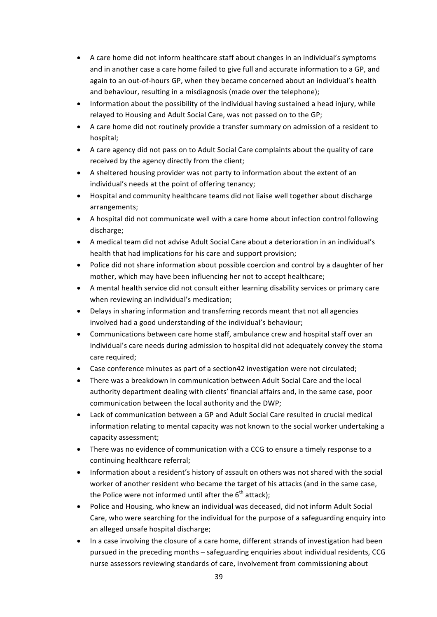- A care home did not inform healthcare staff about changes in an individual's symptoms and in another case a care home failed to give full and accurate information to a GP, and again to an out-of-hours GP, when they became concerned about an individual's health and behaviour, resulting in a misdiagnosis (made over the telephone);
- Information about the possibility of the individual having sustained a head injury, while relayed to Housing and Adult Social Care, was not passed on to the GP;
- A care home did not routinely provide a transfer summary on admission of a resident to hospital;
- A care agency did not pass on to Adult Social Care complaints about the quality of care received by the agency directly from the client;
- A sheltered housing provider was not party to information about the extent of an individual's needs at the point of offering tenancy;
- Hospital and community healthcare teams did not liaise well together about discharge arrangements;
- A hospital did not communicate well with a care home about infection control following discharge;
- A medical team did not advise Adult Social Care about a deterioration in an individual's health that had implications for his care and support provision;
- Police did not share information about possible coercion and control by a daughter of her mother, which may have been influencing her not to accept healthcare;
- A mental health service did not consult either learning disability services or primary care when reviewing an individual's medication;
- Delays in sharing information and transferring records meant that not all agencies involved had a good understanding of the individual's behaviour;
- Communications between care home staff, ambulance crew and hospital staff over an individual's care needs during admission to hospital did not adequately convey the stoma care required;
- Case conference minutes as part of a section42 investigation were not circulated;
- There was a breakdown in communication between Adult Social Care and the local authority department dealing with clients' financial affairs and, in the same case, poor communication between the local authority and the DWP:
- Lack of communication between a GP and Adult Social Care resulted in crucial medical information relating to mental capacity was not known to the social worker undertaking a capacity assessment;
- There was no evidence of communication with a CCG to ensure a timely response to a continuing healthcare referral;
- Information about a resident's history of assault on others was not shared with the social worker of another resident who became the target of his attacks (and in the same case, the Police were not informed until after the  $6<sup>th</sup>$  attack);
- Police and Housing, who knew an individual was deceased, did not inform Adult Social Care, who were searching for the individual for the purpose of a safeguarding enquiry into an alleged unsafe hospital discharge;
- In a case involving the closure of a care home, different strands of investigation had been pursued in the preceding months - safeguarding enquiries about individual residents, CCG nurse assessors reviewing standards of care, involvement from commissioning about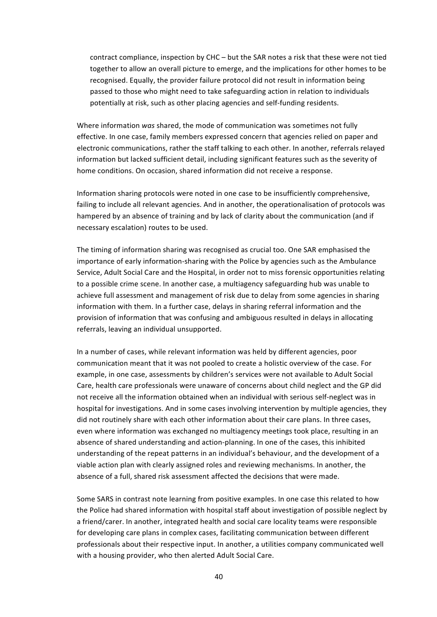contract compliance, inspection by CHC – but the SAR notes a risk that these were not tied together to allow an overall picture to emerge, and the implications for other homes to be recognised. Equally, the provider failure protocol did not result in information being passed to those who might need to take safeguarding action in relation to individuals potentially at risk, such as other placing agencies and self-funding residents.

Where information was shared, the mode of communication was sometimes not fully effective. In one case, family members expressed concern that agencies relied on paper and electronic communications, rather the staff talking to each other. In another, referrals relayed information but lacked sufficient detail, including significant features such as the severity of home conditions. On occasion, shared information did not receive a response.

Information sharing protocols were noted in one case to be insufficiently comprehensive, failing to include all relevant agencies. And in another, the operationalisation of protocols was hampered by an absence of training and by lack of clarity about the communication (and if necessary escalation) routes to be used.

The timing of information sharing was recognised as crucial too. One SAR emphasised the importance of early information-sharing with the Police by agencies such as the Ambulance Service, Adult Social Care and the Hospital, in order not to miss forensic opportunities relating to a possible crime scene. In another case, a multiagency safeguarding hub was unable to achieve full assessment and management of risk due to delay from some agencies in sharing information with them. In a further case, delays in sharing referral information and the provision of information that was confusing and ambiguous resulted in delays in allocating referrals, leaving an individual unsupported.

In a number of cases, while relevant information was held by different agencies, poor communication meant that it was not pooled to create a holistic overview of the case. For example, in one case, assessments by children's services were not available to Adult Social Care, health care professionals were unaware of concerns about child neglect and the GP did not receive all the information obtained when an individual with serious self-neglect was in hospital for investigations. And in some cases involving intervention by multiple agencies, they did not routinely share with each other information about their care plans. In three cases, even where information was exchanged no multiagency meetings took place, resulting in an absence of shared understanding and action-planning. In one of the cases, this inhibited understanding of the repeat patterns in an individual's behaviour, and the development of a viable action plan with clearly assigned roles and reviewing mechanisms. In another, the absence of a full, shared risk assessment affected the decisions that were made.

Some SARS in contrast note learning from positive examples. In one case this related to how the Police had shared information with hospital staff about investigation of possible neglect by a friend/carer. In another, integrated health and social care locality teams were responsible for developing care plans in complex cases, facilitating communication between different professionals about their respective input. In another, a utilities company communicated well with a housing provider, who then alerted Adult Social Care.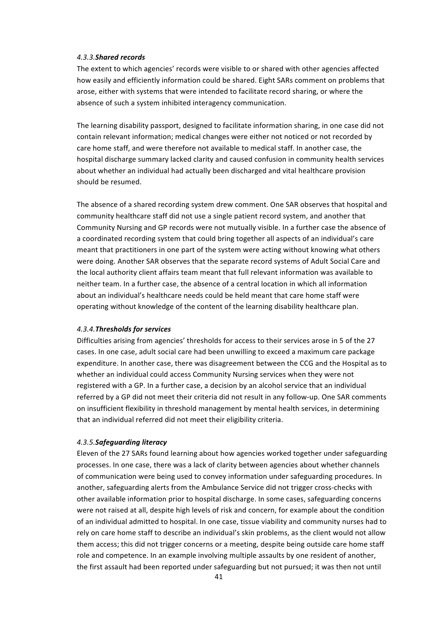### *4.3.3.Shared records*

The extent to which agencies' records were visible to or shared with other agencies affected how easily and efficiently information could be shared. Eight SARs comment on problems that arose, either with systems that were intended to facilitate record sharing, or where the absence of such a system inhibited interagency communication.

The learning disability passport, designed to facilitate information sharing, in one case did not contain relevant information; medical changes were either not noticed or not recorded by care home staff, and were therefore not available to medical staff. In another case, the hospital discharge summary lacked clarity and caused confusion in community health services about whether an individual had actually been discharged and vital healthcare provision should be resumed.

The absence of a shared recording system drew comment. One SAR observes that hospital and community healthcare staff did not use a single patient record system, and another that Community Nursing and GP records were not mutually visible. In a further case the absence of a coordinated recording system that could bring together all aspects of an individual's care meant that practitioners in one part of the system were acting without knowing what others were doing. Another SAR observes that the separate record systems of Adult Social Care and the local authority client affairs team meant that full relevant information was available to neither team. In a further case, the absence of a central location in which all information about an individual's healthcare needs could be held meant that care home staff were operating without knowledge of the content of the learning disability healthcare plan.

#### *4.3.4.Thresholds for services*

Difficulties arising from agencies' thresholds for access to their services arose in 5 of the 27 cases. In one case, adult social care had been unwilling to exceed a maximum care package expenditure. In another case, there was disagreement between the CCG and the Hospital as to whether an individual could access Community Nursing services when they were not registered with a GP. In a further case, a decision by an alcohol service that an individual referred by a GP did not meet their criteria did not result in any follow-up. One SAR comments on insufficient flexibility in threshold management by mental health services, in determining that an individual referred did not meet their eligibility criteria.

#### *4.3.5.Safeguarding literacy*

Eleven of the 27 SARs found learning about how agencies worked together under safeguarding processes. In one case, there was a lack of clarity between agencies about whether channels of communication were being used to convey information under safeguarding procedures. In another, safeguarding alerts from the Ambulance Service did not trigger cross-checks with other available information prior to hospital discharge. In some cases, safeguarding concerns were not raised at all, despite high levels of risk and concern, for example about the condition of an individual admitted to hospital. In one case, tissue viability and community nurses had to rely on care home staff to describe an individual's skin problems, as the client would not allow them access; this did not trigger concerns or a meeting, despite being outside care home staff role and competence. In an example involving multiple assaults by one resident of another, the first assault had been reported under safeguarding but not pursued; it was then not until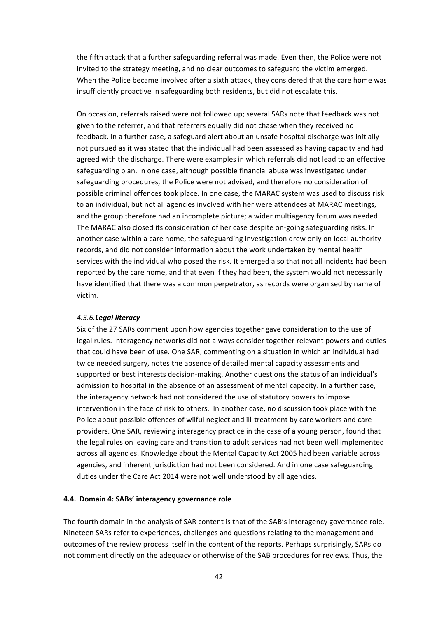the fifth attack that a further safeguarding referral was made. Even then, the Police were not invited to the strategy meeting, and no clear outcomes to safeguard the victim emerged. When the Police became involved after a sixth attack, they considered that the care home was insufficiently proactive in safeguarding both residents, but did not escalate this.

On occasion, referrals raised were not followed up; several SARs note that feedback was not given to the referrer, and that referrers equally did not chase when they received no feedback. In a further case, a safeguard alert about an unsafe hospital discharge was initially not pursued as it was stated that the individual had been assessed as having capacity and had agreed with the discharge. There were examples in which referrals did not lead to an effective safeguarding plan. In one case, although possible financial abuse was investigated under safeguarding procedures, the Police were not advised, and therefore no consideration of possible criminal offences took place. In one case, the MARAC system was used to discuss risk to an individual, but not all agencies involved with her were attendees at MARAC meetings, and the group therefore had an incomplete picture; a wider multiagency forum was needed. The MARAC also closed its consideration of her case despite on-going safeguarding risks. In another case within a care home, the safeguarding investigation drew only on local authority records, and did not consider information about the work undertaken by mental health services with the individual who posed the risk. It emerged also that not all incidents had been reported by the care home, and that even if they had been, the system would not necessarily have identified that there was a common perpetrator, as records were organised by name of victim.

# *4.3.6.Legal literacy*

Six of the 27 SARs comment upon how agencies together gave consideration to the use of legal rules. Interagency networks did not always consider together relevant powers and duties that could have been of use. One SAR, commenting on a situation in which an individual had twice needed surgery, notes the absence of detailed mental capacity assessments and supported or best interests decision-making. Another questions the status of an individual's admission to hospital in the absence of an assessment of mental capacity. In a further case, the interagency network had not considered the use of statutory powers to impose intervention in the face of risk to others. In another case, no discussion took place with the Police about possible offences of wilful neglect and ill-treatment by care workers and care providers. One SAR, reviewing interagency practice in the case of a young person, found that the legal rules on leaving care and transition to adult services had not been well implemented across all agencies. Knowledge about the Mental Capacity Act 2005 had been variable across agencies, and inherent jurisdiction had not been considered. And in one case safeguarding duties under the Care Act 2014 were not well understood by all agencies.

### **4.4. Domain 4: SABs' interagency governance role**

The fourth domain in the analysis of SAR content is that of the SAB's interagency governance role. Nineteen SARs refer to experiences, challenges and questions relating to the management and outcomes of the review process itself in the content of the reports. Perhaps surprisingly, SARs do not comment directly on the adequacy or otherwise of the SAB procedures for reviews. Thus, the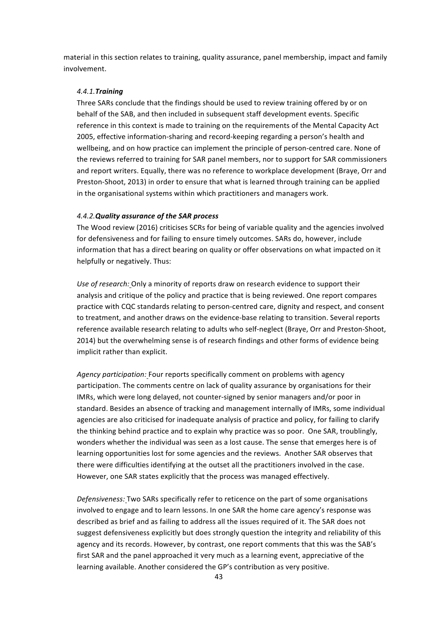material in this section relates to training, quality assurance, panel membership, impact and family involvement.

# *4.4.1.Training*

Three SARs conclude that the findings should be used to review training offered by or on behalf of the SAB, and then included in subsequent staff development events. Specific reference in this context is made to training on the requirements of the Mental Capacity Act 2005, effective information-sharing and record-keeping regarding a person's health and wellbeing, and on how practice can implement the principle of person-centred care. None of the reviews referred to training for SAR panel members, nor to support for SAR commissioners and report writers. Equally, there was no reference to workplace development (Braye, Orr and Preston-Shoot, 2013) in order to ensure that what is learned through training can be applied in the organisational systems within which practitioners and managers work.

# *4.4.2.Quality assurance of the SAR process*

The Wood review (2016) criticises SCRs for being of variable quality and the agencies involved for defensiveness and for failing to ensure timely outcomes. SARs do, however, include information that has a direct bearing on quality or offer observations on what impacted on it helpfully or negatively. Thus:

Use of research: Only a minority of reports draw on research evidence to support their analysis and critique of the policy and practice that is being reviewed. One report compares practice with CQC standards relating to person-centred care, dignity and respect, and consent to treatment, and another draws on the evidence-base relating to transition. Several reports reference available research relating to adults who self-neglect (Braye, Orr and Preston-Shoot, 2014) but the overwhelming sense is of research findings and other forms of evidence being implicit rather than explicit.

*Agency participation:* Four reports specifically comment on problems with agency participation. The comments centre on lack of quality assurance by organisations for their IMRs, which were long delayed, not counter-signed by senior managers and/or poor in standard. Besides an absence of tracking and management internally of IMRs, some individual agencies are also criticised for inadequate analysis of practice and policy, for failing to clarify the thinking behind practice and to explain why practice was so poor. One SAR, troublingly, wonders whether the individual was seen as a lost cause. The sense that emerges here is of learning opportunities lost for some agencies and the reviews. Another SAR observes that there were difficulties identifying at the outset all the practitioners involved in the case. However, one SAR states explicitly that the process was managed effectively.

*Defensiveness:* Two SARs specifically refer to reticence on the part of some organisations involved to engage and to learn lessons. In one SAR the home care agency's response was described as brief and as failing to address all the issues required of it. The SAR does not suggest defensiveness explicitly but does strongly question the integrity and reliability of this agency and its records. However, by contrast, one report comments that this was the SAB's first SAR and the panel approached it very much as a learning event, appreciative of the learning available. Another considered the GP's contribution as very positive.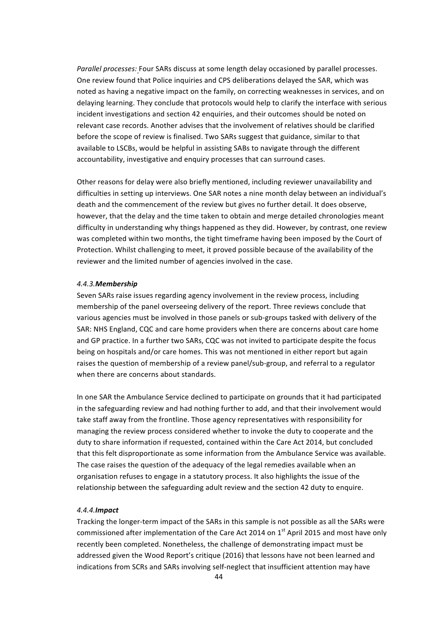Parallel processes: Four SARs discuss at some length delay occasioned by parallel processes. One review found that Police inquiries and CPS deliberations delayed the SAR, which was noted as having a negative impact on the family, on correcting weaknesses in services, and on delaying learning. They conclude that protocols would help to clarify the interface with serious incident investigations and section 42 enquiries, and their outcomes should be noted on relevant case records. Another advises that the involvement of relatives should be clarified before the scope of review is finalised. Two SARs suggest that guidance, similar to that available to LSCBs, would be helpful in assisting SABs to navigate through the different accountability, investigative and enquiry processes that can surround cases.

Other reasons for delay were also briefly mentioned, including reviewer unavailability and difficulties in setting up interviews. One SAR notes a nine month delay between an individual's death and the commencement of the review but gives no further detail. It does observe, however, that the delay and the time taken to obtain and merge detailed chronologies meant difficulty in understanding why things happened as they did. However, by contrast, one review was completed within two months, the tight timeframe having been imposed by the Court of Protection. Whilst challenging to meet, it proved possible because of the availability of the reviewer and the limited number of agencies involved in the case.

## *4.4.3.Membership*

Seven SARs raise issues regarding agency involvement in the review process, including membership of the panel overseeing delivery of the report. Three reviews conclude that various agencies must be involved in those panels or sub-groups tasked with delivery of the SAR: NHS England, CQC and care home providers when there are concerns about care home and GP practice. In a further two SARs, CQC was not invited to participate despite the focus being on hospitals and/or care homes. This was not mentioned in either report but again raises the question of membership of a review panel/sub-group, and referral to a regulator when there are concerns about standards.

In one SAR the Ambulance Service declined to participate on grounds that it had participated in the safeguarding review and had nothing further to add, and that their involvement would take staff away from the frontline. Those agency representatives with responsibility for managing the review process considered whether to invoke the duty to cooperate and the duty to share information if requested, contained within the Care Act 2014, but concluded that this felt disproportionate as some information from the Ambulance Service was available. The case raises the question of the adequacy of the legal remedies available when an organisation refuses to engage in a statutory process. It also highlights the issue of the relationship between the safeguarding adult review and the section 42 duty to enquire.

### *4.4.4.Impact*

Tracking the longer-term impact of the SARs in this sample is not possible as all the SARs were commissioned after implementation of the Care Act 2014 on  $1<sup>st</sup>$  April 2015 and most have only recently been completed. Nonetheless, the challenge of demonstrating impact must be addressed given the Wood Report's critique (2016) that lessons have not been learned and indications from SCRs and SARs involving self-neglect that insufficient attention may have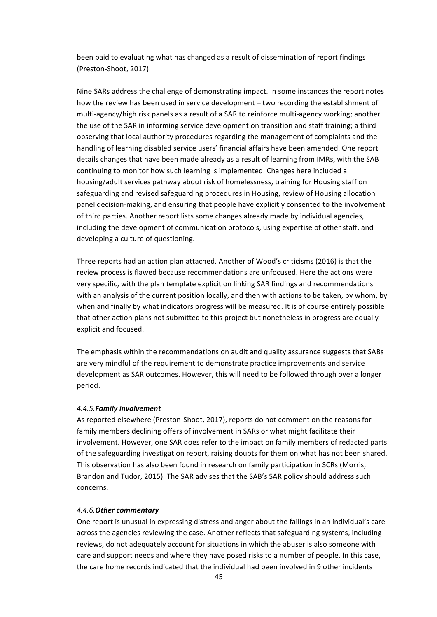been paid to evaluating what has changed as a result of dissemination of report findings (Preston-Shoot, 2017).

Nine SARs address the challenge of demonstrating impact. In some instances the report notes how the review has been used in service development – two recording the establishment of multi-agency/high risk panels as a result of a SAR to reinforce multi-agency working; another the use of the SAR in informing service development on transition and staff training; a third observing that local authority procedures regarding the management of complaints and the handling of learning disabled service users' financial affairs have been amended. One report details changes that have been made already as a result of learning from IMRs, with the SAB continuing to monitor how such learning is implemented. Changes here included a housing/adult services pathway about risk of homelessness, training for Housing staff on safeguarding and revised safeguarding procedures in Housing, review of Housing allocation panel decision-making, and ensuring that people have explicitly consented to the involvement of third parties. Another report lists some changes already made by individual agencies, including the development of communication protocols, using expertise of other staff, and developing a culture of questioning.

Three reports had an action plan attached. Another of Wood's criticisms (2016) is that the review process is flawed because recommendations are unfocused. Here the actions were very specific, with the plan template explicit on linking SAR findings and recommendations with an analysis of the current position locally, and then with actions to be taken, by whom, by when and finally by what indicators progress will be measured. It is of course entirely possible that other action plans not submitted to this project but nonetheless in progress are equally explicit and focused.

The emphasis within the recommendations on audit and quality assurance suggests that SABs are very mindful of the requirement to demonstrate practice improvements and service development as SAR outcomes. However, this will need to be followed through over a longer period.

#### *4.4.5.Family involvement*

As reported elsewhere (Preston-Shoot, 2017), reports do not comment on the reasons for family members declining offers of involvement in SARs or what might facilitate their involvement. However, one SAR does refer to the impact on family members of redacted parts of the safeguarding investigation report, raising doubts for them on what has not been shared. This observation has also been found in research on family participation in SCRs (Morris, Brandon and Tudor, 2015). The SAR advises that the SAB's SAR policy should address such concerns.

### *4.4.6.Other commentary*

One report is unusual in expressing distress and anger about the failings in an individual's care across the agencies reviewing the case. Another reflects that safeguarding systems, including reviews, do not adequately account for situations in which the abuser is also someone with care and support needs and where they have posed risks to a number of people. In this case, the care home records indicated that the individual had been involved in 9 other incidents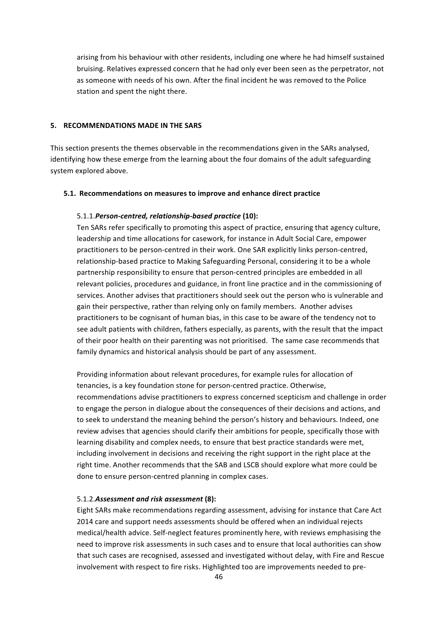arising from his behaviour with other residents, including one where he had himself sustained bruising. Relatives expressed concern that he had only ever been seen as the perpetrator, not as someone with needs of his own. After the final incident he was removed to the Police station and spent the night there.

## **5. RECOMMENDATIONS MADE IN THE SARS**

This section presents the themes observable in the recommendations given in the SARs analysed, identifying how these emerge from the learning about the four domains of the adult safeguarding system explored above.

## **5.1. Recommendations on measures to improve and enhance direct practice**

# 5.1.1.*Person-centred, relationship-based practice* **(10):**

Ten SARs refer specifically to promoting this aspect of practice, ensuring that agency culture, leadership and time allocations for casework, for instance in Adult Social Care, empower practitioners to be person-centred in their work. One SAR explicitly links person-centred, relationship-based practice to Making Safeguarding Personal, considering it to be a whole partnership responsibility to ensure that person-centred principles are embedded in all relevant policies, procedures and guidance, in front line practice and in the commissioning of services. Another advises that practitioners should seek out the person who is vulnerable and gain their perspective, rather than relying only on family members. Another advises practitioners to be cognisant of human bias, in this case to be aware of the tendency not to see adult patients with children, fathers especially, as parents, with the result that the impact of their poor health on their parenting was not prioritised. The same case recommends that family dynamics and historical analysis should be part of any assessment.

Providing information about relevant procedures, for example rules for allocation of tenancies, is a key foundation stone for person-centred practice. Otherwise, recommendations advise practitioners to express concerned scepticism and challenge in order to engage the person in dialogue about the consequences of their decisions and actions, and to seek to understand the meaning behind the person's history and behaviours. Indeed, one review advises that agencies should clarify their ambitions for people, specifically those with learning disability and complex needs, to ensure that best practice standards were met, including involvement in decisions and receiving the right support in the right place at the right time. Another recommends that the SAB and LSCB should explore what more could be done to ensure person-centred planning in complex cases.

### 5.1.2.*Assessment and risk assessment* **(8):**

Eight SARs make recommendations regarding assessment, advising for instance that Care Act 2014 care and support needs assessments should be offered when an individual rejects medical/health advice. Self-neglect features prominently here, with reviews emphasising the need to improve risk assessments in such cases and to ensure that local authorities can show that such cases are recognised, assessed and investigated without delay, with Fire and Rescue involvement with respect to fire risks. Highlighted too are improvements needed to pre-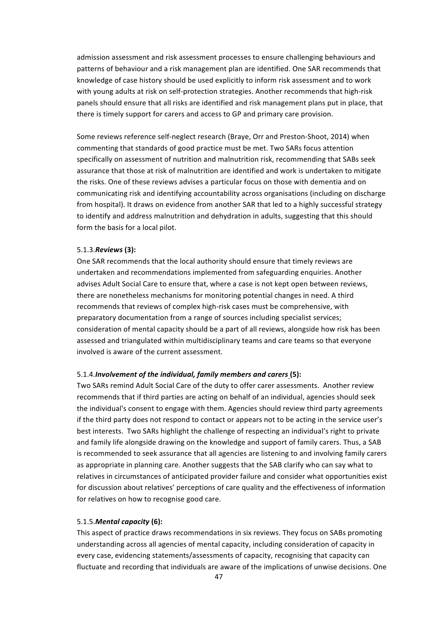admission assessment and risk assessment processes to ensure challenging behaviours and patterns of behaviour and a risk management plan are identified. One SAR recommends that knowledge of case history should be used explicitly to inform risk assessment and to work with young adults at risk on self-protection strategies. Another recommends that high-risk panels should ensure that all risks are identified and risk management plans put in place, that there is timely support for carers and access to GP and primary care provision.

Some reviews reference self-neglect research (Braye, Orr and Preston-Shoot, 2014) when commenting that standards of good practice must be met. Two SARs focus attention specifically on assessment of nutrition and malnutrition risk, recommending that SABs seek assurance that those at risk of malnutrition are identified and work is undertaken to mitigate the risks. One of these reviews advises a particular focus on those with dementia and on communicating risk and identifying accountability across organisations (including on discharge from hospital). It draws on evidence from another SAR that led to a highly successful strategy to identify and address malnutrition and dehydration in adults, suggesting that this should form the basis for a local pilot.

## 5.1.3.*Reviews* **(3):**

One SAR recommends that the local authority should ensure that timely reviews are undertaken and recommendations implemented from safeguarding enquiries. Another advises Adult Social Care to ensure that, where a case is not kept open between reviews, there are nonetheless mechanisms for monitoring potential changes in need. A third recommends that reviews of complex high-risk cases must be comprehensive, with preparatory documentation from a range of sources including specialist services; consideration of mental capacity should be a part of all reviews, alongside how risk has been assessed and triangulated within multidisciplinary teams and care teams so that everyone involved is aware of the current assessment.

### 5.1.4.*Involvement of the individual, family members and carers* (5):

Two SARs remind Adult Social Care of the duty to offer carer assessments. Another review recommends that if third parties are acting on behalf of an individual, agencies should seek the individual's consent to engage with them. Agencies should review third party agreements if the third party does not respond to contact or appears not to be acting in the service user's best interests. Two SARs highlight the challenge of respecting an individual's right to private and family life alongside drawing on the knowledge and support of family carers. Thus, a SAB is recommended to seek assurance that all agencies are listening to and involving family carers as appropriate in planning care. Another suggests that the SAB clarify who can say what to relatives in circumstances of anticipated provider failure and consider what opportunities exist for discussion about relatives' perceptions of care quality and the effectiveness of information for relatives on how to recognise good care.

# 5.1.5.*Mental capacity* **(6):**

This aspect of practice draws recommendations in six reviews. They focus on SABs promoting understanding across all agencies of mental capacity, including consideration of capacity in every case, evidencing statements/assessments of capacity, recognising that capacity can fluctuate and recording that individuals are aware of the implications of unwise decisions. One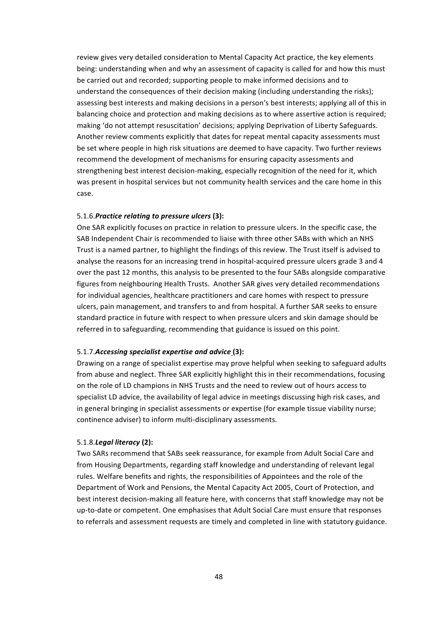review gives very detailed consideration to Mental Capacity Act practice, the key elements being: understanding when and why an assessment of capacity is called for and how this must be carried out and recorded; supporting people to make informed decisions and to understand the consequences of their decision making (including understanding the risks); assessing best interests and making decisions in a person's best interests; applying all of this in balancing choice and protection and making decisions as to where assertive action is required; making 'do not attempt resuscitation' decisions; applying Deprivation of Liberty Safeguards. Another review comments explicitly that dates for repeat mental capacity assessments must be set where people in high risk situations are deemed to have capacity. Two further reviews recommend the development of mechanisms for ensuring capacity assessments and strengthening best interest decision-making, especially recognition of the need for it, which was present in hospital services but not community health services and the care home in this case. 

## 5.1.6.*Practice relating to pressure ulcers* (3):

One SAR explicitly focuses on practice in relation to pressure ulcers. In the specific case, the SAB Independent Chair is recommended to liaise with three other SABs with which an NHS Trust is a named partner, to highlight the findings of this review. The Trust itself is advised to analyse the reasons for an increasing trend in hospital-acquired pressure ulcers grade 3 and 4 over the past 12 months, this analysis to be presented to the four SABs alongside comparative figures from neighbouring Health Trusts. Another SAR gives very detailed recommendations for individual agencies, healthcare practitioners and care homes with respect to pressure ulcers, pain management, and transfers to and from hospital. A further SAR seeks to ensure standard practice in future with respect to when pressure ulcers and skin damage should be referred in to safeguarding, recommending that guidance is issued on this point.

### 5.1.7. Accessing specialist expertise and advice (3):

Drawing on a range of specialist expertise may prove helpful when seeking to safeguard adults from abuse and neglect. Three SAR explicitly highlight this in their recommendations, focusing on the role of LD champions in NHS Trusts and the need to review out of hours access to specialist LD advice, the availability of legal advice in meetings discussing high risk cases, and in general bringing in specialist assessments or expertise (for example tissue viability nurse; continence adviser) to inform multi-disciplinary assessments.

# 5.1.8.*Legal literacy* **(2):**

Two SARs recommend that SABs seek reassurance, for example from Adult Social Care and from Housing Departments, regarding staff knowledge and understanding of relevant legal rules. Welfare benefits and rights, the responsibilities of Appointees and the role of the Department of Work and Pensions, the Mental Capacity Act 2005, Court of Protection, and best interest decision-making all feature here, with concerns that staff knowledge may not be up-to-date or competent. One emphasises that Adult Social Care must ensure that responses to referrals and assessment requests are timely and completed in line with statutory guidance.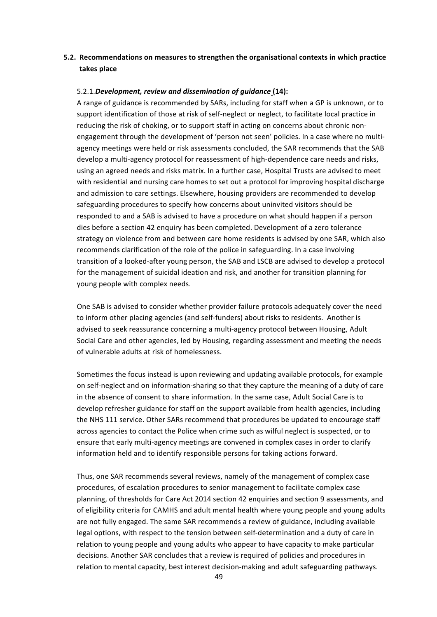# **5.2.** Recommendations on measures to strengthen the organisational contexts in which practice **takes place**

### 5.2.1.Development, review and dissemination of guidance (14):

A range of guidance is recommended by SARs, including for staff when a GP is unknown, or to support identification of those at risk of self-neglect or neglect, to facilitate local practice in reducing the risk of choking, or to support staff in acting on concerns about chronic nonengagement through the development of 'person not seen' policies. In a case where no multiagency meetings were held or risk assessments concluded, the SAR recommends that the SAB develop a multi-agency protocol for reassessment of high-dependence care needs and risks, using an agreed needs and risks matrix. In a further case, Hospital Trusts are advised to meet with residential and nursing care homes to set out a protocol for improving hospital discharge and admission to care settings. Elsewhere, housing providers are recommended to develop safeguarding procedures to specify how concerns about uninvited visitors should be responded to and a SAB is advised to have a procedure on what should happen if a person dies before a section 42 enquiry has been completed. Development of a zero tolerance strategy on violence from and between care home residents is advised by one SAR, which also recommends clarification of the role of the police in safeguarding. In a case involving transition of a looked-after young person, the SAB and LSCB are advised to develop a protocol for the management of suicidal ideation and risk, and another for transition planning for young people with complex needs.

One SAB is advised to consider whether provider failure protocols adequately cover the need to inform other placing agencies (and self-funders) about risks to residents. Another is advised to seek reassurance concerning a multi-agency protocol between Housing, Adult Social Care and other agencies, led by Housing, regarding assessment and meeting the needs of vulnerable adults at risk of homelessness.

Sometimes the focus instead is upon reviewing and updating available protocols, for example on self-neglect and on information-sharing so that they capture the meaning of a duty of care in the absence of consent to share information. In the same case, Adult Social Care is to develop refresher guidance for staff on the support available from health agencies, including the NHS 111 service. Other SARs recommend that procedures be updated to encourage staff across agencies to contact the Police when crime such as wilful neglect is suspected, or to ensure that early multi-agency meetings are convened in complex cases in order to clarify information held and to identify responsible persons for taking actions forward.

Thus, one SAR recommends several reviews, namely of the management of complex case procedures, of escalation procedures to senior management to facilitate complex case planning, of thresholds for Care Act 2014 section 42 enquiries and section 9 assessments, and of eligibility criteria for CAMHS and adult mental health where young people and young adults are not fully engaged. The same SAR recommends a review of guidance, including available legal options, with respect to the tension between self-determination and a duty of care in relation to young people and young adults who appear to have capacity to make particular decisions. Another SAR concludes that a review is required of policies and procedures in relation to mental capacity, best interest decision-making and adult safeguarding pathways.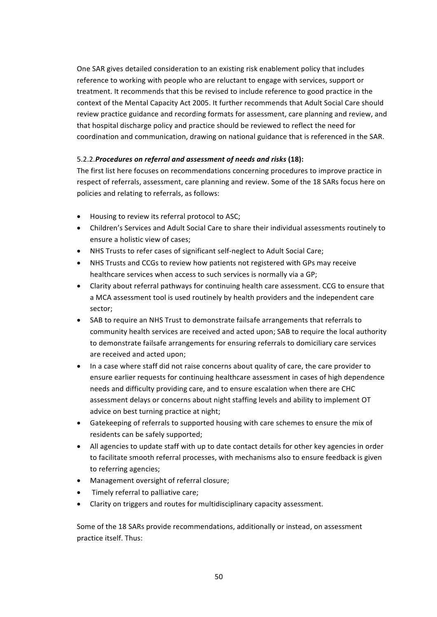One SAR gives detailed consideration to an existing risk enablement policy that includes reference to working with people who are reluctant to engage with services, support or treatment. It recommends that this be revised to include reference to good practice in the context of the Mental Capacity Act 2005. It further recommends that Adult Social Care should review practice guidance and recording formats for assessment, care planning and review, and that hospital discharge policy and practice should be reviewed to reflect the need for coordination and communication, drawing on national guidance that is referenced in the SAR.

# 5.2.2.*Procedures on referral and assessment of needs and risks* (18):

The first list here focuses on recommendations concerning procedures to improve practice in respect of referrals, assessment, care planning and review. Some of the 18 SARs focus here on policies and relating to referrals, as follows:

- Housing to review its referral protocol to ASC;
- Children's Services and Adult Social Care to share their individual assessments routinely to ensure a holistic view of cases;
- NHS Trusts to refer cases of significant self-neglect to Adult Social Care;
- NHS Trusts and CCGs to review how patients not registered with GPs may receive healthcare services when access to such services is normally via a GP;
- Clarity about referral pathways for continuing health care assessment. CCG to ensure that a MCA assessment tool is used routinely by health providers and the independent care sector;
- SAB to require an NHS Trust to demonstrate failsafe arrangements that referrals to community health services are received and acted upon; SAB to require the local authority to demonstrate failsafe arrangements for ensuring referrals to domiciliary care services are received and acted upon;
- In a case where staff did not raise concerns about quality of care, the care provider to ensure earlier requests for continuing healthcare assessment in cases of high dependence needs and difficulty providing care, and to ensure escalation when there are CHC assessment delays or concerns about night staffing levels and ability to implement OT advice on best turning practice at night;
- Gatekeeping of referrals to supported housing with care schemes to ensure the mix of residents can be safely supported;
- All agencies to update staff with up to date contact details for other key agencies in order to facilitate smooth referral processes, with mechanisms also to ensure feedback is given to referring agencies;
- Management oversight of referral closure;
- Timely referral to palliative care;
- Clarity on triggers and routes for multidisciplinary capacity assessment.

Some of the 18 SARs provide recommendations, additionally or instead, on assessment practice itself. Thus: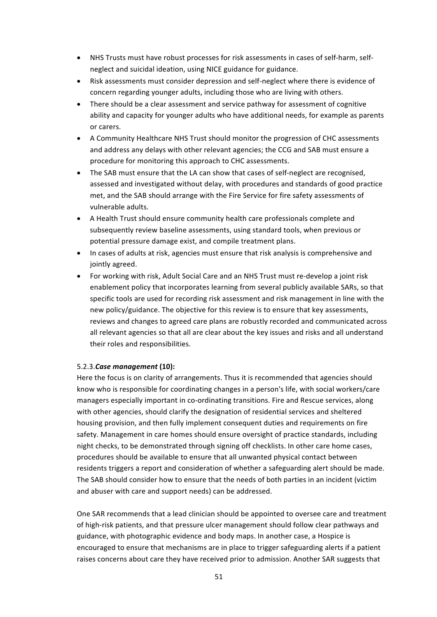- NHS Trusts must have robust processes for risk assessments in cases of self-harm, selfneglect and suicidal ideation, using NICE guidance for guidance.
- Risk assessments must consider depression and self-neglect where there is evidence of concern regarding younger adults, including those who are living with others.
- There should be a clear assessment and service pathway for assessment of cognitive ability and capacity for younger adults who have additional needs, for example as parents or carers.
- A Community Healthcare NHS Trust should monitor the progression of CHC assessments and address any delays with other relevant agencies; the CCG and SAB must ensure a procedure for monitoring this approach to CHC assessments.
- The SAB must ensure that the LA can show that cases of self-neglect are recognised. assessed and investigated without delay, with procedures and standards of good practice met, and the SAB should arrange with the Fire Service for fire safety assessments of vulnerable adults.
- A Health Trust should ensure community health care professionals complete and subsequently review baseline assessments, using standard tools, when previous or potential pressure damage exist, and compile treatment plans.
- In cases of adults at risk, agencies must ensure that risk analysis is comprehensive and jointly agreed.
- For working with risk, Adult Social Care and an NHS Trust must re-develop a joint risk enablement policy that incorporates learning from several publicly available SARs, so that specific tools are used for recording risk assessment and risk management in line with the new policy/guidance. The objective for this review is to ensure that key assessments, reviews and changes to agreed care plans are robustly recorded and communicated across all relevant agencies so that all are clear about the key issues and risks and all understand their roles and responsibilities.

# 5.2.3.*Case management* **(10):**

Here the focus is on clarity of arrangements. Thus it is recommended that agencies should know who is responsible for coordinating changes in a person's life, with social workers/care managers especially important in co-ordinating transitions. Fire and Rescue services, along with other agencies, should clarify the designation of residential services and sheltered housing provision, and then fully implement consequent duties and requirements on fire safety. Management in care homes should ensure oversight of practice standards, including night checks, to be demonstrated through signing off checklists. In other care home cases, procedures should be available to ensure that all unwanted physical contact between residents triggers a report and consideration of whether a safeguarding alert should be made. The SAB should consider how to ensure that the needs of both parties in an incident (victim and abuser with care and support needs) can be addressed.

One SAR recommends that a lead clinician should be appointed to oversee care and treatment of high-risk patients, and that pressure ulcer management should follow clear pathways and guidance, with photographic evidence and body maps. In another case, a Hospice is encouraged to ensure that mechanisms are in place to trigger safeguarding alerts if a patient raises concerns about care they have received prior to admission. Another SAR suggests that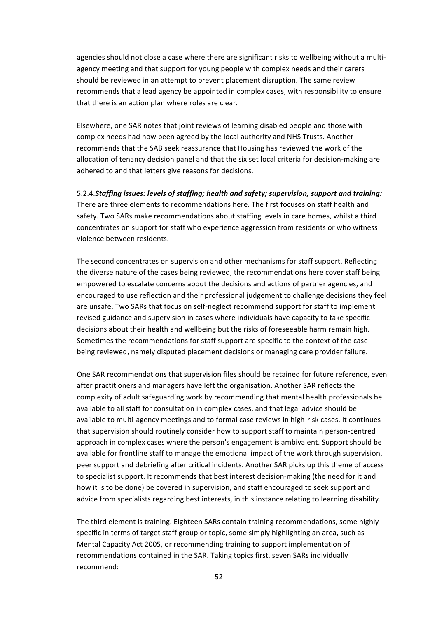agencies should not close a case where there are significant risks to wellbeing without a multiagency meeting and that support for young people with complex needs and their carers should be reviewed in an attempt to prevent placement disruption. The same review recommends that a lead agency be appointed in complex cases, with responsibility to ensure that there is an action plan where roles are clear.

Elsewhere, one SAR notes that joint reviews of learning disabled people and those with complex needs had now been agreed by the local authority and NHS Trusts. Another recommends that the SAB seek reassurance that Housing has reviewed the work of the allocation of tenancy decision panel and that the six set local criteria for decision-making are adhered to and that letters give reasons for decisions.

5.2.4.Staffing issues: levels of staffing; health and safety; supervision, support and training: There are three elements to recommendations here. The first focuses on staff health and safety. Two SARs make recommendations about staffing levels in care homes, whilst a third concentrates on support for staff who experience aggression from residents or who witness violence between residents.

The second concentrates on supervision and other mechanisms for staff support. Reflecting the diverse nature of the cases being reviewed, the recommendations here cover staff being empowered to escalate concerns about the decisions and actions of partner agencies, and encouraged to use reflection and their professional judgement to challenge decisions they feel are unsafe. Two SARs that focus on self-neglect recommend support for staff to implement revised guidance and supervision in cases where individuals have capacity to take specific decisions about their health and wellbeing but the risks of foreseeable harm remain high. Sometimes the recommendations for staff support are specific to the context of the case being reviewed, namely disputed placement decisions or managing care provider failure.

One SAR recommendations that supervision files should be retained for future reference, even after practitioners and managers have left the organisation. Another SAR reflects the complexity of adult safeguarding work by recommending that mental health professionals be available to all staff for consultation in complex cases, and that legal advice should be available to multi-agency meetings and to formal case reviews in high-risk cases. It continues that supervision should routinely consider how to support staff to maintain person-centred approach in complex cases where the person's engagement is ambivalent. Support should be available for frontline staff to manage the emotional impact of the work through supervision, peer support and debriefing after critical incidents. Another SAR picks up this theme of access to specialist support. It recommends that best interest decision-making (the need for it and how it is to be done) be covered in supervision, and staff encouraged to seek support and advice from specialists regarding best interests, in this instance relating to learning disability.

The third element is training. Eighteen SARs contain training recommendations, some highly specific in terms of target staff group or topic, some simply highlighting an area, such as Mental Capacity Act 2005, or recommending training to support implementation of recommendations contained in the SAR. Taking topics first, seven SARs individually recommend: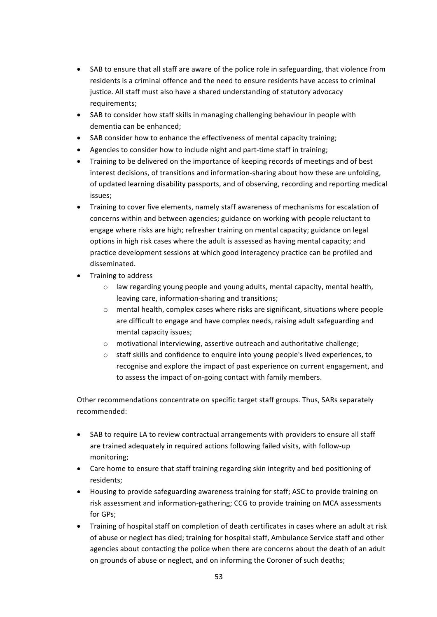- SAB to ensure that all staff are aware of the police role in safeguarding, that violence from residents is a criminal offence and the need to ensure residents have access to criminal justice. All staff must also have a shared understanding of statutory advocacy requirements;
- SAB to consider how staff skills in managing challenging behaviour in people with dementia can be enhanced:
- SAB consider how to enhance the effectiveness of mental capacity training;
- Agencies to consider how to include night and part-time staff in training;
- Training to be delivered on the importance of keeping records of meetings and of best interest decisions, of transitions and information-sharing about how these are unfolding. of updated learning disability passports, and of observing, recording and reporting medical issues;
- Training to cover five elements, namely staff awareness of mechanisms for escalation of concerns within and between agencies; guidance on working with people reluctant to engage where risks are high; refresher training on mental capacity; guidance on legal options in high risk cases where the adult is assessed as having mental capacity; and practice development sessions at which good interagency practice can be profiled and disseminated.
- Training to address
	- $\circ$  law regarding young people and young adults, mental capacity, mental health, leaving care, information-sharing and transitions;
	- $\circ$  mental health, complex cases where risks are significant, situations where people are difficult to engage and have complex needs, raising adult safeguarding and mental capacity issues;
	- $\circ$  motivational interviewing, assertive outreach and authoritative challenge;
	- $\circ$  staff skills and confidence to enquire into young people's lived experiences, to recognise and explore the impact of past experience on current engagement, and to assess the impact of on-going contact with family members.

Other recommendations concentrate on specific target staff groups. Thus, SARs separately recommended:

- SAB to require LA to review contractual arrangements with providers to ensure all staff are trained adequately in required actions following failed visits, with follow-up monitoring;
- Care home to ensure that staff training regarding skin integrity and bed positioning of residents;
- Housing to provide safeguarding awareness training for staff; ASC to provide training on risk assessment and information-gathering; CCG to provide training on MCA assessments for GPs;
- Training of hospital staff on completion of death certificates in cases where an adult at risk of abuse or neglect has died; training for hospital staff, Ambulance Service staff and other agencies about contacting the police when there are concerns about the death of an adult on grounds of abuse or neglect, and on informing the Coroner of such deaths;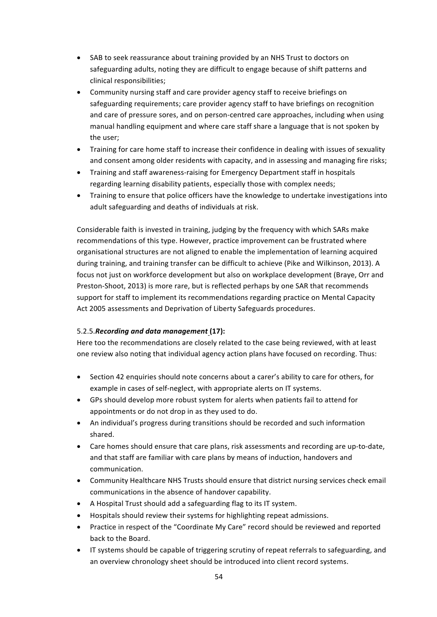- SAB to seek reassurance about training provided by an NHS Trust to doctors on safeguarding adults, noting they are difficult to engage because of shift patterns and clinical responsibilities;
- Community nursing staff and care provider agency staff to receive briefings on safeguarding requirements; care provider agency staff to have briefings on recognition and care of pressure sores, and on person-centred care approaches, including when using manual handling equipment and where care staff share a language that is not spoken by the user:
- Training for care home staff to increase their confidence in dealing with issues of sexuality and consent among older residents with capacity, and in assessing and managing fire risks;
- Training and staff awareness-raising for Emergency Department staff in hospitals regarding learning disability patients, especially those with complex needs;
- Training to ensure that police officers have the knowledge to undertake investigations into adult safeguarding and deaths of individuals at risk.

Considerable faith is invested in training, judging by the frequency with which SARs make recommendations of this type. However, practice improvement can be frustrated where organisational structures are not aligned to enable the implementation of learning acquired during training, and training transfer can be difficult to achieve (Pike and Wilkinson, 2013). A focus not just on workforce development but also on workplace development (Braye, Orr and Preston-Shoot, 2013) is more rare, but is reflected perhaps by one SAR that recommends support for staff to implement its recommendations regarding practice on Mental Capacity Act 2005 assessments and Deprivation of Liberty Safeguards procedures.

# 5.2.5. Recording and data management (17):

Here too the recommendations are closely related to the case being reviewed, with at least one review also noting that individual agency action plans have focused on recording. Thus:

- Section 42 enquiries should note concerns about a carer's ability to care for others, for example in cases of self-neglect, with appropriate alerts on IT systems.
- GPs should develop more robust system for alerts when patients fail to attend for appointments or do not drop in as they used to do.
- An individual's progress during transitions should be recorded and such information shared.
- Care homes should ensure that care plans, risk assessments and recording are up-to-date, and that staff are familiar with care plans by means of induction, handovers and communication.
- Community Healthcare NHS Trusts should ensure that district nursing services check email communications in the absence of handover capability.
- A Hospital Trust should add a safeguarding flag to its IT system.
- Hospitals should review their systems for highlighting repeat admissions.
- Practice in respect of the "Coordinate My Care" record should be reviewed and reported back to the Board.
- IT systems should be capable of triggering scrutiny of repeat referrals to safeguarding, and an overview chronology sheet should be introduced into client record systems.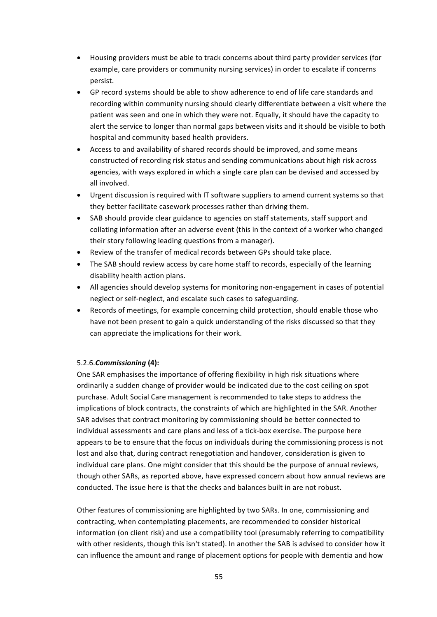- Housing providers must be able to track concerns about third party provider services (for example, care providers or community nursing services) in order to escalate if concerns persist.
- GP record systems should be able to show adherence to end of life care standards and recording within community nursing should clearly differentiate between a visit where the patient was seen and one in which they were not. Equally, it should have the capacity to alert the service to longer than normal gaps between visits and it should be visible to both hospital and community based health providers.
- Access to and availability of shared records should be improved, and some means constructed of recording risk status and sending communications about high risk across agencies, with ways explored in which a single care plan can be devised and accessed by all involved.
- Urgent discussion is required with IT software suppliers to amend current systems so that they better facilitate casework processes rather than driving them.
- SAB should provide clear guidance to agencies on staff statements, staff support and collating information after an adverse event (this in the context of a worker who changed their story following leading questions from a manager).
- Review of the transfer of medical records between GPs should take place.
- The SAB should review access by care home staff to records, especially of the learning disability health action plans.
- All agencies should develop systems for monitoring non-engagement in cases of potential neglect or self-neglect, and escalate such cases to safeguarding.
- Records of meetings, for example concerning child protection, should enable those who have not been present to gain a quick understanding of the risks discussed so that they can appreciate the implications for their work.

# 5.2.6.*Commissioning* **(4):**

One SAR emphasises the importance of offering flexibility in high risk situations where ordinarily a sudden change of provider would be indicated due to the cost ceiling on spot purchase. Adult Social Care management is recommended to take steps to address the implications of block contracts, the constraints of which are highlighted in the SAR. Another SAR advises that contract monitoring by commissioning should be better connected to individual assessments and care plans and less of a tick-box exercise. The purpose here appears to be to ensure that the focus on individuals during the commissioning process is not lost and also that, during contract renegotiation and handover, consideration is given to individual care plans. One might consider that this should be the purpose of annual reviews, though other SARs, as reported above, have expressed concern about how annual reviews are conducted. The issue here is that the checks and balances built in are not robust.

Other features of commissioning are highlighted by two SARs. In one, commissioning and contracting, when contemplating placements, are recommended to consider historical information (on client risk) and use a compatibility tool (presumably referring to compatibility with other residents, though this isn't stated). In another the SAB is advised to consider how it can influence the amount and range of placement options for people with dementia and how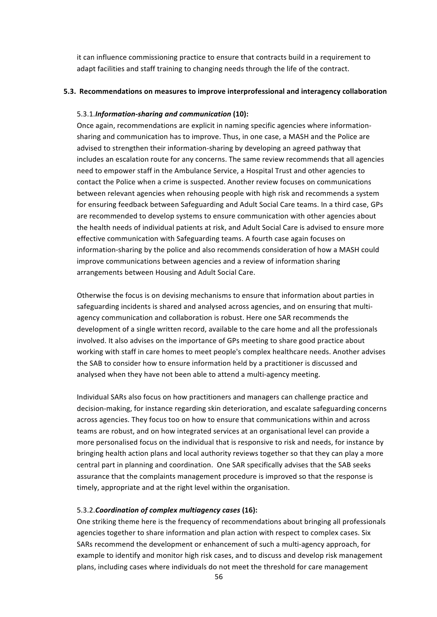it can influence commissioning practice to ensure that contracts build in a requirement to adapt facilities and staff training to changing needs through the life of the contract.

### **5.3. Recommendations on measures to improve interprofessional and interagency collaboration**

#### 5.3.1.*Information-sharing and communication* (10):

Once again, recommendations are explicit in naming specific agencies where informationsharing and communication has to improve. Thus, in one case, a MASH and the Police are advised to strengthen their information-sharing by developing an agreed pathway that includes an escalation route for any concerns. The same review recommends that all agencies need to empower staff in the Ambulance Service, a Hospital Trust and other agencies to contact the Police when a crime is suspected. Another review focuses on communications between relevant agencies when rehousing people with high risk and recommends a system for ensuring feedback between Safeguarding and Adult Social Care teams. In a third case, GPs are recommended to develop systems to ensure communication with other agencies about the health needs of individual patients at risk, and Adult Social Care is advised to ensure more effective communication with Safeguarding teams. A fourth case again focuses on information-sharing by the police and also recommends consideration of how a MASH could improve communications between agencies and a review of information sharing arrangements between Housing and Adult Social Care.

Otherwise the focus is on devising mechanisms to ensure that information about parties in safeguarding incidents is shared and analysed across agencies, and on ensuring that multiagency communication and collaboration is robust. Here one SAR recommends the development of a single written record, available to the care home and all the professionals involved. It also advises on the importance of GPs meeting to share good practice about working with staff in care homes to meet people's complex healthcare needs. Another advises the SAB to consider how to ensure information held by a practitioner is discussed and analysed when they have not been able to attend a multi-agency meeting.

Individual SARs also focus on how practitioners and managers can challenge practice and decision-making, for instance regarding skin deterioration, and escalate safeguarding concerns across agencies. They focus too on how to ensure that communications within and across teams are robust, and on how integrated services at an organisational level can provide a more personalised focus on the individual that is responsive to risk and needs, for instance by bringing health action plans and local authority reviews together so that they can play a more central part in planning and coordination. One SAR specifically advises that the SAB seeks assurance that the complaints management procedure is improved so that the response is timely, appropriate and at the right level within the organisation.

## 5.3.2.*Coordination of complex multiagency cases* **(16):**

One striking theme here is the frequency of recommendations about bringing all professionals agencies together to share information and plan action with respect to complex cases. Six SARs recommend the development or enhancement of such a multi-agency approach, for example to identify and monitor high risk cases, and to discuss and develop risk management plans, including cases where individuals do not meet the threshold for care management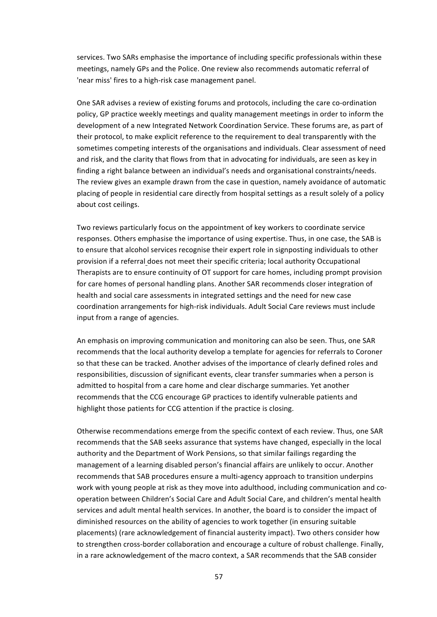services. Two SARs emphasise the importance of including specific professionals within these meetings, namely GPs and the Police. One review also recommends automatic referral of 'near miss' fires to a high-risk case management panel.

One SAR advises a review of existing forums and protocols, including the care co-ordination policy, GP practice weekly meetings and quality management meetings in order to inform the development of a new Integrated Network Coordination Service. These forums are, as part of their protocol, to make explicit reference to the requirement to deal transparently with the sometimes competing interests of the organisations and individuals. Clear assessment of need and risk, and the clarity that flows from that in advocating for individuals, are seen as key in finding a right balance between an individual's needs and organisational constraints/needs. The review gives an example drawn from the case in question, namely avoidance of automatic placing of people in residential care directly from hospital settings as a result solely of a policy about cost ceilings.

Two reviews particularly focus on the appointment of key workers to coordinate service responses. Others emphasise the importance of using expertise. Thus, in one case, the SAB is to ensure that alcohol services recognise their expert role in signposting individuals to other provision if a referral does not meet their specific criteria; local authority Occupational Therapists are to ensure continuity of OT support for care homes, including prompt provision for care homes of personal handling plans. Another SAR recommends closer integration of health and social care assessments in integrated settings and the need for new case coordination arrangements for high-risk individuals. Adult Social Care reviews must include input from a range of agencies.

An emphasis on improving communication and monitoring can also be seen. Thus, one SAR recommends that the local authority develop a template for agencies for referrals to Coroner so that these can be tracked. Another advises of the importance of clearly defined roles and responsibilities, discussion of significant events, clear transfer summaries when a person is admitted to hospital from a care home and clear discharge summaries. Yet another recommends that the CCG encourage GP practices to identify vulnerable patients and highlight those patients for CCG attention if the practice is closing.

Otherwise recommendations emerge from the specific context of each review. Thus, one SAR recommends that the SAB seeks assurance that systems have changed, especially in the local authority and the Department of Work Pensions, so that similar failings regarding the management of a learning disabled person's financial affairs are unlikely to occur. Another recommends that SAB procedures ensure a multi-agency approach to transition underpins work with young people at risk as they move into adulthood, including communication and cooperation between Children's Social Care and Adult Social Care, and children's mental health services and adult mental health services. In another, the board is to consider the impact of diminished resources on the ability of agencies to work together (in ensuring suitable placements) (rare acknowledgement of financial austerity impact). Two others consider how to strengthen cross-border collaboration and encourage a culture of robust challenge. Finally, in a rare acknowledgement of the macro context, a SAR recommends that the SAB consider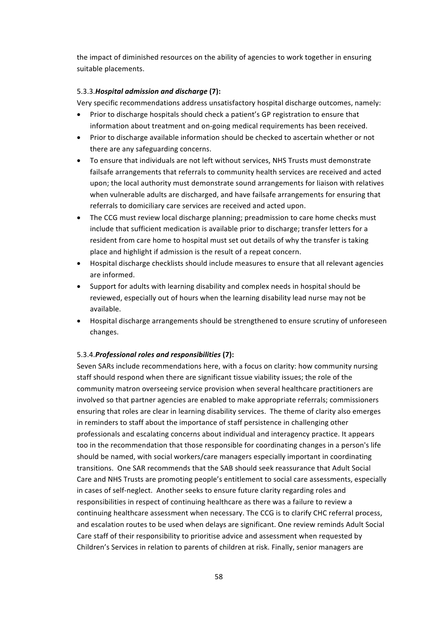the impact of diminished resources on the ability of agencies to work together in ensuring suitable placements.

# 5.3.3.*Hospital admission and discharge* **(7):**

Very specific recommendations address unsatisfactory hospital discharge outcomes, namely:

- Prior to discharge hospitals should check a patient's GP registration to ensure that information about treatment and on-going medical requirements has been received.
- Prior to discharge available information should be checked to ascertain whether or not there are any safeguarding concerns.
- To ensure that individuals are not left without services, NHS Trusts must demonstrate failsafe arrangements that referrals to community health services are received and acted upon; the local authority must demonstrate sound arrangements for liaison with relatives when vulnerable adults are discharged, and have failsafe arrangements for ensuring that referrals to domiciliary care services are received and acted upon.
- The CCG must review local discharge planning; preadmission to care home checks must include that sufficient medication is available prior to discharge; transfer letters for a resident from care home to hospital must set out details of why the transfer is taking place and highlight if admission is the result of a repeat concern.
- Hospital discharge checklists should include measures to ensure that all relevant agencies are informed.
- Support for adults with learning disability and complex needs in hospital should be reviewed, especially out of hours when the learning disability lead nurse may not be available.
- Hospital discharge arrangements should be strengthened to ensure scrutiny of unforeseen changes.

# 5.3.4.Professional roles and responsibilities (7):

Seven SARs include recommendations here, with a focus on clarity: how community nursing staff should respond when there are significant tissue viability issues; the role of the community matron overseeing service provision when several healthcare practitioners are involved so that partner agencies are enabled to make appropriate referrals; commissioners ensuring that roles are clear in learning disability services. The theme of clarity also emerges in reminders to staff about the importance of staff persistence in challenging other professionals and escalating concerns about individual and interagency practice. It appears too in the recommendation that those responsible for coordinating changes in a person's life should be named, with social workers/care managers especially important in coordinating transitions. One SAR recommends that the SAB should seek reassurance that Adult Social Care and NHS Trusts are promoting people's entitlement to social care assessments, especially in cases of self-neglect. Another seeks to ensure future clarity regarding roles and responsibilities in respect of continuing healthcare as there was a failure to review a continuing healthcare assessment when necessary. The CCG is to clarify CHC referral process, and escalation routes to be used when delays are significant. One review reminds Adult Social Care staff of their responsibility to prioritise advice and assessment when requested by Children's Services in relation to parents of children at risk. Finally, senior managers are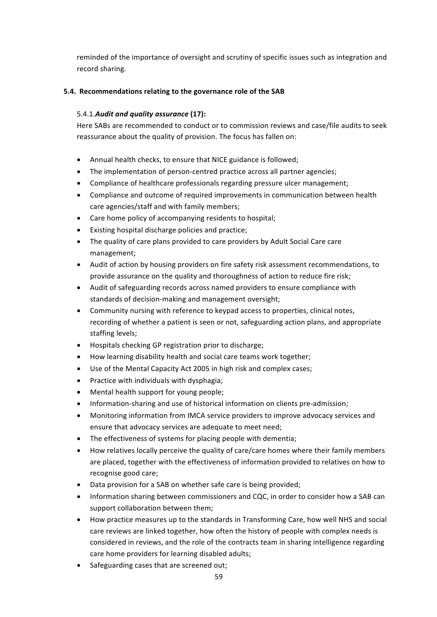reminded of the importance of oversight and scrutiny of specific issues such as integration and record sharing.

# **5.4.** Recommendations relating to the governance role of the SAB

# 5.4.1.*Audit and quality assurance* (17):

Here SABs are recommended to conduct or to commission reviews and case/file audits to seek reassurance about the quality of provision. The focus has fallen on:

- Annual health checks, to ensure that NICE guidance is followed;
- The implementation of person-centred practice across all partner agencies;
- Compliance of healthcare professionals regarding pressure ulcer management;
- Compliance and outcome of required improvements in communication between health care agencies/staff and with family members;
- Care home policy of accompanying residents to hospital;
- Existing hospital discharge policies and practice;
- The quality of care plans provided to care providers by Adult Social Care care management;
- Audit of action by housing providers on fire safety risk assessment recommendations, to provide assurance on the quality and thoroughness of action to reduce fire risk;
- Audit of safeguarding records across named providers to ensure compliance with standards of decision-making and management oversight;
- Community nursing with reference to keypad access to properties, clinical notes, recording of whether a patient is seen or not, safeguarding action plans, and appropriate staffing levels;
- Hospitals checking GP registration prior to discharge;
- How learning disability health and social care teams work together;
- Use of the Mental Capacity Act 2005 in high risk and complex cases;
- Practice with individuals with dysphagia;
- Mental health support for young people;
- Information-sharing and use of historical information on clients pre-admission;
- Monitoring information from IMCA service providers to improve advocacy services and ensure that advocacy services are adequate to meet need;
- The effectiveness of systems for placing people with dementia;
- How relatives locally perceive the quality of care/care homes where their family members are placed, together with the effectiveness of information provided to relatives on how to recognise good care;
- Data provision for a SAB on whether safe care is being provided;
- Information sharing between commissioners and CQC, in order to consider how a SAB can support collaboration between them;
- How practice measures up to the standards in Transforming Care, how well NHS and social care reviews are linked together, how often the history of people with complex needs is considered in reviews, and the role of the contracts team in sharing intelligence regarding care home providers for learning disabled adults;
- Safeguarding cases that are screened out;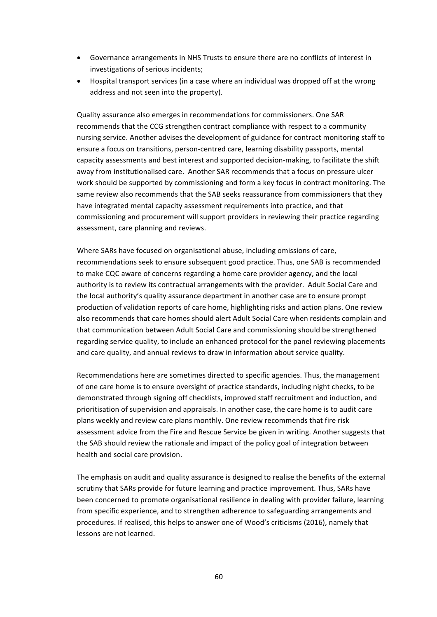- Governance arrangements in NHS Trusts to ensure there are no conflicts of interest in investigations of serious incidents;
- Hospital transport services (in a case where an individual was dropped off at the wrong address and not seen into the property).

Quality assurance also emerges in recommendations for commissioners. One SAR recommends that the CCG strengthen contract compliance with respect to a community nursing service. Another advises the development of guidance for contract monitoring staff to ensure a focus on transitions, person-centred care, learning disability passports, mental capacity assessments and best interest and supported decision-making, to facilitate the shift away from institutionalised care. Another SAR recommends that a focus on pressure ulcer work should be supported by commissioning and form a key focus in contract monitoring. The same review also recommends that the SAB seeks reassurance from commissioners that they have integrated mental capacity assessment requirements into practice, and that commissioning and procurement will support providers in reviewing their practice regarding assessment, care planning and reviews.

Where SARs have focused on organisational abuse, including omissions of care, recommendations seek to ensure subsequent good practice. Thus, one SAB is recommended to make CQC aware of concerns regarding a home care provider agency, and the local authority is to review its contractual arrangements with the provider. Adult Social Care and the local authority's quality assurance department in another case are to ensure prompt production of validation reports of care home, highlighting risks and action plans. One review also recommends that care homes should alert Adult Social Care when residents complain and that communication between Adult Social Care and commissioning should be strengthened regarding service quality, to include an enhanced protocol for the panel reviewing placements and care quality, and annual reviews to draw in information about service quality.

Recommendations here are sometimes directed to specific agencies. Thus, the management of one care home is to ensure oversight of practice standards, including night checks, to be demonstrated through signing off checklists, improved staff recruitment and induction, and prioritisation of supervision and appraisals. In another case, the care home is to audit care plans weekly and review care plans monthly. One review recommends that fire risk assessment advice from the Fire and Rescue Service be given in writing. Another suggests that the SAB should review the rationale and impact of the policy goal of integration between health and social care provision.

The emphasis on audit and quality assurance is designed to realise the benefits of the external scrutiny that SARs provide for future learning and practice improvement. Thus, SARs have been concerned to promote organisational resilience in dealing with provider failure, learning from specific experience, and to strengthen adherence to safeguarding arrangements and procedures. If realised, this helps to answer one of Wood's criticisms (2016), namely that lessons are not learned.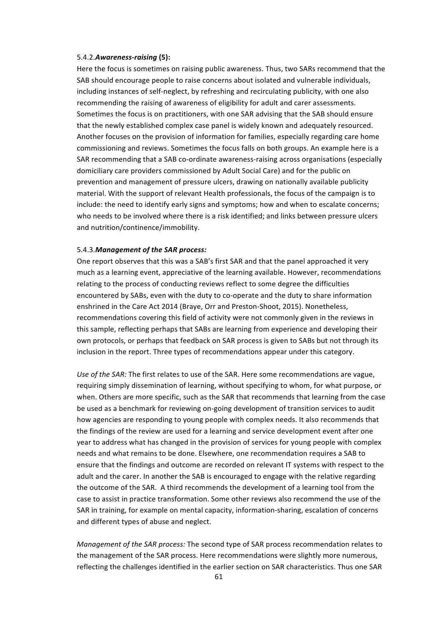#### 5.4.2.*Awareness-raising* **(5):**

Here the focus is sometimes on raising public awareness. Thus, two SARs recommend that the SAB should encourage people to raise concerns about isolated and vulnerable individuals, including instances of self-neglect, by refreshing and recirculating publicity, with one also recommending the raising of awareness of eligibility for adult and carer assessments. Sometimes the focus is on practitioners, with one SAR advising that the SAB should ensure that the newly established complex case panel is widely known and adequately resourced. Another focuses on the provision of information for families, especially regarding care home commissioning and reviews. Sometimes the focus falls on both groups. An example here is a SAR recommending that a SAB co-ordinate awareness-raising across organisations (especially domiciliary care providers commissioned by Adult Social Care) and for the public on prevention and management of pressure ulcers, drawing on nationally available publicity material. With the support of relevant Health professionals, the focus of the campaign is to include: the need to identify early signs and symptoms; how and when to escalate concerns; who needs to be involved where there is a risk identified; and links between pressure ulcers and nutrition/continence/immobility.

#### 5.4.3. Management of the SAR process:

One report observes that this was a SAB's first SAR and that the panel approached it very much as a learning event, appreciative of the learning available. However, recommendations relating to the process of conducting reviews reflect to some degree the difficulties encountered by SABs, even with the duty to co-operate and the duty to share information enshrined in the Care Act 2014 (Braye, Orr and Preston-Shoot, 2015). Nonetheless, recommendations covering this field of activity were not commonly given in the reviews in this sample, reflecting perhaps that SABs are learning from experience and developing their own protocols, or perhaps that feedback on SAR process is given to SABs but not through its inclusion in the report. Three types of recommendations appear under this category.

Use of the SAR: The first relates to use of the SAR. Here some recommendations are vague, requiring simply dissemination of learning, without specifying to whom, for what purpose, or when. Others are more specific, such as the SAR that recommends that learning from the case be used as a benchmark for reviewing on-going development of transition services to audit how agencies are responding to young people with complex needs. It also recommends that the findings of the review are used for a learning and service development event after one year to address what has changed in the provision of services for young people with complex needs and what remains to be done. Elsewhere, one recommendation requires a SAB to ensure that the findings and outcome are recorded on relevant IT systems with respect to the adult and the carer. In another the SAB is encouraged to engage with the relative regarding the outcome of the SAR. A third recommends the development of a learning tool from the case to assist in practice transformation. Some other reviews also recommend the use of the SAR in training, for example on mental capacity, information-sharing, escalation of concerns and different types of abuse and neglect.

*Management of the SAR process:* The second type of SAR process recommendation relates to the management of the SAR process. Here recommendations were slightly more numerous, reflecting the challenges identified in the earlier section on SAR characteristics. Thus one SAR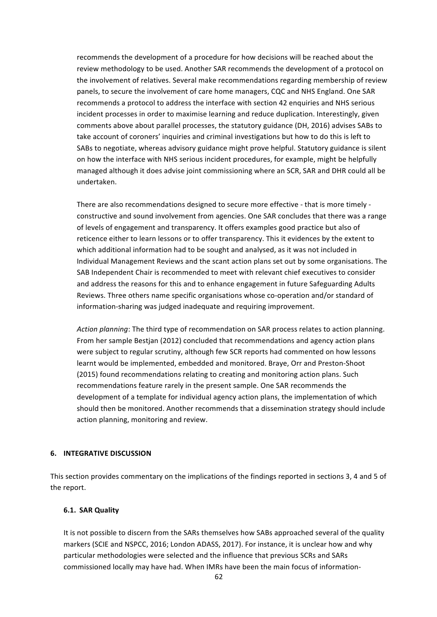recommends the development of a procedure for how decisions will be reached about the review methodology to be used. Another SAR recommends the development of a protocol on the involvement of relatives. Several make recommendations regarding membership of review panels, to secure the involvement of care home managers, CQC and NHS England. One SAR recommends a protocol to address the interface with section 42 enquiries and NHS serious incident processes in order to maximise learning and reduce duplication. Interestingly, given comments above about parallel processes, the statutory guidance (DH, 2016) advises SABs to take account of coroners' inquiries and criminal investigations but how to do this is left to SABs to negotiate, whereas advisory guidance might prove helpful. Statutory guidance is silent on how the interface with NHS serious incident procedures, for example, might be helpfully managed although it does advise joint commissioning where an SCR, SAR and DHR could all be undertaken.

There are also recommendations designed to secure more effective - that is more timely constructive and sound involvement from agencies. One SAR concludes that there was a range of levels of engagement and transparency. It offers examples good practice but also of reticence either to learn lessons or to offer transparency. This it evidences by the extent to which additional information had to be sought and analysed, as it was not included in Individual Management Reviews and the scant action plans set out by some organisations. The SAB Independent Chair is recommended to meet with relevant chief executives to consider and address the reasons for this and to enhance engagement in future Safeguarding Adults Reviews. Three others name specific organisations whose co-operation and/or standard of information-sharing was judged inadequate and requiring improvement.

Action planning: The third type of recommendation on SAR process relates to action planning. From her sample Bestjan (2012) concluded that recommendations and agency action plans were subject to regular scrutiny, although few SCR reports had commented on how lessons learnt would be implemented, embedded and monitored. Braye, Orr and Preston-Shoot (2015) found recommendations relating to creating and monitoring action plans. Such recommendations feature rarely in the present sample. One SAR recommends the development of a template for individual agency action plans, the implementation of which should then be monitored. Another recommends that a dissemination strategy should include action planning, monitoring and review.

## **6. INTEGRATIVE DISCUSSION**

This section provides commentary on the implications of the findings reported in sections 3, 4 and 5 of the report.

### **6.1. SAR Quality**

It is not possible to discern from the SARs themselves how SABs approached several of the quality markers (SCIE and NSPCC, 2016; London ADASS, 2017). For instance, it is unclear how and why particular methodologies were selected and the influence that previous SCRs and SARs commissioned locally may have had. When IMRs have been the main focus of information-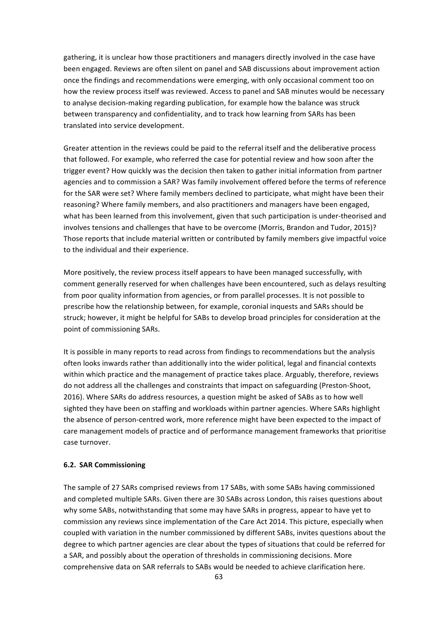gathering, it is unclear how those practitioners and managers directly involved in the case have been engaged. Reviews are often silent on panel and SAB discussions about improvement action once the findings and recommendations were emerging, with only occasional comment too on how the review process itself was reviewed. Access to panel and SAB minutes would be necessary to analyse decision-making regarding publication, for example how the balance was struck between transparency and confidentiality, and to track how learning from SARs has been translated into service development.

Greater attention in the reviews could be paid to the referral itself and the deliberative process that followed. For example, who referred the case for potential review and how soon after the trigger event? How quickly was the decision then taken to gather initial information from partner agencies and to commission a SAR? Was family involvement offered before the terms of reference for the SAR were set? Where family members declined to participate, what might have been their reasoning? Where family members, and also practitioners and managers have been engaged, what has been learned from this involvement, given that such participation is under-theorised and involves tensions and challenges that have to be overcome (Morris, Brandon and Tudor, 2015)? Those reports that include material written or contributed by family members give impactful voice to the individual and their experience.

More positively, the review process itself appears to have been managed successfully, with comment generally reserved for when challenges have been encountered, such as delays resulting from poor quality information from agencies, or from parallel processes. It is not possible to prescribe how the relationship between, for example, coronial inquests and SARs should be struck; however, it might be helpful for SABs to develop broad principles for consideration at the point of commissioning SARs.

It is possible in many reports to read across from findings to recommendations but the analysis often looks inwards rather than additionally into the wider political, legal and financial contexts within which practice and the management of practice takes place. Arguably, therefore, reviews do not address all the challenges and constraints that impact on safeguarding (Preston-Shoot, 2016). Where SARs do address resources, a question might be asked of SABs as to how well sighted they have been on staffing and workloads within partner agencies. Where SARs highlight the absence of person-centred work, more reference might have been expected to the impact of care management models of practice and of performance management frameworks that prioritise case turnover.

# **6.2. SAR Commissioning**

The sample of 27 SARs comprised reviews from 17 SABs, with some SABs having commissioned and completed multiple SARs. Given there are 30 SABs across London, this raises questions about why some SABs, notwithstanding that some may have SARs in progress, appear to have yet to commission any reviews since implementation of the Care Act 2014. This picture, especially when coupled with variation in the number commissioned by different SABs, invites questions about the degree to which partner agencies are clear about the types of situations that could be referred for a SAR, and possibly about the operation of thresholds in commissioning decisions. More comprehensive data on SAR referrals to SABs would be needed to achieve clarification here.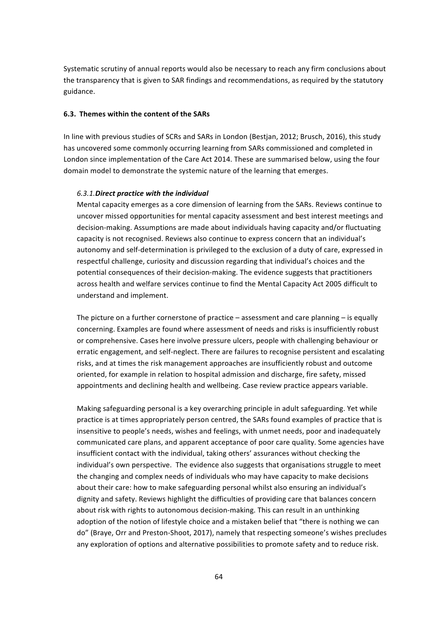Systematic scrutiny of annual reports would also be necessary to reach any firm conclusions about the transparency that is given to SAR findings and recommendations, as required by the statutory guidance. 

## **6.3. Themes within the content of the SARs**

In line with previous studies of SCRs and SARs in London (Bestjan, 2012; Brusch, 2016), this study has uncovered some commonly occurring learning from SARs commissioned and completed in London since implementation of the Care Act 2014. These are summarised below, using the four domain model to demonstrate the systemic nature of the learning that emerges.

## *6.3.1.Direct practice with the individual*

Mental capacity emerges as a core dimension of learning from the SARs. Reviews continue to uncover missed opportunities for mental capacity assessment and best interest meetings and decision-making. Assumptions are made about individuals having capacity and/or fluctuating capacity is not recognised. Reviews also continue to express concern that an individual's autonomy and self-determination is privileged to the exclusion of a duty of care, expressed in respectful challenge, curiosity and discussion regarding that individual's choices and the potential consequences of their decision-making. The evidence suggests that practitioners across health and welfare services continue to find the Mental Capacity Act 2005 difficult to understand and implement.

The picture on a further cornerstone of practice  $-$  assessment and care planning  $-$  is equally concerning. Examples are found where assessment of needs and risks is insufficiently robust or comprehensive. Cases here involve pressure ulcers, people with challenging behaviour or erratic engagement, and self-neglect. There are failures to recognise persistent and escalating risks, and at times the risk management approaches are insufficiently robust and outcome oriented, for example in relation to hospital admission and discharge, fire safety, missed appointments and declining health and wellbeing. Case review practice appears variable.

Making safeguarding personal is a key overarching principle in adult safeguarding. Yet while practice is at times appropriately person centred, the SARs found examples of practice that is insensitive to people's needs, wishes and feelings, with unmet needs, poor and inadequately communicated care plans, and apparent acceptance of poor care quality. Some agencies have insufficient contact with the individual, taking others' assurances without checking the individual's own perspective. The evidence also suggests that organisations struggle to meet the changing and complex needs of individuals who may have capacity to make decisions about their care: how to make safeguarding personal whilst also ensuring an individual's dignity and safety. Reviews highlight the difficulties of providing care that balances concern about risk with rights to autonomous decision-making. This can result in an unthinking adoption of the notion of lifestyle choice and a mistaken belief that "there is nothing we can do" (Braye, Orr and Preston-Shoot, 2017), namely that respecting someone's wishes precludes any exploration of options and alternative possibilities to promote safety and to reduce risk.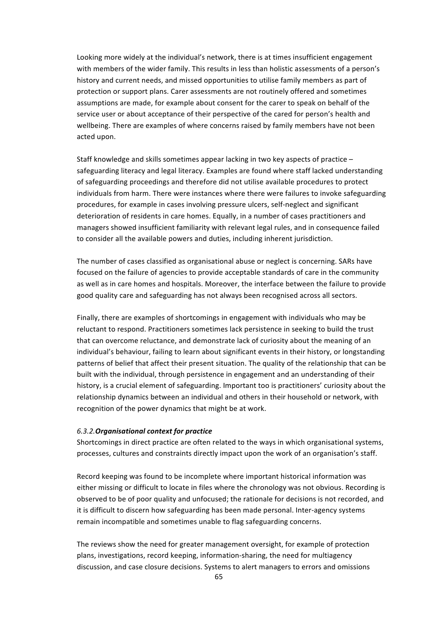Looking more widely at the individual's network, there is at times insufficient engagement with members of the wider family. This results in less than holistic assessments of a person's history and current needs, and missed opportunities to utilise family members as part of protection or support plans. Carer assessments are not routinely offered and sometimes assumptions are made, for example about consent for the carer to speak on behalf of the service user or about acceptance of their perspective of the cared for person's health and wellbeing. There are examples of where concerns raised by family members have not been acted upon.

Staff knowledge and skills sometimes appear lacking in two key aspects of practice  $$ safeguarding literacy and legal literacy. Examples are found where staff lacked understanding of safeguarding proceedings and therefore did not utilise available procedures to protect individuals from harm. There were instances where there were failures to invoke safeguarding procedures, for example in cases involving pressure ulcers, self-neglect and significant deterioration of residents in care homes. Equally, in a number of cases practitioners and managers showed insufficient familiarity with relevant legal rules, and in consequence failed to consider all the available powers and duties, including inherent jurisdiction.

The number of cases classified as organisational abuse or neglect is concerning. SARs have focused on the failure of agencies to provide acceptable standards of care in the community as well as in care homes and hospitals. Moreover, the interface between the failure to provide good quality care and safeguarding has not always been recognised across all sectors.

Finally, there are examples of shortcomings in engagement with individuals who may be reluctant to respond. Practitioners sometimes lack persistence in seeking to build the trust that can overcome reluctance, and demonstrate lack of curiosity about the meaning of an individual's behaviour, failing to learn about significant events in their history, or longstanding patterns of belief that affect their present situation. The quality of the relationship that can be built with the individual, through persistence in engagement and an understanding of their history, is a crucial element of safeguarding. Important too is practitioners' curiosity about the relationship dynamics between an individual and others in their household or network, with recognition of the power dynamics that might be at work.

### *6.3.2.Organisational context for practice*

Shortcomings in direct practice are often related to the ways in which organisational systems, processes, cultures and constraints directly impact upon the work of an organisation's staff.

Record keeping was found to be incomplete where important historical information was either missing or difficult to locate in files where the chronology was not obvious. Recording is observed to be of poor quality and unfocused; the rationale for decisions is not recorded, and it is difficult to discern how safeguarding has been made personal. Inter-agency systems remain incompatible and sometimes unable to flag safeguarding concerns.

The reviews show the need for greater management oversight, for example of protection plans, investigations, record keeping, information-sharing, the need for multiagency discussion, and case closure decisions. Systems to alert managers to errors and omissions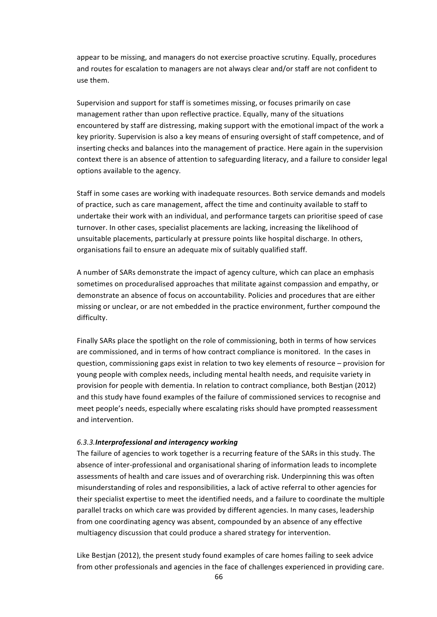appear to be missing, and managers do not exercise proactive scrutiny. Equally, procedures and routes for escalation to managers are not always clear and/or staff are not confident to use them. 

Supervision and support for staff is sometimes missing, or focuses primarily on case management rather than upon reflective practice. Equally, many of the situations encountered by staff are distressing, making support with the emotional impact of the work a key priority. Supervision is also a key means of ensuring oversight of staff competence, and of inserting checks and balances into the management of practice. Here again in the supervision context there is an absence of attention to safeguarding literacy, and a failure to consider legal options available to the agency.

Staff in some cases are working with inadequate resources. Both service demands and models of practice, such as care management, affect the time and continuity available to staff to undertake their work with an individual, and performance targets can prioritise speed of case turnover. In other cases, specialist placements are lacking, increasing the likelihood of unsuitable placements, particularly at pressure points like hospital discharge. In others, organisations fail to ensure an adequate mix of suitably qualified staff.

A number of SARs demonstrate the impact of agency culture, which can place an emphasis sometimes on proceduralised approaches that militate against compassion and empathy, or demonstrate an absence of focus on accountability. Policies and procedures that are either missing or unclear, or are not embedded in the practice environment, further compound the difficulty.

Finally SARs place the spotlight on the role of commissioning, both in terms of how services are commissioned, and in terms of how contract compliance is monitored. In the cases in question, commissioning gaps exist in relation to two key elements of resource – provision for young people with complex needs, including mental health needs, and requisite variety in provision for people with dementia. In relation to contract compliance, both Bestjan (2012) and this study have found examples of the failure of commissioned services to recognise and meet people's needs, especially where escalating risks should have prompted reassessment and intervention.

#### *6.3.3.Interprofessional and interagency working*

The failure of agencies to work together is a recurring feature of the SARs in this study. The absence of inter-professional and organisational sharing of information leads to incomplete assessments of health and care issues and of overarching risk. Underpinning this was often misunderstanding of roles and responsibilities, a lack of active referral to other agencies for their specialist expertise to meet the identified needs, and a failure to coordinate the multiple parallel tracks on which care was provided by different agencies. In many cases, leadership from one coordinating agency was absent, compounded by an absence of any effective multiagency discussion that could produce a shared strategy for intervention.

Like Bestjan (2012), the present study found examples of care homes failing to seek advice from other professionals and agencies in the face of challenges experienced in providing care.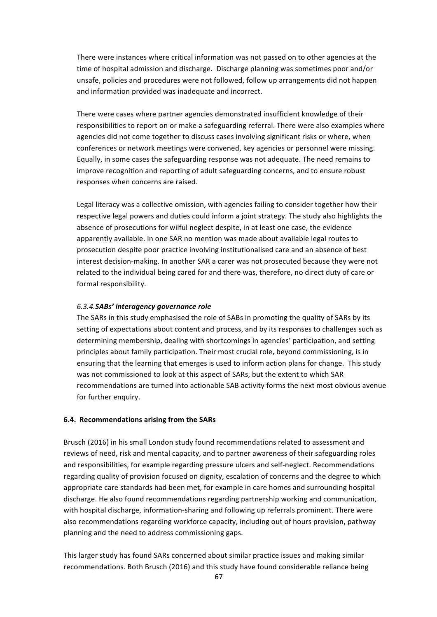There were instances where critical information was not passed on to other agencies at the time of hospital admission and discharge. Discharge planning was sometimes poor and/or unsafe, policies and procedures were not followed, follow up arrangements did not happen and information provided was inadequate and incorrect.

There were cases where partner agencies demonstrated insufficient knowledge of their responsibilities to report on or make a safeguarding referral. There were also examples where agencies did not come together to discuss cases involving significant risks or where, when conferences or network meetings were convened, key agencies or personnel were missing. Equally, in some cases the safeguarding response was not adequate. The need remains to improve recognition and reporting of adult safeguarding concerns, and to ensure robust responses when concerns are raised.

Legal literacy was a collective omission, with agencies failing to consider together how their respective legal powers and duties could inform a joint strategy. The study also highlights the absence of prosecutions for wilful neglect despite, in at least one case, the evidence apparently available. In one SAR no mention was made about available legal routes to prosecution despite poor practice involving institutionalised care and an absence of best interest decision-making. In another SAR a carer was not prosecuted because they were not related to the individual being cared for and there was, therefore, no direct duty of care or formal responsibility.

### *6.3.4.SABs' interagency governance role*

The SARs in this study emphasised the role of SABs in promoting the quality of SARs by its setting of expectations about content and process, and by its responses to challenges such as determining membership, dealing with shortcomings in agencies' participation, and setting principles about family participation. Their most crucial role, beyond commissioning, is in ensuring that the learning that emerges is used to inform action plans for change. This study was not commissioned to look at this aspect of SARs, but the extent to which SAR recommendations are turned into actionable SAB activity forms the next most obvious avenue for further enquiry.

# **6.4. Recommendations arising from the SARs**

Brusch (2016) in his small London study found recommendations related to assessment and reviews of need, risk and mental capacity, and to partner awareness of their safeguarding roles and responsibilities, for example regarding pressure ulcers and self-neglect. Recommendations regarding quality of provision focused on dignity, escalation of concerns and the degree to which appropriate care standards had been met, for example in care homes and surrounding hospital discharge. He also found recommendations regarding partnership working and communication, with hospital discharge, information-sharing and following up referrals prominent. There were also recommendations regarding workforce capacity, including out of hours provision, pathway planning and the need to address commissioning gaps.

This larger study has found SARs concerned about similar practice issues and making similar recommendations. Both Brusch (2016) and this study have found considerable reliance being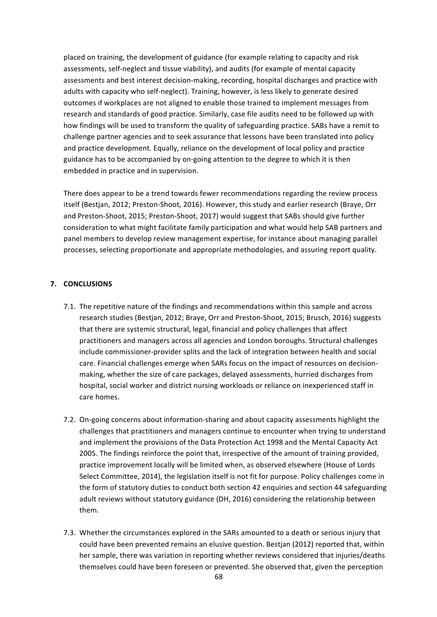placed on training, the development of guidance (for example relating to capacity and risk assessments, self-neglect and tissue viability), and audits (for example of mental capacity assessments and best interest decision-making, recording, hospital discharges and practice with adults with capacity who self-neglect). Training, however, is less likely to generate desired outcomes if workplaces are not aligned to enable those trained to implement messages from research and standards of good practice. Similarly, case file audits need to be followed up with how findings will be used to transform the quality of safeguarding practice. SABs have a remit to challenge partner agencies and to seek assurance that lessons have been translated into policy and practice development. Equally, reliance on the development of local policy and practice guidance has to be accompanied by on-going attention to the degree to which it is then embedded in practice and in supervision.

There does appear to be a trend towards fewer recommendations regarding the review process itself (Bestjan, 2012; Preston-Shoot, 2016). However, this study and earlier research (Braye, Orr and Preston-Shoot, 2015; Preston-Shoot, 2017) would suggest that SABs should give further consideration to what might facilitate family participation and what would help SAB partners and panel members to develop review management expertise, for instance about managing parallel processes, selecting proportionate and appropriate methodologies, and assuring report quality.

# **7. CONCLUSIONS**

- 7.1. The repetitive nature of the findings and recommendations within this sample and across research studies (Bestjan, 2012; Braye, Orr and Preston-Shoot, 2015; Brusch, 2016) suggests that there are systemic structural, legal, financial and policy challenges that affect practitioners and managers across all agencies and London boroughs. Structural challenges include commissioner-provider splits and the lack of integration between health and social care. Financial challenges emerge when SARs focus on the impact of resources on decisionmaking, whether the size of care packages, delayed assessments, hurried discharges from hospital, social worker and district nursing workloads or reliance on inexperienced staff in care homes.
- 7.2. On-going concerns about information-sharing and about capacity assessments highlight the challenges that practitioners and managers continue to encounter when trying to understand and implement the provisions of the Data Protection Act 1998 and the Mental Capacity Act 2005. The findings reinforce the point that, irrespective of the amount of training provided, practice improvement locally will be limited when, as observed elsewhere (House of Lords Select Committee, 2014), the legislation itself is not fit for purpose. Policy challenges come in the form of statutory duties to conduct both section 42 enquiries and section 44 safeguarding adult reviews without statutory guidance (DH, 2016) considering the relationship between them.
- 7.3. Whether the circumstances explored in the SARs amounted to a death or serious injury that could have been prevented remains an elusive question. Bestjan (2012) reported that, within her sample, there was variation in reporting whether reviews considered that injuries/deaths themselves could have been foreseen or prevented. She observed that, given the perception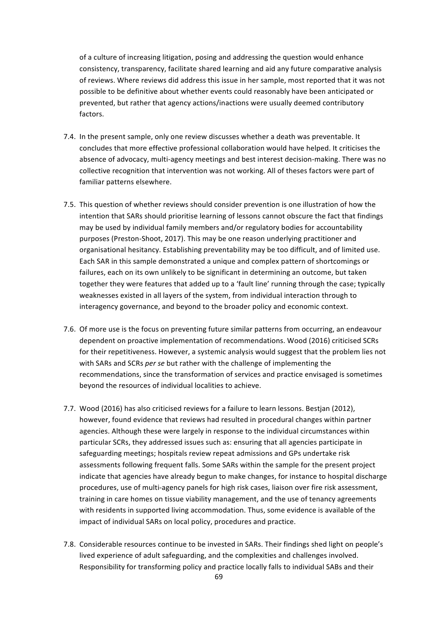of a culture of increasing litigation, posing and addressing the question would enhance consistency, transparency, facilitate shared learning and aid any future comparative analysis of reviews. Where reviews did address this issue in her sample, most reported that it was not possible to be definitive about whether events could reasonably have been anticipated or prevented, but rather that agency actions/inactions were usually deemed contributory factors. 

- 7.4. In the present sample, only one review discusses whether a death was preventable. It concludes that more effective professional collaboration would have helped. It criticises the absence of advocacy, multi-agency meetings and best interest decision-making. There was no collective recognition that intervention was not working. All of theses factors were part of familiar patterns elsewhere.
- 7.5. This question of whether reviews should consider prevention is one illustration of how the intention that SARs should prioritise learning of lessons cannot obscure the fact that findings may be used by individual family members and/or regulatory bodies for accountability purposes (Preston-Shoot, 2017). This may be one reason underlying practitioner and organisational hesitancy. Establishing preventability may be too difficult, and of limited use. Each SAR in this sample demonstrated a unique and complex pattern of shortcomings or failures, each on its own unlikely to be significant in determining an outcome, but taken together they were features that added up to a 'fault line' running through the case; typically weaknesses existed in all layers of the system, from individual interaction through to interagency governance, and beyond to the broader policy and economic context.
- 7.6. Of more use is the focus on preventing future similar patterns from occurring, an endeavour dependent on proactive implementation of recommendations. Wood (2016) criticised SCRs for their repetitiveness. However, a systemic analysis would suggest that the problem lies not with SARs and SCRs *per se* but rather with the challenge of implementing the recommendations, since the transformation of services and practice envisaged is sometimes beyond the resources of individual localities to achieve.
- 7.7. Wood (2016) has also criticised reviews for a failure to learn lessons. Bestian (2012), however, found evidence that reviews had resulted in procedural changes within partner agencies. Although these were largely in response to the individual circumstances within particular SCRs, they addressed issues such as: ensuring that all agencies participate in safeguarding meetings; hospitals review repeat admissions and GPs undertake risk assessments following frequent falls. Some SARs within the sample for the present project indicate that agencies have already begun to make changes, for instance to hospital discharge procedures, use of multi-agency panels for high risk cases, liaison over fire risk assessment, training in care homes on tissue viability management, and the use of tenancy agreements with residents in supported living accommodation. Thus, some evidence is available of the impact of individual SARs on local policy, procedures and practice.
- 7.8. Considerable resources continue to be invested in SARs. Their findings shed light on people's lived experience of adult safeguarding, and the complexities and challenges involved. Responsibility for transforming policy and practice locally falls to individual SABs and their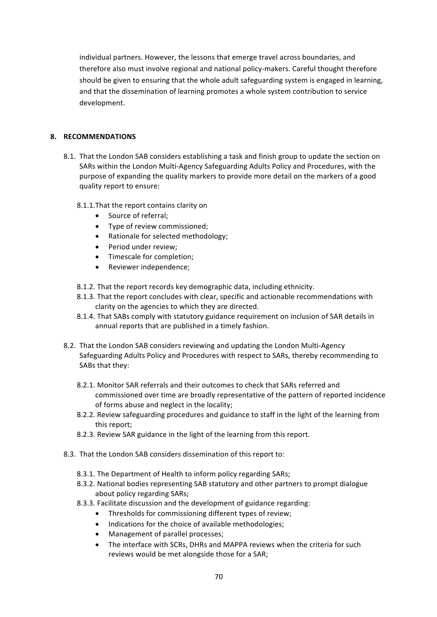individual partners. However, the lessons that emerge travel across boundaries, and therefore also must involve regional and national policy-makers. Careful thought therefore should be given to ensuring that the whole adult safeguarding system is engaged in learning, and that the dissemination of learning promotes a whole system contribution to service development.

# **8. RECOMMENDATIONS**

- 8.1. That the London SAB considers establishing a task and finish group to update the section on SARs within the London Multi-Agency Safeguarding Adults Policy and Procedures, with the purpose of expanding the quality markers to provide more detail on the markers of a good quality report to ensure:
	- 8.1.1. That the report contains clarity on
		- Source of referral:
		- Type of review commissioned;
		- Rationale for selected methodology;
		- Period under review:
		- Timescale for completion:
		- Reviewer independence;
	- 8.1.2. That the report records key demographic data, including ethnicity.
	- 8.1.3. That the report concludes with clear, specific and actionable recommendations with clarity on the agencies to which they are directed.
	- 8.1.4. That SABs comply with statutory guidance requirement on inclusion of SAR details in annual reports that are published in a timely fashion.
- 8.2. That the London SAB considers reviewing and updating the London Multi-Agency Safeguarding Adults Policy and Procedures with respect to SARs, thereby recommending to SABs that they:
	- 8.2.1. Monitor SAR referrals and their outcomes to check that SARs referred and commissioned over time are broadly representative of the pattern of reported incidence of forms abuse and neglect in the locality;
	- 8.2.2. Review safeguarding procedures and guidance to staff in the light of the learning from this report:
	- 8.2.3. Review SAR guidance in the light of the learning from this report.
- 8.3. That the London SAB considers dissemination of this report to:
	- 8.3.1. The Department of Health to inform policy regarding SARs;
	- 8.3.2. National bodies representing SAB statutory and other partners to prompt dialogue about policy regarding SARs;
	- 8.3.3. Facilitate discussion and the development of guidance regarding:
		- Thresholds for commissioning different types of review;
		- Indications for the choice of available methodologies;
		- Management of parallel processes;
		- The interface with SCRs, DHRs and MAPPA reviews when the criteria for such reviews would be met alongside those for a SAR;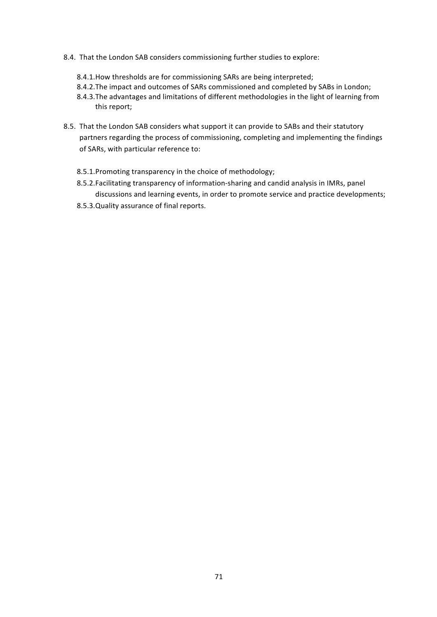- 8.4. That the London SAB considers commissioning further studies to explore:
	- 8.4.1. How thresholds are for commissioning SARs are being interpreted;
	- 8.4.2. The impact and outcomes of SARs commissioned and completed by SABs in London;
	- 8.4.3. The advantages and limitations of different methodologies in the light of learning from this report;
- 8.5. That the London SAB considers what support it can provide to SABs and their statutory partners regarding the process of commissioning, completing and implementing the findings of SARs, with particular reference to:
	- 8.5.1.Promoting transparency in the choice of methodology;
	- 8.5.2. Facilitating transparency of information-sharing and candid analysis in IMRs, panel discussions and learning events, in order to promote service and practice developments;
	- 8.5.3. Quality assurance of final reports.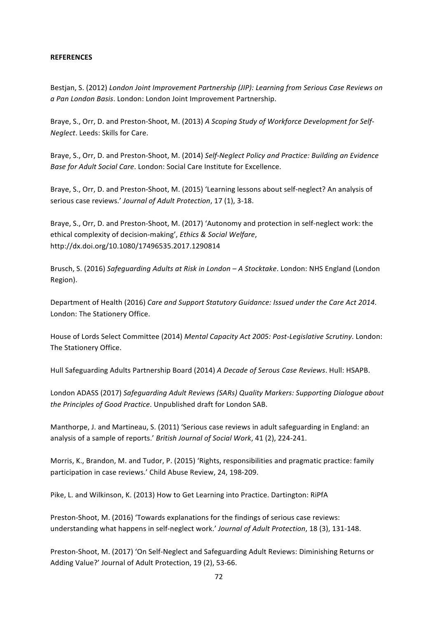## **REFERENCES**

Bestjan, S. (2012) London Joint Improvement Partnership (JIP): Learning from Serious Case Reviews on *a Pan London Basis*. London: London Joint Improvement Partnership.

Braye, S., Orr, D. and Preston-Shoot, M. (2013) A Scoping Study of Workforce Development for Self-*Neglect*. Leeds: Skills for Care.

Braye, S., Orr, D. and Preston-Shoot, M. (2014) Self-Neglect Policy and Practice: Building an Evidence *Base for Adult Social Care.* London: Social Care Institute for Excellence.

Braye, S., Orr, D. and Preston-Shoot, M. (2015) 'Learning lessons about self-neglect? An analysis of serious case reviews.' Journal of Adult Protection, 17 (1), 3-18.

Braye, S., Orr, D. and Preston-Shoot, M. (2017) 'Autonomy and protection in self-neglect work: the ethical complexity of decision-making', *Ethics & Social Welfare*, http://dx.doi.org/10.1080/17496535.2017.1290814

Brusch, S. (2016) *Safequarding Adults at Risk in London* – A Stocktake. London: NHS England (London Region).

Department of Health (2016) Care and Support Statutory Guidance: Issued under the Care Act 2014. London: The Stationery Office.

House of Lords Select Committee (2014) Mental Capacity Act 2005: Post-Legislative Scrutiny. London: The Stationery Office.

Hull Safeguarding Adults Partnership Board (2014) *A Decade of Serous Case Reviews*. Hull: HSAPB.

London ADASS (2017) *Safeguarding Adult Reviews* (SARs) Quality Markers: Supporting Dialogue about the Principles of Good Practice. Unpublished draft for London SAB.

Manthorpe, J. and Martineau, S. (2011) 'Serious case reviews in adult safeguarding in England: an analysis of a sample of reports.' *British Journal of Social Work*, 41 (2), 224-241.

Morris, K., Brandon, M. and Tudor, P. (2015) 'Rights, responsibilities and pragmatic practice: family participation in case reviews.' Child Abuse Review, 24, 198-209.

Pike, L. and Wilkinson, K. (2013) How to Get Learning into Practice. Dartington: RiPfA

Preston-Shoot, M. (2016) 'Towards explanations for the findings of serious case reviews: understanding what happens in self-neglect work.' Journal of Adult Protection, 18 (3), 131-148.

Preston-Shoot, M. (2017) 'On Self-Neglect and Safeguarding Adult Reviews: Diminishing Returns or Adding Value?' Journal of Adult Protection, 19 (2), 53-66.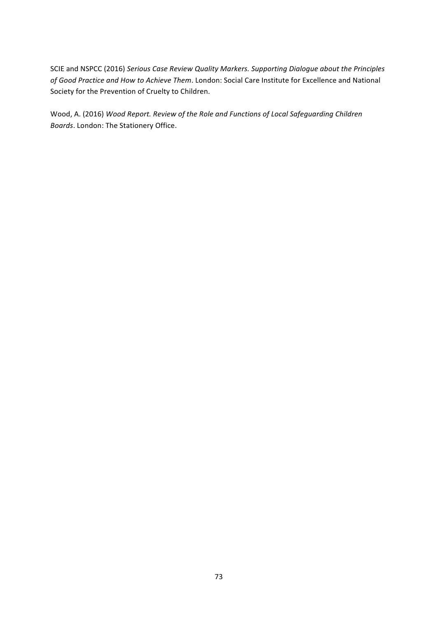SCIE and NSPCC (2016) Serious Case Review Quality Markers. Supporting Dialogue about the Principles of Good Practice and How to Achieve Them. London: Social Care Institute for Excellence and National Society for the Prevention of Cruelty to Children.

Wood, A. (2016) Wood Report. Review of the Role and Functions of Local Safeguarding Children *Boards*. London: The Stationery Office.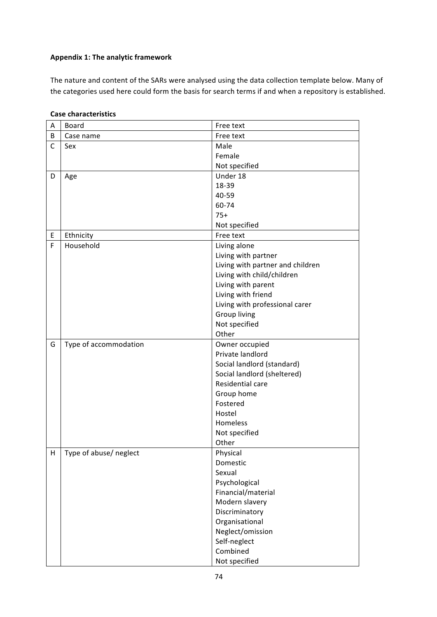# **Appendix 1: The analytic framework**

The nature and content of the SARs were analysed using the data collection template below. Many of the categories used here could form the basis for search terms if and when a repository is established.

| A            | <b>Board</b>           | Free text                        |
|--------------|------------------------|----------------------------------|
| B            | Case name              | Free text                        |
| $\mathsf{C}$ | Sex                    | Male                             |
|              |                        | Female                           |
|              |                        | Not specified                    |
| D            | Age                    | Under 18                         |
|              |                        | 18-39                            |
|              |                        | 40-59                            |
|              |                        | 60-74                            |
|              |                        | $75+$                            |
|              |                        | Not specified                    |
| E            | Ethnicity              | Free text                        |
| F            | Household              | Living alone                     |
|              |                        | Living with partner              |
|              |                        | Living with partner and children |
|              |                        | Living with child/children       |
|              |                        | Living with parent               |
|              |                        | Living with friend               |
|              |                        | Living with professional carer   |
|              |                        | <b>Group living</b>              |
|              |                        | Not specified                    |
|              |                        | Other                            |
| G            | Type of accommodation  | Owner occupied                   |
|              |                        | Private landlord                 |
|              |                        | Social landlord (standard)       |
|              |                        | Social landlord (sheltered)      |
|              |                        | Residential care                 |
|              |                        | Group home                       |
|              |                        | Fostered                         |
|              |                        | Hostel                           |
|              |                        | <b>Homeless</b>                  |
|              |                        | Not specified                    |
|              |                        | Other                            |
| н            | Type of abuse/ neglect | Physical                         |
|              |                        | Domestic                         |
|              |                        | Sexual                           |
|              |                        | Psychological                    |
|              |                        | Financial/material               |
|              |                        | Modern slavery                   |
|              |                        | Discriminatory                   |
|              |                        | Organisational                   |
|              |                        | Neglect/omission                 |
|              |                        | Self-neglect                     |
|              |                        | Combined                         |
|              |                        | Not specified                    |

### **Case characteristics**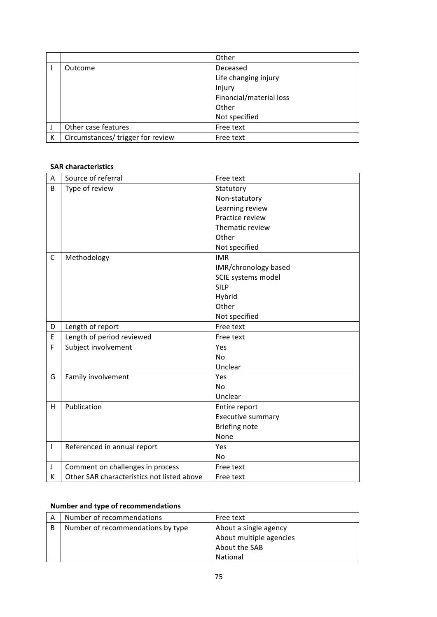|   |                                   | Other                   |
|---|-----------------------------------|-------------------------|
|   | Outcome                           | Deceased                |
|   |                                   | Life changing injury    |
|   |                                   | Injury                  |
|   |                                   | Financial/material loss |
|   |                                   | Other                   |
|   |                                   | Not specified           |
|   | Other case features               | Free text               |
| К | Circumstances/ trigger for review | Free text               |

### **SAR characteristics**

| А  | Source of referral                         | Free text                |
|----|--------------------------------------------|--------------------------|
| B  | Type of review                             | Statutory                |
|    |                                            | Non-statutory            |
|    |                                            | Learning review          |
|    |                                            | Practice review          |
|    |                                            | Thematic review          |
|    |                                            | Other                    |
|    |                                            | Not specified            |
| C  | Methodology                                | <b>IMR</b>               |
|    |                                            | IMR/chronology based     |
|    |                                            | SCIE systems model       |
|    |                                            | <b>SILP</b>              |
|    |                                            | Hybrid                   |
|    |                                            | Other                    |
|    |                                            | Not specified            |
| D  | Length of report                           | Free text                |
| E  | Length of period reviewed                  | Free text                |
| F  | Subject involvement                        | Yes                      |
|    |                                            | No                       |
|    |                                            | Unclear                  |
| G  | Family involvement                         | Yes                      |
|    |                                            | No                       |
|    |                                            | Unclear                  |
| H. | Publication                                | Entire report            |
|    |                                            | <b>Executive summary</b> |
|    |                                            | <b>Briefing note</b>     |
|    |                                            | None                     |
| L  | Referenced in annual report                | Yes                      |
|    |                                            | No                       |
| J  | Comment on challenges in process           | Free text                |
| K  | Other SAR characteristics not listed above | Free text                |

## **Number and type of recommendations**

| А | Number of recommendations         | Free text               |
|---|-----------------------------------|-------------------------|
| в | Number of recommendations by type | About a single agency   |
|   |                                   | About multiple agencies |
|   |                                   | About the SAB           |
|   |                                   | National                |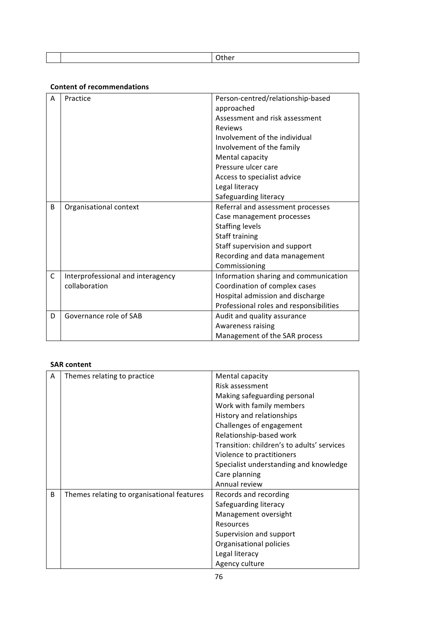### **Content of recommendations**

| A  | Practice                          | Person-centred/relationship-based<br>approached |
|----|-----------------------------------|-------------------------------------------------|
|    |                                   | Assessment and risk assessment                  |
|    |                                   | <b>Reviews</b>                                  |
|    |                                   | Involvement of the individual                   |
|    |                                   | Involvement of the family                       |
|    |                                   | Mental capacity                                 |
|    |                                   | Pressure ulcer care                             |
|    |                                   | Access to specialist advice                     |
|    |                                   | Legal literacy                                  |
|    |                                   | Safeguarding literacy                           |
| B  | Organisational context            | Referral and assessment processes               |
|    |                                   | Case management processes                       |
|    |                                   | <b>Staffing levels</b>                          |
|    |                                   | Staff training                                  |
|    |                                   | Staff supervision and support                   |
|    |                                   | Recording and data management                   |
|    |                                   | Commissioning                                   |
| C. | Interprofessional and interagency | Information sharing and communication           |
|    | collaboration                     | Coordination of complex cases                   |
|    |                                   | Hospital admission and discharge                |
|    |                                   | Professional roles and responsibilities         |
| D  | Governance role of SAB            | Audit and quality assurance                     |
|    |                                   | Awareness raising                               |
|    |                                   | Management of the SAR process                   |

#### **SAR content**

| A | Themes relating to practice                | Mental capacity                            |
|---|--------------------------------------------|--------------------------------------------|
|   |                                            | Risk assessment                            |
|   |                                            |                                            |
|   |                                            | Making safeguarding personal               |
|   |                                            | Work with family members                   |
|   |                                            | History and relationships                  |
|   |                                            | Challenges of engagement                   |
|   |                                            | Relationship-based work                    |
|   |                                            | Transition: children's to adults' services |
|   |                                            | Violence to practitioners                  |
|   |                                            | Specialist understanding and knowledge     |
|   |                                            | Care planning                              |
|   |                                            | Annual review                              |
| B | Themes relating to organisational features | Records and recording                      |
|   |                                            | Safeguarding literacy                      |
|   |                                            | Management oversight                       |
|   |                                            | <b>Resources</b>                           |
|   |                                            | Supervision and support                    |
|   |                                            | Organisational policies                    |
|   |                                            | Legal literacy                             |
|   |                                            | Agency culture                             |